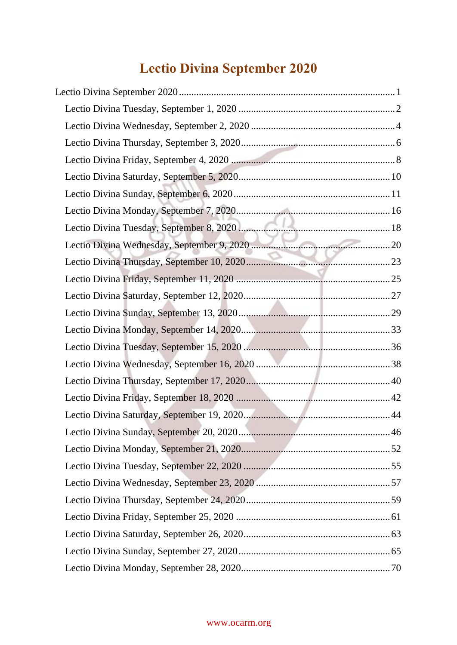# **Lectio Divina September 2020**

<span id="page-0-0"></span>

#### www.ocarm.org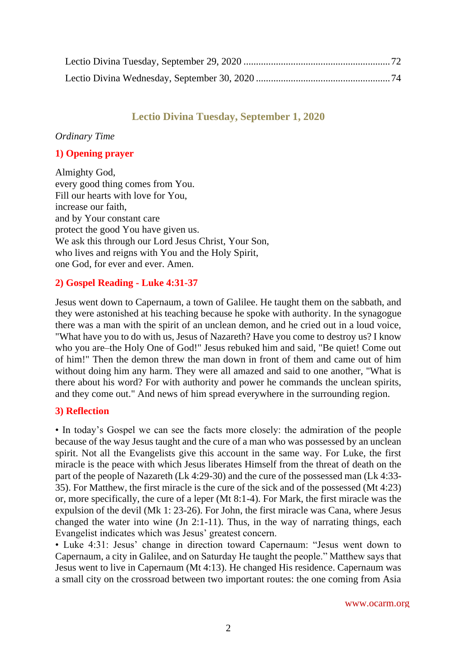# **Lectio Divina Tuesday, September 1, 2020**

#### <span id="page-1-0"></span>*Ordinary Time*

# **1) Opening prayer**

Almighty God, every good thing comes from You. Fill our hearts with love for You, increase our faith, and by Your constant care protect the good You have given us. We ask this through our Lord Jesus Christ, Your Son, who lives and reigns with You and the Holy Spirit, one God, for ever and ever. Amen.

# **2) Gospel Reading - Luke 4:31-37**

Jesus went down to Capernaum, a town of Galilee. He taught them on the sabbath, and they were astonished at his teaching because he spoke with authority. In the synagogue there was a man with the spirit of an unclean demon, and he cried out in a loud voice, "What have you to do with us, Jesus of Nazareth? Have you come to destroy us? I know who you are–the Holy One of God!" Jesus rebuked him and said, "Be quiet! Come out of him!" Then the demon threw the man down in front of them and came out of him without doing him any harm. They were all amazed and said to one another, "What is there about his word? For with authority and power he commands the unclean spirits, and they come out." And news of him spread everywhere in the surrounding region.

# **3) Reflection**

• In today's Gospel we can see the facts more closely: the admiration of the people because of the way Jesus taught and the cure of a man who was possessed by an unclean spirit. Not all the Evangelists give this account in the same way. For Luke, the first miracle is the peace with which Jesus liberates Himself from the threat of death on the part of the people of Nazareth (Lk 4:29-30) and the cure of the possessed man (Lk 4:33- 35). For Matthew, the first miracle is the cure of the sick and of the possessed (Mt 4:23) or, more specifically, the cure of a leper (Mt 8:1-4). For Mark, the first miracle was the expulsion of the devil (Mk 1: 23-26). For John, the first miracle was Cana, where Jesus changed the water into wine (Jn 2:1-11). Thus, in the way of narrating things, each Evangelist indicates which was Jesus' greatest concern.

• Luke 4:31: Jesus' change in direction toward Capernaum: "Jesus went down to Capernaum, a city in Galilee, and on Saturday He taught the people." Matthew says that Jesus went to live in Capernaum (Mt 4:13). He changed His residence. Capernaum was a small city on the crossroad between two important routes: the one coming from Asia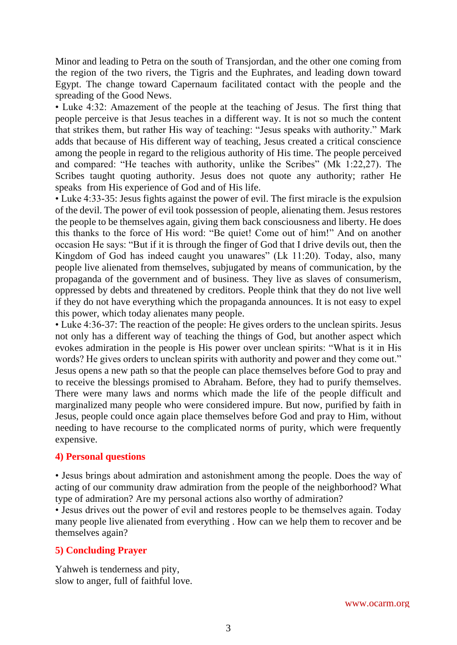Minor and leading to Petra on the south of Transjordan, and the other one coming from the region of the two rivers, the Tigris and the Euphrates, and leading down toward Egypt. The change toward Capernaum facilitated contact with the people and the spreading of the Good News.

• Luke 4:32: Amazement of the people at the teaching of Jesus. The first thing that people perceive is that Jesus teaches in a different way. It is not so much the content that strikes them, but rather His way of teaching: "Jesus speaks with authority." Mark adds that because of His different way of teaching, Jesus created a critical conscience among the people in regard to the religious authority of His time. The people perceived and compared: "He teaches with authority, unlike the Scribes" (Mk 1:22,27). The Scribes taught quoting authority. Jesus does not quote any authority; rather He speaks from His experience of God and of His life.

• Luke 4:33-35: Jesus fights against the power of evil. The first miracle is the expulsion of the devil. The power of evil took possession of people, alienating them. Jesus restores the people to be themselves again, giving them back consciousness and liberty. He does this thanks to the force of His word: "Be quiet! Come out of him!" And on another occasion He says: "But if it is through the finger of God that I drive devils out, then the Kingdom of God has indeed caught you unawares" (Lk 11:20). Today, also, many people live alienated from themselves, subjugated by means of communication, by the propaganda of the government and of business. They live as slaves of consumerism, oppressed by debts and threatened by creditors. People think that they do not live well if they do not have everything which the propaganda announces. It is not easy to expel this power, which today alienates many people.

• Luke 4:36-37: The reaction of the people: He gives orders to the unclean spirits. Jesus not only has a different way of teaching the things of God, but another aspect which evokes admiration in the people is His power over unclean spirits: "What is it in His words? He gives orders to unclean spirits with authority and power and they come out." Jesus opens a new path so that the people can place themselves before God to pray and to receive the blessings promised to Abraham. Before, they had to purify themselves. There were many laws and norms which made the life of the people difficult and marginalized many people who were considered impure. But now, purified by faith in Jesus, people could once again place themselves before God and pray to Him, without needing to have recourse to the complicated norms of purity, which were frequently expensive.

# **4) Personal questions**

• Jesus brings about admiration and astonishment among the people. Does the way of acting of our community draw admiration from the people of the neighborhood? What type of admiration? Are my personal actions also worthy of admiration?

• Jesus drives out the power of evil and restores people to be themselves again. Today many people live alienated from everything . How can we help them to recover and be themselves again?

# **5) Concluding Prayer**

Yahweh is tenderness and pity, slow to anger, full of faithful love.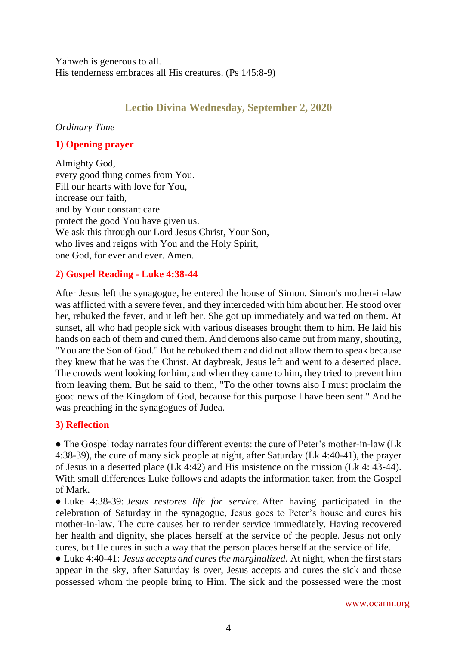Yahweh is generous to all. His tenderness embraces all His creatures. (Ps 145:8-9)

# **Lectio Divina Wednesday, September 2, 2020**

#### <span id="page-3-0"></span>*Ordinary Time*

# **1) Opening prayer**

Almighty God, every good thing comes from You. Fill our hearts with love for You, increase our faith, and by Your constant care protect the good You have given us. We ask this through our Lord Jesus Christ, Your Son, who lives and reigns with You and the Holy Spirit, one God, for ever and ever. Amen.

# **2) Gospel Reading - Luke 4:38-44**

After Jesus left the synagogue, he entered the house of Simon. Simon's mother-in-law was afflicted with a severe fever, and they interceded with him about her. He stood over her, rebuked the fever, and it left her. She got up immediately and waited on them. At sunset, all who had people sick with various diseases brought them to him. He laid his hands on each of them and cured them. And demons also came out from many, shouting, "You are the Son of God." But he rebuked them and did not allow them to speak because they knew that he was the Christ. At daybreak, Jesus left and went to a deserted place. The crowds went looking for him, and when they came to him, they tried to prevent him from leaving them. But he said to them, "To the other towns also I must proclaim the good news of the Kingdom of God, because for this purpose I have been sent." And he was preaching in the synagogues of Judea.

# **3) Reflection**

**●** The Gospel today narrates four different events: the cure of Peter's mother-in-law (Lk 4:38-39), the cure of many sick people at night, after Saturday (Lk 4:40-41), the prayer of Jesus in a deserted place (Lk 4:42) and His insistence on the mission (Lk 4: 43-44). With small differences Luke follows and adapts the information taken from the Gospel of Mark.

**●** Luke 4:38-39: *Jesus restores life for service.* After having participated in the celebration of Saturday in the synagogue, Jesus goes to Peter's house and cures his mother-in-law. The cure causes her to render service immediately. Having recovered her health and dignity, she places herself at the service of the people. Jesus not only cures, but He cures in such a way that the person places herself at the service of life.

**●** Luke 4:40-41: *Jesus accepts and cures the marginalized.* At night, when the first stars appear in the sky, after Saturday is over, Jesus accepts and cures the sick and those possessed whom the people bring to Him. The sick and the possessed were the most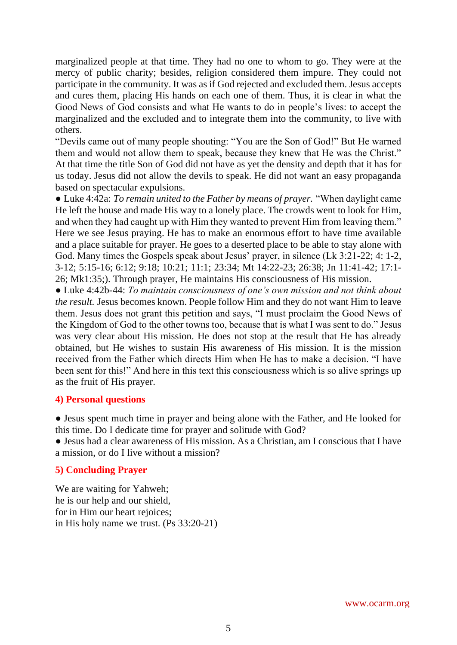marginalized people at that time. They had no one to whom to go. They were at the mercy of public charity; besides, religion considered them impure. They could not participate in the community. It was as if God rejected and excluded them. Jesus accepts and cures them, placing His hands on each one of them. Thus, it is clear in what the Good News of God consists and what He wants to do in people's lives: to accept the marginalized and the excluded and to integrate them into the community, to live with others.

"Devils came out of many people shouting: "You are the Son of God!" But He warned them and would not allow them to speak, because they knew that He was the Christ." At that time the title Son of God did not have as yet the density and depth that it has for us today. Jesus did not allow the devils to speak. He did not want an easy propaganda based on spectacular expulsions.

**●** Luke 4:42a: *To remain united to the Father by means of prayer.* "When daylight came He left the house and made His way to a lonely place. The crowds went to look for Him, and when they had caught up with Him they wanted to prevent Him from leaving them." Here we see Jesus praying. He has to make an enormous effort to have time available and a place suitable for prayer. He goes to a deserted place to be able to stay alone with God. Many times the Gospels speak about Jesus' prayer, in silence (Lk 3:21-22; 4: 1-2, 3-12; 5:15-16; 6:12; 9:18; 10:21; 11:1; 23:34; Mt 14:22-23; 26:38; Jn 11:41-42; 17:1- 26; Mk1:35;). Through prayer, He maintains His consciousness of His mission.

**●** Luke 4:42b-44: *To maintain consciousness of one's own mission and not think about the result.* Jesus becomes known. People follow Him and they do not want Him to leave them. Jesus does not grant this petition and says, "I must proclaim the Good News of the Kingdom of God to the other towns too, because that is what I was sent to do." Jesus was very clear about His mission. He does not stop at the result that He has already obtained, but He wishes to sustain His awareness of His mission. It is the mission received from the Father which directs Him when He has to make a decision. "I have been sent for this!" And here in this text this consciousness which is so alive springs up as the fruit of His prayer.

#### **4) Personal questions**

**●** Jesus spent much time in prayer and being alone with the Father, and He looked for this time. Do I dedicate time for prayer and solitude with God?

**●** Jesus had a clear awareness of His mission. As a Christian, am I conscious that I have a mission, or do I live without a mission?

# **5) Concluding Prayer**

We are waiting for Yahweh; he is our help and our shield, for in Him our heart rejoices; in His holy name we trust. (Ps 33:20-21)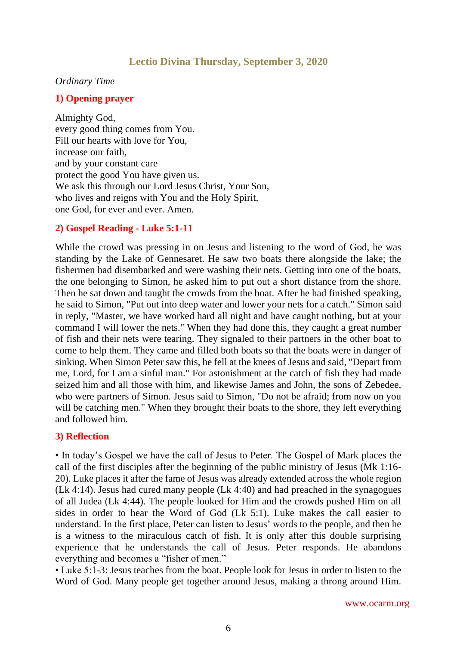# **Lectio Divina Thursday, September 3, 2020**

<span id="page-5-0"></span>*Ordinary Time*

#### **1) Opening prayer**

Almighty God, every good thing comes from You. Fill our hearts with love for You, increase our faith, and by your constant care protect the good You have given us. We ask this through our Lord Jesus Christ, Your Son, who lives and reigns with You and the Holy Spirit, one God, for ever and ever. Amen.

### **2) Gospel Reading - Luke 5:1-11**

While the crowd was pressing in on Jesus and listening to the word of God, he was standing by the Lake of Gennesaret. He saw two boats there alongside the lake; the fishermen had disembarked and were washing their nets. Getting into one of the boats, the one belonging to Simon, he asked him to put out a short distance from the shore. Then he sat down and taught the crowds from the boat. After he had finished speaking, he said to Simon, "Put out into deep water and lower your nets for a catch." Simon said in reply, "Master, we have worked hard all night and have caught nothing, but at your command I will lower the nets." When they had done this, they caught a great number of fish and their nets were tearing. They signaled to their partners in the other boat to come to help them. They came and filled both boats so that the boats were in danger of sinking. When Simon Peter saw this, he fell at the knees of Jesus and said, "Depart from me, Lord, for I am a sinful man." For astonishment at the catch of fish they had made seized him and all those with him, and likewise James and John, the sons of Zebedee, who were partners of Simon. Jesus said to Simon, "Do not be afraid; from now on you will be catching men." When they brought their boats to the shore, they left everything and followed him.

#### **3) Reflection**

• In today's Gospel we have the call of Jesus to Peter. The Gospel of Mark places the call of the first disciples after the beginning of the public ministry of Jesus (Mk 1:16- 20). Luke places it after the fame of Jesus was already extended across the whole region (Lk 4:14). Jesus had cured many people (Lk 4:40) and had preached in the synagogues of all Judea (Lk 4:44). The people looked for Him and the crowds pushed Him on all sides in order to hear the Word of God (Lk 5:1). Luke makes the call easier to understand. In the first place, Peter can listen to Jesus' words to the people, and then he is a witness to the miraculous catch of fish. It is only after this double surprising experience that he understands the call of Jesus. Peter responds. He abandons everything and becomes a "fisher of men."

• Luke 5:1-3: Jesus teaches from the boat. People look for Jesus in order to listen to the Word of God. Many people get together around Jesus, making a throng around Him.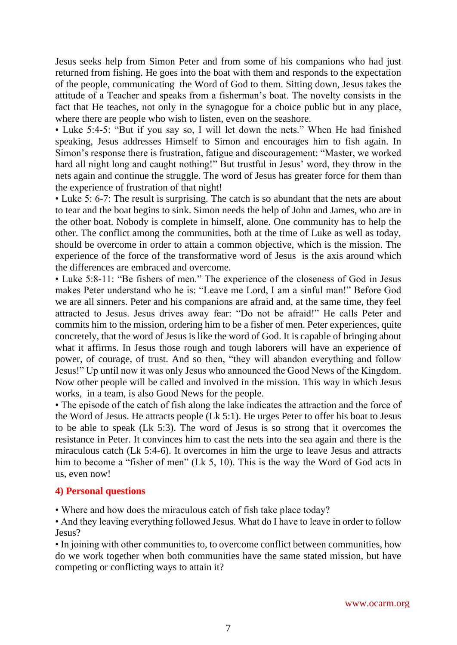Jesus seeks help from Simon Peter and from some of his companions who had just returned from fishing. He goes into the boat with them and responds to the expectation of the people, communicating the Word of God to them. Sitting down, Jesus takes the attitude of a Teacher and speaks from a fisherman's boat. The novelty consists in the fact that He teaches, not only in the synagogue for a choice public but in any place, where there are people who wish to listen, even on the seashore.

• Luke 5:4-5: "But if you say so, I will let down the nets." When He had finished speaking, Jesus addresses Himself to Simon and encourages him to fish again. In Simon's response there is frustration, fatigue and discouragement: "Master, we worked hard all night long and caught nothing!" But trustful in Jesus' word, they throw in the nets again and continue the struggle. The word of Jesus has greater force for them than the experience of frustration of that night!

• Luke 5: 6-7: The result is surprising. The catch is so abundant that the nets are about to tear and the boat begins to sink. Simon needs the help of John and James, who are in the other boat. Nobody is complete in himself, alone. One community has to help the other. The conflict among the communities, both at the time of Luke as well as today, should be overcome in order to attain a common objective, which is the mission. The experience of the force of the transformative word of Jesus is the axis around which the differences are embraced and overcome.

• Luke 5:8-11: "Be fishers of men." The experience of the closeness of God in Jesus makes Peter understand who he is: "Leave me Lord, I am a sinful man!" Before God we are all sinners. Peter and his companions are afraid and, at the same time, they feel attracted to Jesus. Jesus drives away fear: "Do not be afraid!" He calls Peter and commits him to the mission, ordering him to be a fisher of men. Peter experiences, quite concretely, that the word of Jesus is like the word of God. It is capable of bringing about what it affirms. In Jesus those rough and tough laborers will have an experience of power, of courage, of trust. And so then, "they will abandon everything and follow Jesus!" Up until now it was only Jesus who announced the Good News of the Kingdom. Now other people will be called and involved in the mission. This way in which Jesus works, in a team, is also Good News for the people.

• The episode of the catch of fish along the lake indicates the attraction and the force of the Word of Jesus. He attracts people (Lk 5:1). He urges Peter to offer his boat to Jesus to be able to speak (Lk 5:3). The word of Jesus is so strong that it overcomes the resistance in Peter. It convinces him to cast the nets into the sea again and there is the miraculous catch (Lk 5:4-6). It overcomes in him the urge to leave Jesus and attracts him to become a "fisher of men" (Lk 5, 10). This is the way the Word of God acts in us, even now!

# **4) Personal questions**

• Where and how does the miraculous catch of fish take place today?

• And they leaving everything followed Jesus. What do I have to leave in order to follow Jesus?

• In joining with other communities to, to overcome conflict between communities, how do we work together when both communities have the same stated mission, but have competing or conflicting ways to attain it?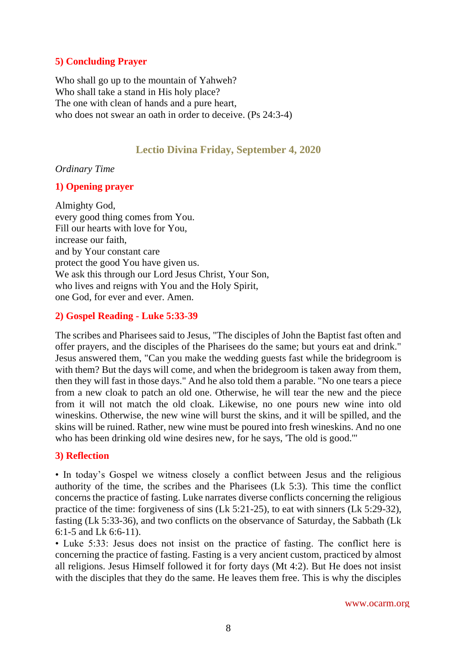# **5) Concluding Prayer**

Who shall go up to the mountain of Yahweh? Who shall take a stand in His holy place? The one with clean of hands and a pure heart, who does not swear an oath in order to deceive. (Ps 24:3-4)

# **Lectio Divina Friday, September 4, 2020**

#### <span id="page-7-0"></span>*Ordinary Time*

### **1) Opening prayer**

Almighty God, every good thing comes from You. Fill our hearts with love for You, increase our faith, and by Your constant care protect the good You have given us. We ask this through our Lord Jesus Christ, Your Son, who lives and reigns with You and the Holy Spirit, one God, for ever and ever. Amen.

# **2) Gospel Reading - Luke 5:33-39**

The scribes and Pharisees said to Jesus, "The disciples of John the Baptist fast often and offer prayers, and the disciples of the Pharisees do the same; but yours eat and drink." Jesus answered them, "Can you make the wedding guests fast while the bridegroom is with them? But the days will come, and when the bridegroom is taken away from them, then they will fast in those days." And he also told them a parable. "No one tears a piece from a new cloak to patch an old one. Otherwise, he will tear the new and the piece from it will not match the old cloak. Likewise, no one pours new wine into old wineskins. Otherwise, the new wine will burst the skins, and it will be spilled, and the skins will be ruined. Rather, new wine must be poured into fresh wineskins. And no one who has been drinking old wine desires new, for he says, 'The old is good.'"

# **3) Reflection**

• In today's Gospel we witness closely a conflict between Jesus and the religious authority of the time, the scribes and the Pharisees (Lk 5:3). This time the conflict concerns the practice of fasting. Luke narrates diverse conflicts concerning the religious practice of the time: forgiveness of sins (Lk 5:21-25), to eat with sinners (Lk 5:29-32), fasting (Lk 5:33-36), and two conflicts on the observance of Saturday, the Sabbath (Lk 6:1-5 and Lk 6:6-11).

• Luke 5:33: Jesus does not insist on the practice of fasting. The conflict here is concerning the practice of fasting. Fasting is a very ancient custom, practiced by almost all religions. Jesus Himself followed it for forty days (Mt 4:2). But He does not insist with the disciples that they do the same. He leaves them free. This is why the disciples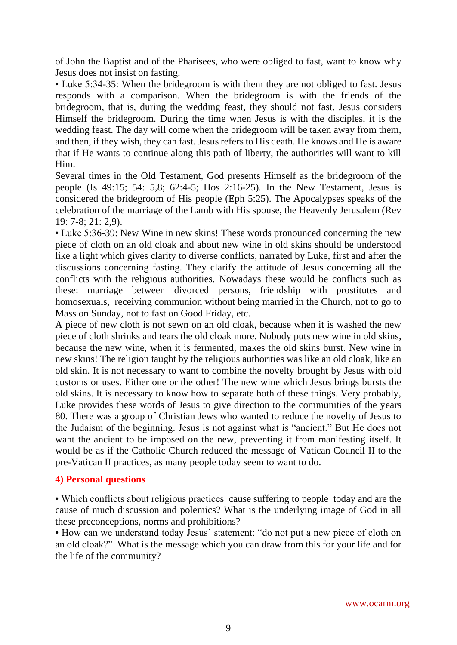of John the Baptist and of the Pharisees, who were obliged to fast, want to know why Jesus does not insist on fasting.

• Luke 5:34-35: When the bridegroom is with them they are not obliged to fast. Jesus responds with a comparison. When the bridegroom is with the friends of the bridegroom, that is, during the wedding feast, they should not fast. Jesus considers Himself the bridegroom. During the time when Jesus is with the disciples, it is the wedding feast. The day will come when the bridegroom will be taken away from them, and then, if they wish, they can fast. Jesus refers to His death. He knows and He is aware that if He wants to continue along this path of liberty, the authorities will want to kill Him.

Several times in the Old Testament, God presents Himself as the bridegroom of the people (Is 49:15; 54: 5,8; 62:4-5; Hos 2:16-25). In the New Testament, Jesus is considered the bridegroom of His people (Eph 5:25). The Apocalypses speaks of the celebration of the marriage of the Lamb with His spouse, the Heavenly Jerusalem (Rev 19: 7-8; 21: 2,9).

• Luke 5:36-39: New Wine in new skins! These words pronounced concerning the new piece of cloth on an old cloak and about new wine in old skins should be understood like a light which gives clarity to diverse conflicts, narrated by Luke, first and after the discussions concerning fasting. They clarify the attitude of Jesus concerning all the conflicts with the religious authorities. Nowadays these would be conflicts such as these: marriage between divorced persons, friendship with prostitutes and homosexuals, receiving communion without being married in the Church, not to go to Mass on Sunday, not to fast on Good Friday, etc.

A piece of new cloth is not sewn on an old cloak, because when it is washed the new piece of cloth shrinks and tears the old cloak more. Nobody puts new wine in old skins, because the new wine, when it is fermented, makes the old skins burst. New wine in new skins! The religion taught by the religious authorities was like an old cloak, like an old skin. It is not necessary to want to combine the novelty brought by Jesus with old customs or uses. Either one or the other! The new wine which Jesus brings bursts the old skins. It is necessary to know how to separate both of these things. Very probably, Luke provides these words of Jesus to give direction to the communities of the years 80. There was a group of Christian Jews who wanted to reduce the novelty of Jesus to the Judaism of the beginning. Jesus is not against what is "ancient." But He does not want the ancient to be imposed on the new, preventing it from manifesting itself. It would be as if the Catholic Church reduced the message of Vatican Council II to the pre-Vatican II practices, as many people today seem to want to do.

# **4) Personal questions**

• Which conflicts about religious practices cause suffering to people today and are the cause of much discussion and polemics? What is the underlying image of God in all these preconceptions, norms and prohibitions?

• How can we understand today Jesus' statement: "do not put a new piece of cloth on an old cloak?" What is the message which you can draw from this for your life and for the life of the community?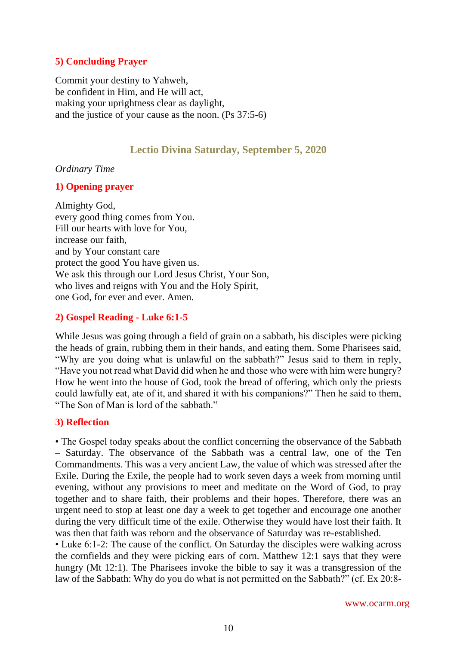# **5) Concluding Prayer**

Commit your destiny to Yahweh, be confident in Him, and He will act, making your uprightness clear as daylight, and the justice of your cause as the noon. (Ps 37:5-6)

# **Lectio Divina Saturday, September 5, 2020**

#### <span id="page-9-0"></span>*Ordinary Time*

#### **1) Opening prayer**

Almighty God, every good thing comes from You. Fill our hearts with love for You, increase our faith, and by Your constant care protect the good You have given us. We ask this through our Lord Jesus Christ, Your Son, who lives and reigns with You and the Holy Spirit, one God, for ever and ever. Amen.

### **2) Gospel Reading - Luke 6:1-5**

While Jesus was going through a field of grain on a sabbath, his disciples were picking the heads of grain, rubbing them in their hands, and eating them. Some Pharisees said, "Why are you doing what is unlawful on the sabbath?" Jesus said to them in reply, "Have you not read what David did when he and those who were with him were hungry? How he went into the house of God, took the bread of offering, which only the priests could lawfully eat, ate of it, and shared it with his companions?" Then he said to them, "The Son of Man is lord of the sabbath."

# **3) Reflection**

• The Gospel today speaks about the conflict concerning the observance of the Sabbath – Saturday. The observance of the Sabbath was a central law, one of the Ten Commandments. This was a very ancient Law, the value of which was stressed after the Exile. During the Exile, the people had to work seven days a week from morning until evening, without any provisions to meet and meditate on the Word of God, to pray together and to share faith, their problems and their hopes. Therefore, there was an urgent need to stop at least one day a week to get together and encourage one another during the very difficult time of the exile. Otherwise they would have lost their faith. It was then that faith was reborn and the observance of Saturday was re-established.

• Luke 6:1-2: The cause of the conflict. On Saturday the disciples were walking across the cornfields and they were picking ears of corn. Matthew 12:1 says that they were hungry (Mt 12:1). The Pharisees invoke the bible to say it was a transgression of the law of the Sabbath: Why do you do what is not permitted on the Sabbath?" (cf. Ex 20:8-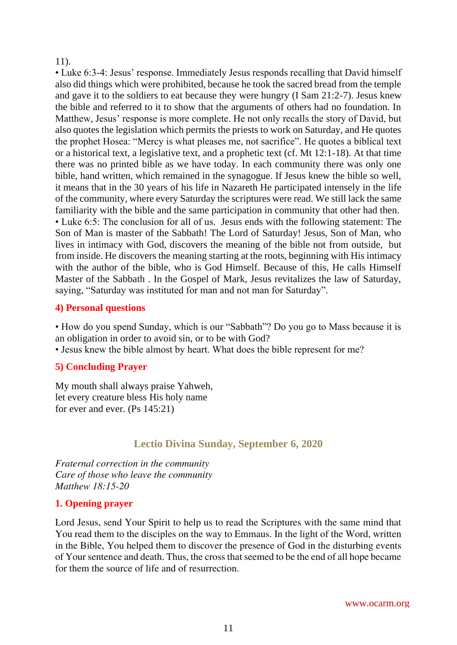#### 11).

• Luke 6:3-4: Jesus' response. Immediately Jesus responds recalling that David himself also did things which were prohibited, because he took the sacred bread from the temple and gave it to the soldiers to eat because they were hungry (I Sam 21:2-7). Jesus knew the bible and referred to it to show that the arguments of others had no foundation. In Matthew, Jesus' response is more complete. He not only recalls the story of David, but also quotes the legislation which permits the priests to work on Saturday, and He quotes the prophet Hosea: "Mercy is what pleases me, not sacrifice". He quotes a biblical text or a historical text, a legislative text, and a prophetic text (cf. Mt 12:1-18). At that time there was no printed bible as we have today. In each community there was only one bible, hand written, which remained in the synagogue. If Jesus knew the bible so well, it means that in the 30 years of his life in Nazareth He participated intensely in the life of the community, where every Saturday the scriptures were read. We still lack the same familiarity with the bible and the same participation in community that other had then. • Luke 6:5: The conclusion for all of us. Jesus ends with the following statement: The Son of Man is master of the Sabbath! The Lord of Saturday! Jesus, Son of Man, who lives in intimacy with God, discovers the meaning of the bible not from outside, but from inside. He discovers the meaning starting at the roots, beginning with His intimacy with the author of the bible, who is God Himself. Because of this, He calls Himself Master of the Sabbath . In the Gospel of Mark, Jesus revitalizes the law of Saturday, saying, "Saturday was instituted for man and not man for Saturday".

### **4) Personal questions**

• How do you spend Sunday, which is our "Sabbath"? Do you go to Mass because it is an obligation in order to avoid sin, or to be with God? • Jesus knew the bible almost by heart. What does the bible represent for me?

# **5) Concluding Prayer**

My mouth shall always praise Yahweh, let every creature bless His holy name for ever and ever. (Ps 145:21)

# **Lectio Divina Sunday, September 6, 2020**

<span id="page-10-0"></span>*Fraternal correction in the community Care of those who leave the community Matthew 18:15-20*

#### **1. Opening prayer**

Lord Jesus, send Your Spirit to help us to read the Scriptures with the same mind that You read them to the disciples on the way to Emmaus. In the light of the Word, written in the Bible, You helped them to discover the presence of God in the disturbing events of Your sentence and death. Thus, the cross that seemed to be the end of all hope became for them the source of life and of resurrection.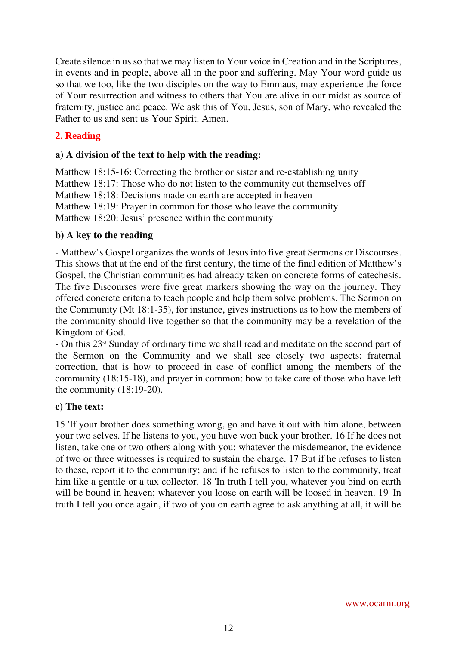Create silence in us so that we may listen to Your voice in Creation and in the Scriptures, in events and in people, above all in the poor and suffering. May Your word guide us so that we too, like the two disciples on the way to Emmaus, may experience the force of Your resurrection and witness to others that You are alive in our midst as source of fraternity, justice and peace. We ask this of You, Jesus, son of Mary, who revealed the Father to us and sent us Your Spirit. Amen.

# **2. Reading**

# **a) A division of the text to help with the reading:**

Matthew 18:15-16: Correcting the brother or sister and re-establishing unity Matthew 18:17: Those who do not listen to the community cut themselves off Matthew 18:18: Decisions made on earth are accepted in heaven Matthew 18:19: Prayer in common for those who leave the community Matthew 18:20: Jesus' presence within the community

# **b) A key to the reading**

- Matthew's Gospel organizes the words of Jesus into five great Sermons or Discourses. This shows that at the end of the first century, the time of the final edition of Matthew's Gospel, the Christian communities had already taken on concrete forms of catechesis. The five Discourses were five great markers showing the way on the journey. They offered concrete criteria to teach people and help them solve problems. The Sermon on the Community (Mt 18:1-35), for instance, gives instructions as to how the members of the community should live together so that the community may be a revelation of the Kingdom of God.

- On this 23rd Sunday of ordinary time we shall read and meditate on the second part of the Sermon on the Community and we shall see closely two aspects: fraternal correction, that is how to proceed in case of conflict among the members of the community (18:15-18), and prayer in common: how to take care of those who have left the community (18:19-20).

# **c) The text:**

15 'If your brother does something wrong, go and have it out with him alone, between your two selves. If he listens to you, you have won back your brother. 16 If he does not listen, take one or two others along with you: whatever the misdemeanor, the evidence of two or three witnesses is required to sustain the charge. 17 But if he refuses to listen to these, report it to the community; and if he refuses to listen to the community, treat him like a gentile or a tax collector. 18 'In truth I tell you, whatever you bind on earth will be bound in heaven; whatever you loose on earth will be loosed in heaven. 19 'In truth I tell you once again, if two of you on earth agree to ask anything at all, it will be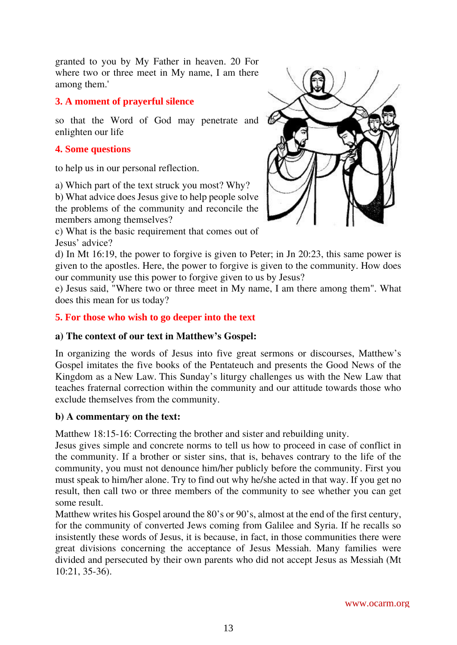granted to you by My Father in heaven. 20 For where two or three meet in My name, I am there among them.'

# **3. A moment of prayerful silence**

so that the Word of God may penetrate and  $\bullet$ enlighten our life

### **4. Some questions**

to help us in our personal reflection.

a) Which part of the text struck you most? Why?

b) What advice does Jesus give to help people solve the problems of the community and reconcile the members among themselves?

c) What is the basic requirement that comes out of Jesus' advice?

d) In Mt 16:19, the power to forgive is given to Peter; in Jn 20:23, this same power is given to the apostles. Here, the power to forgive is given to the community. How does our community use this power to forgive given to us by Jesus?

e) Jesus said, "Where two or three meet in My name, I am there among them". What does this mean for us today?

# **5. For those who wish to go deeper into the text**

#### **a) The context of our text in Matthew's Gospel:**

In organizing the words of Jesus into five great sermons or discourses, Matthew's Gospel imitates the five books of the Pentateuch and presents the Good News of the Kingdom as a New Law. This Sunday's liturgy challenges us with the New Law that teaches fraternal correction within the community and our attitude towards those who exclude themselves from the community.

#### **b) A commentary on the text:**

Matthew 18:15-16: Correcting the brother and sister and rebuilding unity.

Jesus gives simple and concrete norms to tell us how to proceed in case of conflict in the community. If a brother or sister sins, that is, behaves contrary to the life of the community, you must not denounce him/her publicly before the community. First you must speak to him/her alone. Try to find out why he/she acted in that way. If you get no result, then call two or three members of the community to see whether you can get some result.

Matthew writes his Gospel around the 80's or 90's, almost at the end of the first century, for the community of converted Jews coming from Galilee and Syria. If he recalls so insistently these words of Jesus, it is because, in fact, in those communities there were great divisions concerning the acceptance of Jesus Messiah. Many families were divided and persecuted by their own parents who did not accept Jesus as Messiah (Mt 10:21, 35-36).

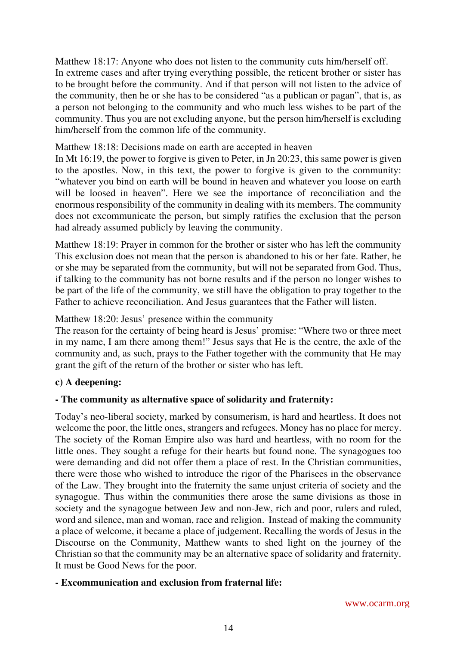Matthew 18:17: Anyone who does not listen to the community cuts him/herself off. In extreme cases and after trying everything possible, the reticent brother or sister has to be brought before the community. And if that person will not listen to the advice of the community, then he or she has to be considered "as a publican or pagan", that is, as a person not belonging to the community and who much less wishes to be part of the community. Thus you are not excluding anyone, but the person him/herself is excluding him/herself from the common life of the community.

### Matthew 18:18: Decisions made on earth are accepted in heaven

In Mt 16:19, the power to forgive is given to Peter, in Jn 20:23, this same power is given to the apostles. Now, in this text, the power to forgive is given to the community: "whatever you bind on earth will be bound in heaven and whatever you loose on earth will be loosed in heaven". Here we see the importance of reconciliation and the enormous responsibility of the community in dealing with its members. The community does not excommunicate the person, but simply ratifies the exclusion that the person had already assumed publicly by leaving the community.

Matthew 18:19: Prayer in common for the brother or sister who has left the community This exclusion does not mean that the person is abandoned to his or her fate. Rather, he or she may be separated from the community, but will not be separated from God. Thus, if talking to the community has not borne results and if the person no longer wishes to be part of the life of the community, we still have the obligation to pray together to the Father to achieve reconciliation. And Jesus guarantees that the Father will listen.

# Matthew 18:20: Jesus' presence within the community

The reason for the certainty of being heard is Jesus' promise: "Where two or three meet in my name, I am there among them!" Jesus says that He is the centre, the axle of the community and, as such, prays to the Father together with the community that He may grant the gift of the return of the brother or sister who has left.

# **c) A deepening:**

# **- The community as alternative space of solidarity and fraternity:**

Today's neo-liberal society, marked by consumerism, is hard and heartless. It does not welcome the poor, the little ones, strangers and refugees. Money has no place for mercy. The society of the Roman Empire also was hard and heartless, with no room for the little ones. They sought a refuge for their hearts but found none. The synagogues too were demanding and did not offer them a place of rest. In the Christian communities, there were those who wished to introduce the rigor of the Pharisees in the observance of the Law. They brought into the fraternity the same unjust criteria of society and the synagogue. Thus within the communities there arose the same divisions as those in society and the synagogue between Jew and non-Jew, rich and poor, rulers and ruled, word and silence, man and woman, race and religion. Instead of making the community a place of welcome, it became a place of judgement. Recalling the words of Jesus in the Discourse on the Community, Matthew wants to shed light on the journey of the Christian so that the community may be an alternative space of solidarity and fraternity. It must be Good News for the poor.

#### **- Excommunication and exclusion from fraternal life:**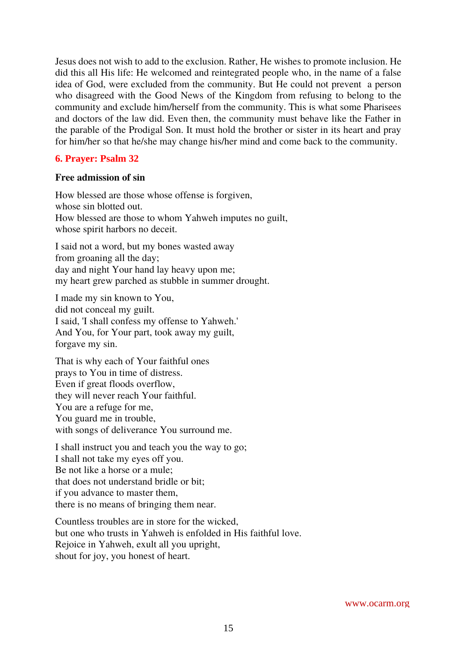Jesus does not wish to add to the exclusion. Rather, He wishes to promote inclusion. He did this all His life: He welcomed and reintegrated people who, in the name of a false idea of God, were excluded from the community. But He could not prevent a person who disagreed with the Good News of the Kingdom from refusing to belong to the community and exclude him/herself from the community. This is what some Pharisees and doctors of the law did. Even then, the community must behave like the Father in the parable of the Prodigal Son. It must hold the brother or sister in its heart and pray for him/her so that he/she may change his/her mind and come back to the community.

#### **6. Prayer: Psalm 32**

#### **Free admission of sin**

How blessed are those whose offense is forgiven, whose sin blotted out. How blessed are those to whom Yahweh imputes no guilt, whose spirit harbors no deceit.

I said not a word, but my bones wasted away from groaning all the day; day and night Your hand lay heavy upon me; my heart grew parched as stubble in summer drought.

I made my sin known to You, did not conceal my guilt. I said, 'I shall confess my offense to Yahweh.' And You, for Your part, took away my guilt, forgave my sin.

That is why each of Your faithful ones prays to You in time of distress. Even if great floods overflow, they will never reach Your faithful. You are a refuge for me, You guard me in trouble, with songs of deliverance You surround me.

I shall instruct you and teach you the way to go; I shall not take my eyes off you. Be not like a horse or a mule; that does not understand bridle or bit; if you advance to master them, there is no means of bringing them near.

Countless troubles are in store for the wicked, but one who trusts in Yahweh is enfolded in His faithful love. Rejoice in Yahweh, exult all you upright, shout for joy, you honest of heart.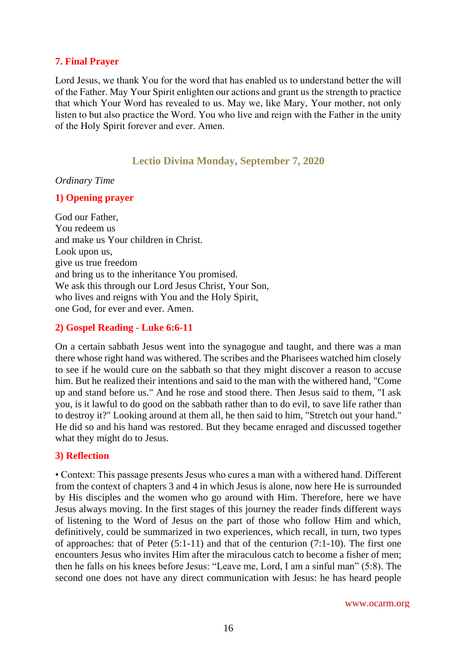### **7. Final Prayer**

Lord Jesus, we thank You for the word that has enabled us to understand better the will of the Father. May Your Spirit enlighten our actions and grant us the strength to practice that which Your Word has revealed to us. May we, like Mary, Your mother, not only listen to but also practice the Word. You who live and reign with the Father in the unity of the Holy Spirit forever and ever. Amen.

# **Lectio Divina Monday, September 7, 2020**

<span id="page-15-0"></span>*Ordinary Time*

#### **1) Opening prayer**

God our Father, You redeem us and make us Your children in Christ. Look upon us, give us true freedom and bring us to the inheritance You promised. We ask this through our Lord Jesus Christ, Your Son, who lives and reigns with You and the Holy Spirit, one God, for ever and ever. Amen.

### **2) Gospel Reading - Luke 6:6-11**

On a certain sabbath Jesus went into the synagogue and taught, and there was a man there whose right hand was withered. The scribes and the Pharisees watched him closely to see if he would cure on the sabbath so that they might discover a reason to accuse him. But he realized their intentions and said to the man with the withered hand, "Come up and stand before us." And he rose and stood there. Then Jesus said to them, "I ask you, is it lawful to do good on the sabbath rather than to do evil, to save life rather than to destroy it?" Looking around at them all, he then said to him, "Stretch out your hand." He did so and his hand was restored. But they became enraged and discussed together what they might do to Jesus.

#### **3) Reflection**

• Context: This passage presents Jesus who cures a man with a withered hand. Different from the context of chapters 3 and 4 in which Jesus is alone, now here He is surrounded by His disciples and the women who go around with Him. Therefore, here we have Jesus always moving. In the first stages of this journey the reader finds different ways of listening to the Word of Jesus on the part of those who follow Him and which, definitively, could be summarized in two experiences, which recall, in turn, two types of approaches: that of Peter  $(5:1-11)$  and that of the centurion  $(7:1-10)$ . The first one encounters Jesus who invites Him after the miraculous catch to become a fisher of men; then he falls on his knees before Jesus: "Leave me, Lord, I am a sinful man" (5:8). The second one does not have any direct communication with Jesus: he has heard people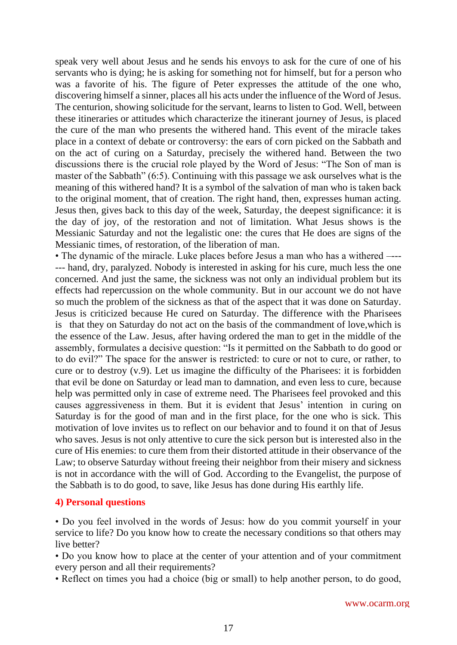speak very well about Jesus and he sends his envoys to ask for the cure of one of his servants who is dying; he is asking for something not for himself, but for a person who was a favorite of his. The figure of Peter expresses the attitude of the one who, discovering himself a sinner, places all his acts under the influence of the Word of Jesus. The centurion, showing solicitude for the servant, learns to listen to God. Well, between these itineraries or attitudes which characterize the itinerant journey of Jesus, is placed the cure of the man who presents the withered hand. This event of the miracle takes place in a context of debate or controversy: the ears of corn picked on the Sabbath and on the act of curing on a Saturday, precisely the withered hand. Between the two discussions there is the crucial role played by the Word of Jesus: "The Son of man is master of the Sabbath" (6:5). Continuing with this passage we ask ourselves what is the meaning of this withered hand? It is a symbol of the salvation of man who is taken back to the original moment, that of creation. The right hand, then, expresses human acting. Jesus then, gives back to this day of the week, Saturday, the deepest significance: it is the day of joy, of the restoration and not of limitation. What Jesus shows is the Messianic Saturday and not the legalistic one: the cures that He does are signs of the Messianic times, of restoration, of the liberation of man.

• The dynamic of the miracle. Luke places before Jesus a man who has a withered –--- --- hand, dry, paralyzed. Nobody is interested in asking for his cure, much less the one concerned. And just the same, the sickness was not only an individual problem but its effects had repercussion on the whole community. But in our account we do not have so much the problem of the sickness as that of the aspect that it was done on Saturday. Jesus is criticized because He cured on Saturday. The difference with the Pharisees is that they on Saturday do not act on the basis of the commandment of love,which is the essence of the Law. Jesus, after having ordered the man to get in the middle of the assembly, formulates a decisive question: "Is it permitted on the Sabbath to do good or to do evil?" The space for the answer is restricted: to cure or not to cure, or rather, to cure or to destroy (v.9). Let us imagine the difficulty of the Pharisees: it is forbidden that evil be done on Saturday or lead man to damnation, and even less to cure, because help was permitted only in case of extreme need. The Pharisees feel provoked and this causes aggressiveness in them. But it is evident that Jesus' intention in curing on Saturday is for the good of man and in the first place, for the one who is sick. This motivation of love invites us to reflect on our behavior and to found it on that of Jesus who saves. Jesus is not only attentive to cure the sick person but is interested also in the cure of His enemies: to cure them from their distorted attitude in their observance of the Law; to observe Saturday without freeing their neighbor from their misery and sickness is not in accordance with the will of God. According to the Evangelist, the purpose of the Sabbath is to do good, to save, like Jesus has done during His earthly life.

#### **4) Personal questions**

• Do you feel involved in the words of Jesus: how do you commit yourself in your service to life? Do you know how to create the necessary conditions so that others may live better?

• Do you know how to place at the center of your attention and of your commitment every person and all their requirements?

• Reflect on times you had a choice (big or small) to help another person, to do good,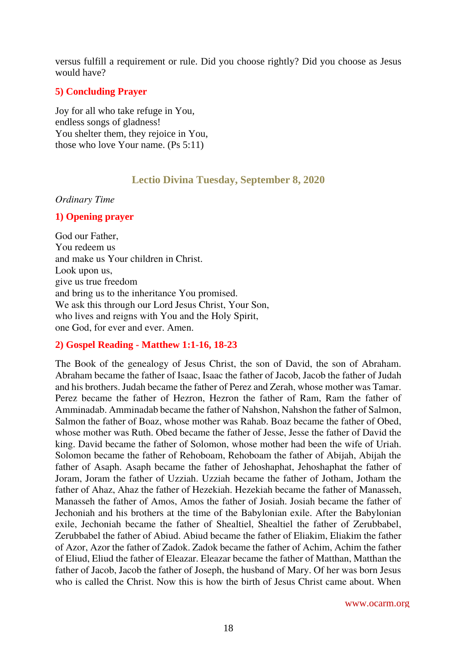versus fulfill a requirement or rule. Did you choose rightly? Did you choose as Jesus would have?

### **5) Concluding Prayer**

Joy for all who take refuge in You, endless songs of gladness! You shelter them, they rejoice in You, those who love Your name. (Ps 5:11)

# **Lectio Divina Tuesday, September 8, 2020**

<span id="page-17-0"></span>*Ordinary Time*

# **1) Opening prayer**

God our Father, You redeem us and make us Your children in Christ. Look upon us, give us true freedom and bring us to the inheritance You promised. We ask this through our Lord Jesus Christ, Your Son, who lives and reigns with You and the Holy Spirit, one God, for ever and ever. Amen.

#### **2) Gospel Reading - Matthew 1:1-16, 18-23**

The Book of the genealogy of Jesus Christ, the son of David, the son of Abraham. Abraham became the father of Isaac, Isaac the father of Jacob, Jacob the father of Judah and his brothers. Judah became the father of Perez and Zerah, whose mother was Tamar. Perez became the father of Hezron, Hezron the father of Ram, Ram the father of Amminadab. Amminadab became the father of Nahshon, Nahshon the father of Salmon, Salmon the father of Boaz, whose mother was Rahab. Boaz became the father of Obed, whose mother was Ruth. Obed became the father of Jesse, Jesse the father of David the king. David became the father of Solomon, whose mother had been the wife of Uriah. Solomon became the father of Rehoboam, Rehoboam the father of Abijah, Abijah the father of Asaph. Asaph became the father of Jehoshaphat, Jehoshaphat the father of Joram, Joram the father of Uzziah. Uzziah became the father of Jotham, Jotham the father of Ahaz, Ahaz the father of Hezekiah. Hezekiah became the father of Manasseh, Manasseh the father of Amos, Amos the father of Josiah. Josiah became the father of Jechoniah and his brothers at the time of the Babylonian exile. After the Babylonian exile, Jechoniah became the father of Shealtiel, Shealtiel the father of Zerubbabel, Zerubbabel the father of Abiud. Abiud became the father of Eliakim, Eliakim the father of Azor, Azor the father of Zadok. Zadok became the father of Achim, Achim the father of Eliud, Eliud the father of Eleazar. Eleazar became the father of Matthan, Matthan the father of Jacob, Jacob the father of Joseph, the husband of Mary. Of her was born Jesus who is called the Christ. Now this is how the birth of Jesus Christ came about. When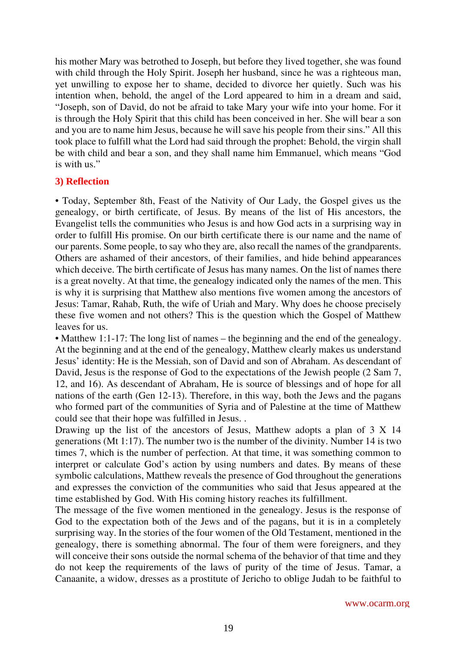his mother Mary was betrothed to Joseph, but before they lived together, she was found with child through the Holy Spirit. Joseph her husband, since he was a righteous man, yet unwilling to expose her to shame, decided to divorce her quietly. Such was his intention when, behold, the angel of the Lord appeared to him in a dream and said, "Joseph, son of David, do not be afraid to take Mary your wife into your home. For it is through the Holy Spirit that this child has been conceived in her. She will bear a son and you are to name him Jesus, because he will save his people from their sins." All this took place to fulfill what the Lord had said through the prophet: Behold, the virgin shall be with child and bear a son, and they shall name him Emmanuel, which means "God is with us."

#### **3) Reflection**

• Today, September 8th, Feast of the Nativity of Our Lady, the Gospel gives us the genealogy, or birth certificate, of Jesus. By means of the list of His ancestors, the Evangelist tells the communities who Jesus is and how God acts in a surprising way in order to fulfill His promise. On our birth certificate there is our name and the name of our parents. Some people, to say who they are, also recall the names of the grandparents. Others are ashamed of their ancestors, of their families, and hide behind appearances which deceive. The birth certificate of Jesus has many names. On the list of names there is a great novelty. At that time, the genealogy indicated only the names of the men. This is why it is surprising that Matthew also mentions five women among the ancestors of Jesus: Tamar, Rahab, Ruth, the wife of Uriah and Mary. Why does he choose precisely these five women and not others? This is the question which the Gospel of Matthew leaves for us.

• Matthew 1:1-17: The long list of names – the beginning and the end of the genealogy. At the beginning and at the end of the genealogy, Matthew clearly makes us understand Jesus' identity: He is the Messiah, son of David and son of Abraham. As descendant of David, Jesus is the response of God to the expectations of the Jewish people (2 Sam 7, 12, and 16). As descendant of Abraham, He is source of blessings and of hope for all nations of the earth (Gen 12-13). Therefore, in this way, both the Jews and the pagans who formed part of the communities of Syria and of Palestine at the time of Matthew could see that their hope was fulfilled in Jesus. .

Drawing up the list of the ancestors of Jesus, Matthew adopts a plan of 3 X 14 generations (Mt 1:17). The number two is the number of the divinity. Number 14 is two times 7, which is the number of perfection. At that time, it was something common to interpret or calculate God's action by using numbers and dates. By means of these symbolic calculations, Matthew reveals the presence of God throughout the generations and expresses the conviction of the communities who said that Jesus appeared at the time established by God. With His coming history reaches its fulfillment.

The message of the five women mentioned in the genealogy. Jesus is the response of God to the expectation both of the Jews and of the pagans, but it is in a completely surprising way. In the stories of the four women of the Old Testament, mentioned in the genealogy, there is something abnormal. The four of them were foreigners, and they will conceive their sons outside the normal schema of the behavior of that time and they do not keep the requirements of the laws of purity of the time of Jesus. Tamar, a Canaanite, a widow, dresses as a prostitute of Jericho to oblige Judah to be faithful to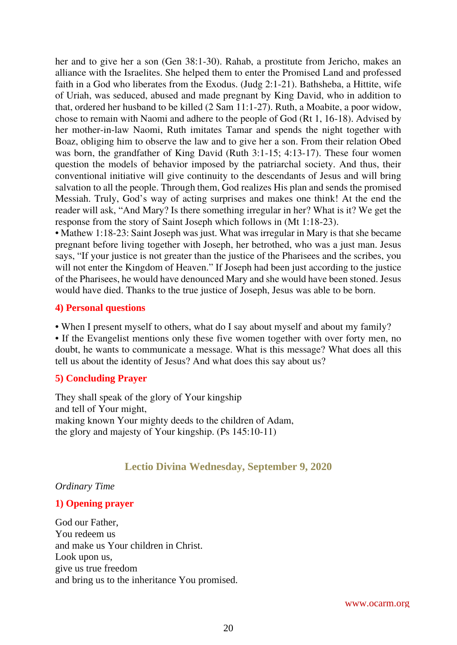her and to give her a son (Gen 38:1-30). Rahab, a prostitute from Jericho, makes an alliance with the Israelites. She helped them to enter the Promised Land and professed faith in a God who liberates from the Exodus. (Judg 2:1-21). Bathsheba, a Hittite, wife of Uriah, was seduced, abused and made pregnant by King David, who in addition to that, ordered her husband to be killed (2 Sam 11:1-27). Ruth, a Moabite, a poor widow, chose to remain with Naomi and adhere to the people of God (Rt 1, 16-18). Advised by her mother-in-law Naomi, Ruth imitates Tamar and spends the night together with Boaz, obliging him to observe the law and to give her a son. From their relation Obed was born, the grandfather of King David (Ruth 3:1-15; 4:13-17). These four women question the models of behavior imposed by the patriarchal society. And thus, their conventional initiative will give continuity to the descendants of Jesus and will bring salvation to all the people. Through them, God realizes His plan and sends the promised Messiah. Truly, God's way of acting surprises and makes one think! At the end the reader will ask, "And Mary? Is there something irregular in her? What is it? We get the response from the story of Saint Joseph which follows in (Mt 1:18-23).

• Mathew 1:18-23: Saint Joseph was just. What was irregular in Mary is that she became pregnant before living together with Joseph, her betrothed, who was a just man. Jesus says, "If your justice is not greater than the justice of the Pharisees and the scribes, you will not enter the Kingdom of Heaven." If Joseph had been just according to the justice of the Pharisees, he would have denounced Mary and she would have been stoned. Jesus would have died. Thanks to the true justice of Joseph, Jesus was able to be born.

#### **4) Personal questions**

• When I present myself to others, what do I say about myself and about my family?

• If the Evangelist mentions only these five women together with over forty men, no doubt, he wants to communicate a message. What is this message? What does all this tell us about the identity of Jesus? And what does this say about us?

# **5) Concluding Prayer**

They shall speak of the glory of Your kingship and tell of Your might, making known Your mighty deeds to the children of Adam, the glory and majesty of Your kingship. (Ps 145:10-11)

# **Lectio Divina Wednesday, September 9, 2020**

#### <span id="page-19-0"></span>*Ordinary Time*

# **1) Opening prayer**

God our Father, You redeem us and make us Your children in Christ. Look upon us, give us true freedom and bring us to the inheritance You promised.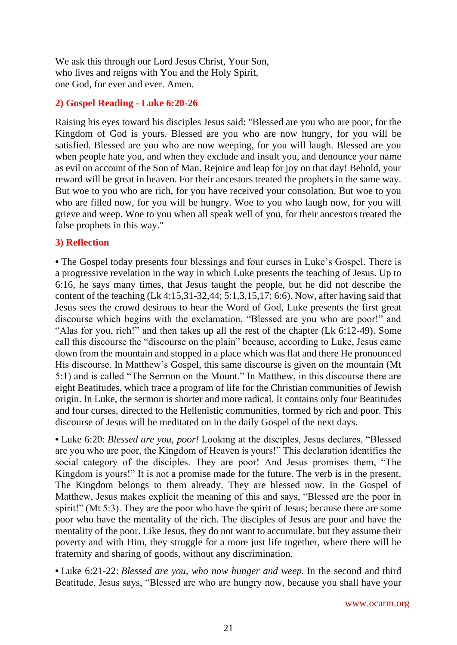We ask this through our Lord Jesus Christ, Your Son, who lives and reigns with You and the Holy Spirit, one God, for ever and ever. Amen.

### **2) Gospel Reading - Luke 6:20-26**

Raising his eyes toward his disciples Jesus said: "Blessed are you who are poor, for the Kingdom of God is yours. Blessed are you who are now hungry, for you will be satisfied. Blessed are you who are now weeping, for you will laugh. Blessed are you when people hate you, and when they exclude and insult you, and denounce your name as evil on account of the Son of Man. Rejoice and leap for joy on that day! Behold, your reward will be great in heaven. For their ancestors treated the prophets in the same way. But woe to you who are rich, for you have received your consolation. But woe to you who are filled now, for you will be hungry. Woe to you who laugh now, for you will grieve and weep. Woe to you when all speak well of you, for their ancestors treated the false prophets in this way."

### **3) Reflection**

**•** The Gospel today presents four blessings and four curses in Luke's Gospel. There is a progressive revelation in the way in which Luke presents the teaching of Jesus. Up to 6:16, he says many times, that Jesus taught the people, but he did not describe the content of the teaching (Lk 4:15,31-32,44; 5:1,3,15,17; 6:6). Now, after having said that Jesus sees the crowd desirous to hear the Word of God, Luke presents the first great discourse which begins with the exclamation, "Blessed are you who are poor!" and "Alas for you, rich!" and then takes up all the rest of the chapter (Lk 6:12-49). Some call this discourse the "discourse on the plain" because, according to Luke, Jesus came down from the mountain and stopped in a place which was flat and there He pronounced His discourse. In Matthew's Gospel, this same discourse is given on the mountain (Mt 5:1) and is called "The Sermon on the Mount." In Matthew, in this discourse there are eight Beatitudes, which trace a program of life for the Christian communities of Jewish origin. In Luke, the sermon is shorter and more radical. It contains only four Beatitudes and four curses, directed to the Hellenistic communities, formed by rich and poor. This discourse of Jesus will be meditated on in the daily Gospel of the next days.

**•** Luke 6:20: *Blessed are you, poor!* Looking at the disciples, Jesus declares, "Blessed are you who are poor, the Kingdom of Heaven is yours!" This declaration identifies the social category of the disciples. They are poor! And Jesus promises them, "The Kingdom is yours!" It is not a promise made for the future. The verb is in the present. The Kingdom belongs to them already. They are blessed now. In the Gospel of Matthew, Jesus makes explicit the meaning of this and says, "Blessed are the poor in spirit!" (Mt 5:3). They are the poor who have the spirit of Jesus; because there are some poor who have the mentality of the rich. The disciples of Jesus are poor and have the mentality of the poor. Like Jesus, they do not want to accumulate, but they assume their poverty and with Him, they struggle for a more just life together, where there will be fraternity and sharing of goods, without any discrimination.

**•** Luke 6:21-22: *Blessed are you, who now hunger and weep.* In the second and third Beatitude, Jesus says, "Blessed are who are hungry now, because you shall have your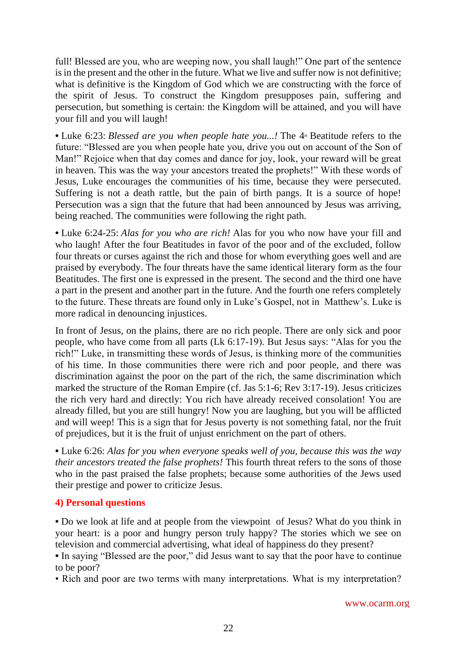full! Blessed are you, who are weeping now, you shall laugh!" One part of the sentence is in the present and the other in the future. What we live and suffer now is not definitive; what is definitive is the Kingdom of God which we are constructing with the force of the spirit of Jesus. To construct the Kingdom presupposes pain, suffering and persecution, but something is certain: the Kingdom will be attained, and you will have your fill and you will laugh!

• Luke 6:23: *Blessed are you when people hate you...!* The 4<sup>th</sup> Beatitude refers to the future: "Blessed are you when people hate you, drive you out on account of the Son of Man!" Rejoice when that day comes and dance for joy, look, your reward will be great in heaven. This was the way your ancestors treated the prophets!" With these words of Jesus, Luke encourages the communities of his time, because they were persecuted. Suffering is not a death rattle, but the pain of birth pangs. It is a source of hope! Persecution was a sign that the future that had been announced by Jesus was arriving, being reached. The communities were following the right path.

**•** Luke 6:24-25: *Alas for you who are rich!* Alas for you who now have your fill and who laugh! After the four Beatitudes in favor of the poor and of the excluded, follow four threats or curses against the rich and those for whom everything goes well and are praised by everybody. The four threats have the same identical literary form as the four Beatitudes. The first one is expressed in the present. The second and the third one have a part in the present and another part in the future. And the fourth one refers completely to the future. These threats are found only in Luke's Gospel, not in Matthew's. Luke is more radical in denouncing injustices.

In front of Jesus, on the plains, there are no rich people. There are only sick and poor people, who have come from all parts (Lk 6:17-19). But Jesus says: "Alas for you the rich!" Luke, in transmitting these words of Jesus, is thinking more of the communities of his time. In those communities there were rich and poor people, and there was discrimination against the poor on the part of the rich, the same discrimination which marked the structure of the Roman Empire (cf. Jas 5:1-6; Rev 3:17-19). Jesus criticizes the rich very hard and directly: You rich have already received consolation! You are already filled, but you are still hungry! Now you are laughing, but you will be afflicted and will weep! This is a sign that for Jesus poverty is not something fatal, nor the fruit of prejudices, but it is the fruit of unjust enrichment on the part of others.

**•** Luke 6:26: *Alas for you when everyone speaks well of you, because this was the way their ancestors treated the false prophets!* This fourth threat refers to the sons of those who in the past praised the false prophets; because some authorities of the Jews used their prestige and power to criticize Jesus.

# **4) Personal questions**

**•** Do we look at life and at people from the viewpoint of Jesus? What do you think in your heart: is a poor and hungry person truly happy? The stories which we see on television and commercial advertising, what ideal of happiness do they present?

**•** In saying "Blessed are the poor," did Jesus want to say that the poor have to continue to be poor?

• Rich and poor are two terms with many interpretations. What is my interpretation?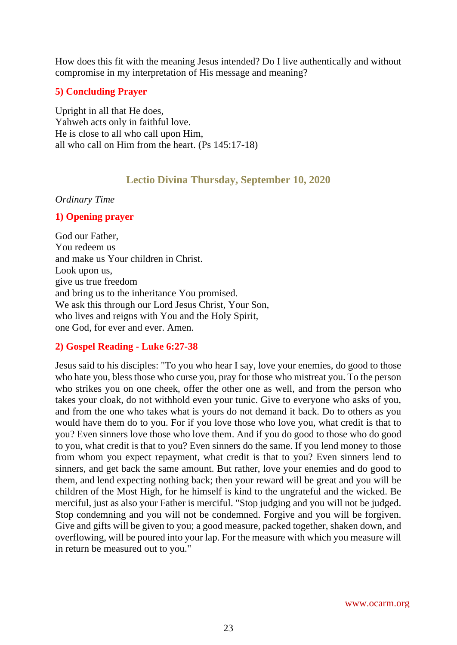How does this fit with the meaning Jesus intended? Do I live authentically and without compromise in my interpretation of His message and meaning?

### **5) Concluding Prayer**

Upright in all that He does, Yahweh acts only in faithful love. He is close to all who call upon Him, all who call on Him from the heart. (Ps 145:17-18)

# **Lectio Divina Thursday, September 10, 2020**

<span id="page-22-0"></span>*Ordinary Time*

# **1) Opening prayer**

God our Father, You redeem us and make us Your children in Christ. Look upon us, give us true freedom and bring us to the inheritance You promised. We ask this through our Lord Jesus Christ, Your Son, who lives and reigns with You and the Holy Spirit, one God, for ever and ever. Amen.

#### **2) Gospel Reading - Luke 6:27-38**

Jesus said to his disciples: "To you who hear I say, love your enemies, do good to those who hate you, bless those who curse you, pray for those who mistreat you. To the person who strikes you on one cheek, offer the other one as well, and from the person who takes your cloak, do not withhold even your tunic. Give to everyone who asks of you, and from the one who takes what is yours do not demand it back. Do to others as you would have them do to you. For if you love those who love you, what credit is that to you? Even sinners love those who love them. And if you do good to those who do good to you, what credit is that to you? Even sinners do the same. If you lend money to those from whom you expect repayment, what credit is that to you? Even sinners lend to sinners, and get back the same amount. But rather, love your enemies and do good to them, and lend expecting nothing back; then your reward will be great and you will be children of the Most High, for he himself is kind to the ungrateful and the wicked. Be merciful, just as also your Father is merciful. "Stop judging and you will not be judged. Stop condemning and you will not be condemned. Forgive and you will be forgiven. Give and gifts will be given to you; a good measure, packed together, shaken down, and overflowing, will be poured into your lap. For the measure with which you measure will in return be measured out to you."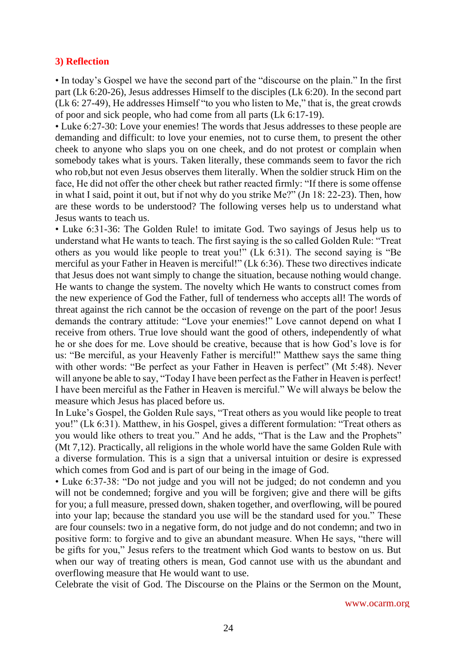### **3) Reflection**

• In today's Gospel we have the second part of the "discourse on the plain." In the first part (Lk 6:20-26), Jesus addresses Himself to the disciples (Lk 6:20). In the second part (Lk 6: 27-49), He addresses Himself "to you who listen to Me," that is, the great crowds of poor and sick people, who had come from all parts (Lk 6:17-19).

• Luke 6:27-30: Love your enemies! The words that Jesus addresses to these people are demanding and difficult: to love your enemies, not to curse them, to present the other cheek to anyone who slaps you on one cheek, and do not protest or complain when somebody takes what is yours. Taken literally, these commands seem to favor the rich who rob,but not even Jesus observes them literally. When the soldier struck Him on the face, He did not offer the other cheek but rather reacted firmly: "If there is some offense in what I said, point it out, but if not why do you strike Me?" (Jn 18: 22-23). Then, how are these words to be understood? The following verses help us to understand what Jesus wants to teach us.

• Luke 6:31-36: The Golden Rule! to imitate God. Two sayings of Jesus help us to understand what He wants to teach. The first saying is the so called Golden Rule: "Treat others as you would like people to treat you!" (Lk 6:31). The second saying is "Be merciful as your Father in Heaven is merciful!" (Lk 6:36). These two directives indicate that Jesus does not want simply to change the situation, because nothing would change. He wants to change the system. The novelty which He wants to construct comes from the new experience of God the Father, full of tenderness who accepts all! The words of threat against the rich cannot be the occasion of revenge on the part of the poor! Jesus demands the contrary attitude: "Love your enemies!" Love cannot depend on what I receive from others. True love should want the good of others, independently of what he or she does for me. Love should be creative, because that is how God's love is for us: "Be merciful, as your Heavenly Father is merciful!" Matthew says the same thing with other words: "Be perfect as your Father in Heaven is perfect" (Mt 5:48). Never will anyone be able to say, "Today I have been perfect as the Father in Heaven is perfect! I have been merciful as the Father in Heaven is merciful." We will always be below the measure which Jesus has placed before us.

In Luke's Gospel, the Golden Rule says, "Treat others as you would like people to treat you!" (Lk 6:31). Matthew, in his Gospel, gives a different formulation: "Treat others as you would like others to treat you." And he adds, "That is the Law and the Prophets" (Mt 7,12). Practically, all religions in the whole world have the same Golden Rule with a diverse formulation. This is a sign that a universal intuition or desire is expressed which comes from God and is part of our being in the image of God.

• Luke 6:37-38: "Do not judge and you will not be judged; do not condemn and you will not be condemned; forgive and you will be forgiven; give and there will be gifts for you; a full measure, pressed down, shaken together, and overflowing, will be poured into your lap; because the standard you use will be the standard used for you." These are four counsels: two in a negative form, do not judge and do not condemn; and two in positive form: to forgive and to give an abundant measure. When He says, "there will be gifts for you," Jesus refers to the treatment which God wants to bestow on us. But when our way of treating others is mean, God cannot use with us the abundant and overflowing measure that He would want to use.

Celebrate the visit of God. The Discourse on the Plains or the Sermon on the Mount,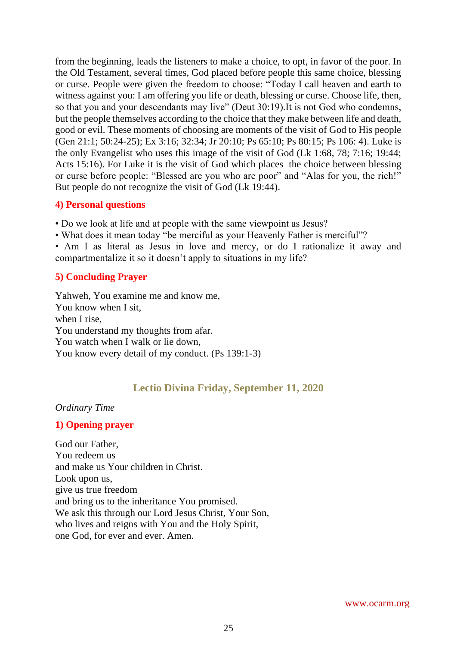from the beginning, leads the listeners to make a choice, to opt, in favor of the poor. In the Old Testament, several times, God placed before people this same choice, blessing or curse. People were given the freedom to choose: "Today I call heaven and earth to witness against you: I am offering you life or death, blessing or curse. Choose life, then, so that you and your descendants may live" (Deut 30:19).It is not God who condemns, but the people themselves according to the choice that they make between life and death, good or evil. These moments of choosing are moments of the visit of God to His people (Gen 21:1; 50:24-25); Ex 3:16; 32:34; Jr 20:10; Ps 65:10; Ps 80:15; Ps 106: 4). Luke is the only Evangelist who uses this image of the visit of God (Lk 1:68, 78; 7:16; 19:44; Acts 15:16). For Luke it is the visit of God which places the choice between blessing or curse before people: "Blessed are you who are poor" and "Alas for you, the rich!" But people do not recognize the visit of God (Lk 19:44).

#### **4) Personal questions**

• Do we look at life and at people with the same viewpoint as Jesus?

• What does it mean today "be merciful as your Heavenly Father is merciful"?

• Am I as literal as Jesus in love and mercy, or do I rationalize it away and compartmentalize it so it doesn't apply to situations in my life?

# **5) Concluding Prayer**

Yahweh, You examine me and know me, You know when I sit, when I rise, You understand my thoughts from afar. You watch when I walk or lie down, You know every detail of my conduct. (Ps 139:1-3)

# **Lectio Divina Friday, September 11, 2020**

#### <span id="page-24-0"></span>*Ordinary Time*

# **1) Opening prayer**

God our Father, You redeem us and make us Your children in Christ. Look upon us, give us true freedom and bring us to the inheritance You promised. We ask this through our Lord Jesus Christ, Your Son, who lives and reigns with You and the Holy Spirit, one God, for ever and ever. Amen.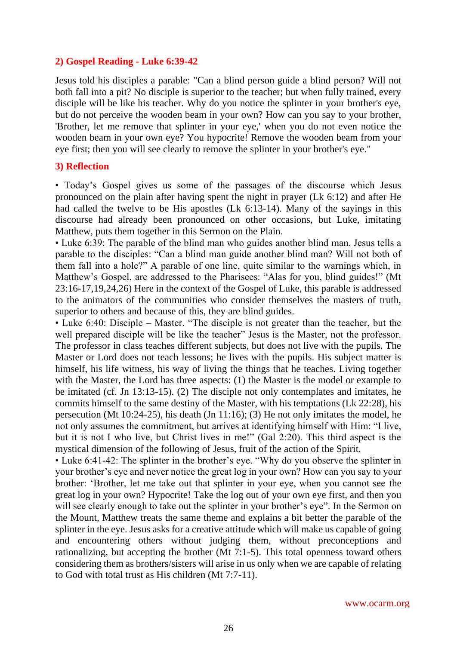### **2) Gospel Reading - Luke 6:39-42**

Jesus told his disciples a parable: "Can a blind person guide a blind person? Will not both fall into a pit? No disciple is superior to the teacher; but when fully trained, every disciple will be like his teacher. Why do you notice the splinter in your brother's eye, but do not perceive the wooden beam in your own? How can you say to your brother, 'Brother, let me remove that splinter in your eye,' when you do not even notice the wooden beam in your own eye? You hypocrite! Remove the wooden beam from your eye first; then you will see clearly to remove the splinter in your brother's eye."

### **3) Reflection**

• Today's Gospel gives us some of the passages of the discourse which Jesus pronounced on the plain after having spent the night in prayer (Lk 6:12) and after He had called the twelve to be His apostles (Lk 6:13-14). Many of the sayings in this discourse had already been pronounced on other occasions, but Luke, imitating Matthew, puts them together in this Sermon on the Plain.

• Luke 6:39: The parable of the blind man who guides another blind man. Jesus tells a parable to the disciples: "Can a blind man guide another blind man? Will not both of them fall into a hole?" A parable of one line, quite similar to the warnings which, in Matthew's Gospel, are addressed to the Pharisees: "Alas for you, blind guides!" (Mt 23:16-17,19,24,26) Here in the context of the Gospel of Luke, this parable is addressed to the animators of the communities who consider themselves the masters of truth, superior to others and because of this, they are blind guides.

• Luke 6:40: Disciple – Master. "The disciple is not greater than the teacher, but the well prepared disciple will be like the teacher" Jesus is the Master, not the professor. The professor in class teaches different subjects, but does not live with the pupils. The Master or Lord does not teach lessons; he lives with the pupils. His subject matter is himself, his life witness, his way of living the things that he teaches. Living together with the Master, the Lord has three aspects: (1) the Master is the model or example to be imitated (cf. Jn 13:13-15). (2) The disciple not only contemplates and imitates, he commits himself to the same destiny of the Master, with his temptations (Lk 22:28), his persecution (Mt 10:24-25), his death (Jn 11:16); (3) He not only imitates the model, he not only assumes the commitment, but arrives at identifying himself with Him: "I live, but it is not I who live, but Christ lives in me!" (Gal 2:20). This third aspect is the mystical dimension of the following of Jesus, fruit of the action of the Spirit.

• Luke 6:41-42: The splinter in the brother's eye. "Why do you observe the splinter in your brother's eye and never notice the great log in your own? How can you say to your brother: 'Brother, let me take out that splinter in your eye, when you cannot see the great log in your own? Hypocrite! Take the log out of your own eye first, and then you will see clearly enough to take out the splinter in your brother's eye". In the Sermon on the Mount, Matthew treats the same theme and explains a bit better the parable of the splinter in the eye. Jesus asks for a creative attitude which will make us capable of going and encountering others without judging them, without preconceptions and rationalizing, but accepting the brother (Mt 7:1-5). This total openness toward others considering them as brothers/sisters will arise in us only when we are capable of relating to God with total trust as His children (Mt 7:7-11).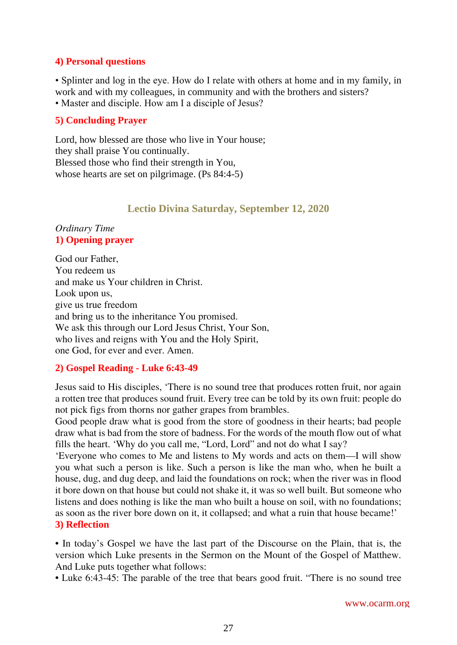### **4) Personal questions**

• Splinter and log in the eye. How do I relate with others at home and in my family, in work and with my colleagues, in community and with the brothers and sisters? • Master and disciple. How am I a disciple of Jesus?

# **5) Concluding Prayer**

Lord, how blessed are those who live in Your house; they shall praise You continually. Blessed those who find their strength in You, whose hearts are set on pilgrimage. (Ps 84:4-5)

# **Lectio Divina Saturday, September 12, 2020**

### <span id="page-26-0"></span>*Ordinary Time* **1) Opening prayer**

God our Father, You redeem us and make us Your children in Christ. Look upon us, give us true freedom and bring us to the inheritance You promised. We ask this through our Lord Jesus Christ, Your Son, who lives and reigns with You and the Holy Spirit, one God, for ever and ever. Amen.

# **2) Gospel Reading - Luke 6:43-49**

Jesus said to His disciples, 'There is no sound tree that produces rotten fruit, nor again a rotten tree that produces sound fruit. Every tree can be told by its own fruit: people do not pick figs from thorns nor gather grapes from brambles.

Good people draw what is good from the store of goodness in their hearts; bad people draw what is bad from the store of badness. For the words of the mouth flow out of what fills the heart. 'Why do you call me, "Lord, Lord" and not do what I say?

'Everyone who comes to Me and listens to My words and acts on them—I will show you what such a person is like. Such a person is like the man who, when he built a house, dug, and dug deep, and laid the foundations on rock; when the river was in flood it bore down on that house but could not shake it, it was so well built. But someone who listens and does nothing is like the man who built a house on soil, with no foundations; as soon as the river bore down on it, it collapsed; and what a ruin that house became!' **3) Reflection**

• In today's Gospel we have the last part of the Discourse on the Plain, that is, the version which Luke presents in the Sermon on the Mount of the Gospel of Matthew. And Luke puts together what follows:

• Luke 6:43-45: The parable of the tree that bears good fruit. "There is no sound tree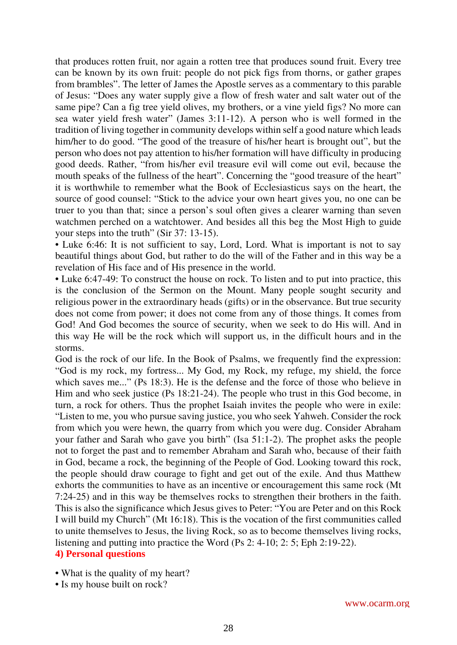that produces rotten fruit, nor again a rotten tree that produces sound fruit. Every tree can be known by its own fruit: people do not pick figs from thorns, or gather grapes from brambles". The letter of James the Apostle serves as a commentary to this parable of Jesus: "Does any water supply give a flow of fresh water and salt water out of the same pipe? Can a fig tree yield olives, my brothers, or a vine yield figs? No more can sea water yield fresh water" (James 3:11-12). A person who is well formed in the tradition of living together in community develops within self a good nature which leads him/her to do good. "The good of the treasure of his/her heart is brought out", but the person who does not pay attention to his/her formation will have difficulty in producing good deeds. Rather, "from his/her evil treasure evil will come out evil, because the mouth speaks of the fullness of the heart". Concerning the "good treasure of the heart" it is worthwhile to remember what the Book of Ecclesiasticus says on the heart, the source of good counsel: "Stick to the advice your own heart gives you, no one can be truer to you than that; since a person's soul often gives a clearer warning than seven watchmen perched on a watchtower. And besides all this beg the Most High to guide your steps into the truth" (Sir 37: 13-15).

• Luke 6:46: It is not sufficient to say, Lord, Lord. What is important is not to say beautiful things about God, but rather to do the will of the Father and in this way be a revelation of His face and of His presence in the world.

• Luke 6:47-49: To construct the house on rock. To listen and to put into practice, this is the conclusion of the Sermon on the Mount. Many people sought security and religious power in the extraordinary heads (gifts) or in the observance. But true security does not come from power; it does not come from any of those things. It comes from God! And God becomes the source of security, when we seek to do His will. And in this way He will be the rock which will support us, in the difficult hours and in the storms.

God is the rock of our life. In the Book of Psalms, we frequently find the expression: "God is my rock, my fortress... My God, my Rock, my refuge, my shield, the force which saves me..." (Ps 18:3). He is the defense and the force of those who believe in Him and who seek justice (Ps 18:21-24). The people who trust in this God become, in turn, a rock for others. Thus the prophet Isaiah invites the people who were in exile: "Listen to me, you who pursue saving justice, you who seek Yahweh. Consider the rock from which you were hewn, the quarry from which you were dug. Consider Abraham your father and Sarah who gave you birth" (Isa 51:1-2). The prophet asks the people not to forget the past and to remember Abraham and Sarah who, because of their faith in God, became a rock, the beginning of the People of God. Looking toward this rock, the people should draw courage to fight and get out of the exile. And thus Matthew exhorts the communities to have as an incentive or encouragement this same rock (Mt 7:24-25) and in this way be themselves rocks to strengthen their brothers in the faith. This is also the significance which Jesus gives to Peter: "You are Peter and on this Rock I will build my Church" (Mt 16:18). This is the vocation of the first communities called to unite themselves to Jesus, the living Rock, so as to become themselves living rocks, listening and putting into practice the Word (Ps 2: 4-10; 2: 5; Eph 2:19-22). **4) Personal questions**

- What is the quality of my heart?
- Is my house built on rock?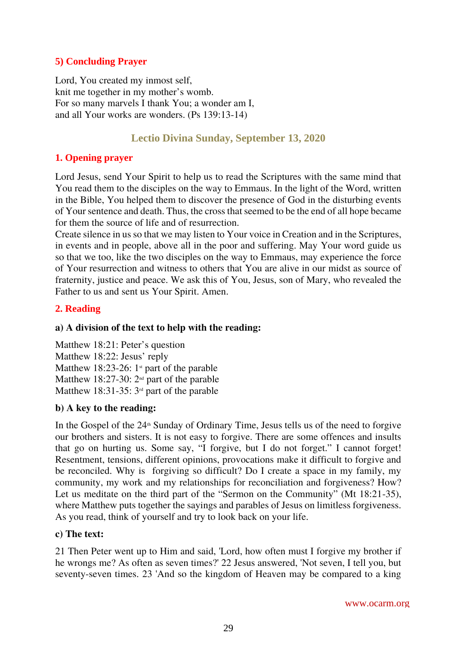# **5) Concluding Prayer**

Lord, You created my inmost self, knit me together in my mother's womb. For so many marvels I thank You; a wonder am I, and all Your works are wonders. (Ps 139:13-14)

# **Lectio Divina Sunday, September 13, 2020**

### <span id="page-28-0"></span>**1. Opening prayer**

Lord Jesus, send Your Spirit to help us to read the Scriptures with the same mind that You read them to the disciples on the way to Emmaus. In the light of the Word, written in the Bible, You helped them to discover the presence of God in the disturbing events of Your sentence and death. Thus, the cross that seemed to be the end of all hope became for them the source of life and of resurrection.

Create silence in us so that we may listen to Your voice in Creation and in the Scriptures, in events and in people, above all in the poor and suffering. May Your word guide us so that we too, like the two disciples on the way to Emmaus, may experience the force of Your resurrection and witness to others that You are alive in our midst as source of fraternity, justice and peace. We ask this of You, Jesus, son of Mary, who revealed the Father to us and sent us Your Spirit. Amen.

# **2. Reading**

#### **a) A division of the text to help with the reading:**

Matthew 18:21: Peter's question Matthew 18:22: Jesus' reply Matthew 18:23-26:  $1<sup>st</sup>$  part of the parable Matthew 18:27-30: 2<sup>nd</sup> part of the parable Matthew 18:31-35: 3<sup>rd</sup> part of the parable

#### **b) A key to the reading:**

In the Gospel of the  $24<sup>th</sup>$  Sunday of Ordinary Time, Jesus tells us of the need to forgive our brothers and sisters. It is not easy to forgive. There are some offences and insults that go on hurting us. Some say, "I forgive, but I do not forget." I cannot forget! Resentment, tensions, different opinions, provocations make it difficult to forgive and be reconciled. Why is forgiving so difficult? Do I create a space in my family, my community, my work and my relationships for reconciliation and forgiveness? How? Let us meditate on the third part of the "Sermon on the Community" (Mt 18:21-35), where Matthew puts together the sayings and parables of Jesus on limitless forgiveness. As you read, think of yourself and try to look back on your life.

#### **c) The text:**

21 Then Peter went up to Him and said, 'Lord, how often must I forgive my brother if he wrongs me? As often as seven times?' 22 Jesus answered, 'Not seven, I tell you, but seventy-seven times. 23 'And so the kingdom of Heaven may be compared to a king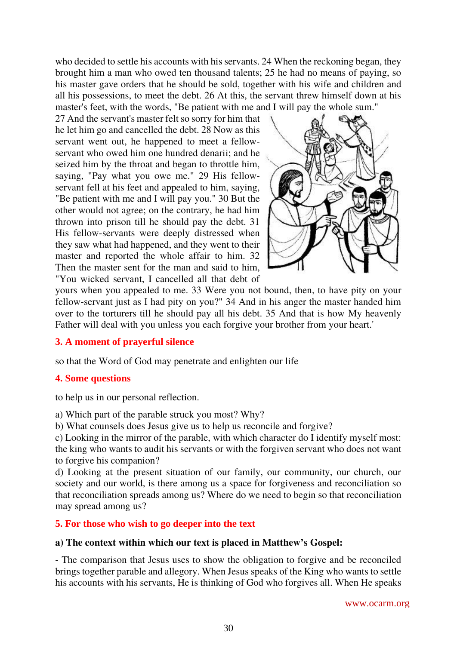who decided to settle his accounts with his servants. 24 When the reckoning began, they brought him a man who owed ten thousand talents; 25 he had no means of paying, so his master gave orders that he should be sold, together with his wife and children and all his possessions, to meet the debt. 26 At this, the servant threw himself down at his master's feet, with the words, "Be patient with me and I will pay the whole sum."

27 And the servant's master felt so sorry for him that he let him go and cancelled the debt. 28 Now as this servant went out, he happened to meet a fellowservant who owed him one hundred denarii; and he seized him by the throat and began to throttle him, saying, "Pay what you owe me." 29 His fellowservant fell at his feet and appealed to him, saying, "Be patient with me and I will pay you." 30 But the other would not agree; on the contrary, he had him thrown into prison till he should pay the debt. 31 His fellow-servants were deeply distressed when they saw what had happened, and they went to their master and reported the whole affair to him. 32 Then the master sent for the man and said to him, "You wicked servant, I cancelled all that debt of



yours when you appealed to me. 33 Were you not bound, then, to have pity on your fellow-servant just as I had pity on you?" 34 And in his anger the master handed him over to the torturers till he should pay all his debt. 35 And that is how My heavenly Father will deal with you unless you each forgive your brother from your heart.'

# **3. A moment of prayerful silence**

so that the Word of God may penetrate and enlighten our life

# **4. Some questions**

to help us in our personal reflection.

a) Which part of the parable struck you most? Why?

b) What counsels does Jesus give us to help us reconcile and forgive?

c) Looking in the mirror of the parable, with which character do I identify myself most: the king who wants to audit his servants or with the forgiven servant who does not want to forgive his companion?

d) Looking at the present situation of our family, our community, our church, our society and our world, is there among us a space for forgiveness and reconciliation so that reconciliation spreads among us? Where do we need to begin so that reconciliation may spread among us?

# **5. For those who wish to go deeper into the text**

# **a) The context within which our text is placed in Matthew's Gospel:**

- The comparison that Jesus uses to show the obligation to forgive and be reconciled brings together parable and allegory. When Jesus speaks of the King who wants to settle his accounts with his servants, He is thinking of God who forgives all. When He speaks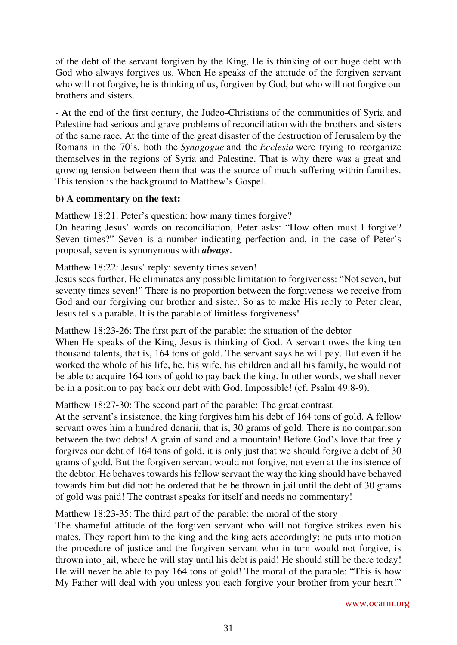of the debt of the servant forgiven by the King, He is thinking of our huge debt with God who always forgives us. When He speaks of the attitude of the forgiven servant who will not forgive, he is thinking of us, forgiven by God, but who will not forgive our brothers and sisters.

- At the end of the first century, the Judeo-Christians of the communities of Syria and Palestine had serious and grave problems of reconciliation with the brothers and sisters of the same race. At the time of the great disaster of the destruction of Jerusalem by the Romans in the 70's, both the *Synagogue* and the *Ecclesia* were trying to reorganize themselves in the regions of Syria and Palestine. That is why there was a great and growing tension between them that was the source of much suffering within families. This tension is the background to Matthew's Gospel.

# **b) A commentary on the text:**

Matthew 18:21: Peter's question: how many times forgive?

On hearing Jesus' words on reconciliation, Peter asks: "How often must I forgive? Seven times?" Seven is a number indicating perfection and, in the case of Peter's proposal, seven is synonymous with *always*.

Matthew 18:22: Jesus' reply: seventy times seven!

Jesus sees further. He eliminates any possible limitation to forgiveness: "Not seven, but seventy times seven!" There is no proportion between the forgiveness we receive from God and our forgiving our brother and sister. So as to make His reply to Peter clear, Jesus tells a parable. It is the parable of limitless forgiveness!

Matthew 18:23-26: The first part of the parable: the situation of the debtor

When He speaks of the King, Jesus is thinking of God. A servant owes the king ten thousand talents, that is, 164 tons of gold. The servant says he will pay. But even if he worked the whole of his life, he, his wife, his children and all his family, he would not be able to acquire 164 tons of gold to pay back the king. In other words, we shall never be in a position to pay back our debt with God. Impossible! (cf. Psalm 49:8-9).

Matthew 18:27-30: The second part of the parable: The great contrast

At the servant's insistence, the king forgives him his debt of 164 tons of gold. A fellow servant owes him a hundred denarii, that is, 30 grams of gold. There is no comparison between the two debts! A grain of sand and a mountain! Before God's love that freely forgives our debt of 164 tons of gold, it is only just that we should forgive a debt of 30 grams of gold. But the forgiven servant would not forgive, not even at the insistence of the debtor. He behaves towards his fellow servant the way the king should have behaved towards him but did not: he ordered that he be thrown in jail until the debt of 30 grams of gold was paid! The contrast speaks for itself and needs no commentary!

Matthew 18:23-35: The third part of the parable: the moral of the story

The shameful attitude of the forgiven servant who will not forgive strikes even his mates. They report him to the king and the king acts accordingly: he puts into motion the procedure of justice and the forgiven servant who in turn would not forgive, is thrown into jail, where he will stay until his debt is paid! He should still be there today! He will never be able to pay 164 tons of gold! The moral of the parable: "This is how My Father will deal with you unless you each forgive your brother from your heart!"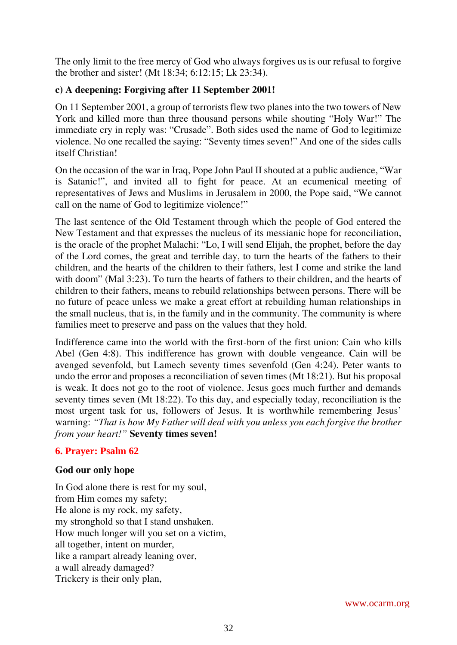The only limit to the free mercy of God who always forgives us is our refusal to forgive the brother and sister! (Mt 18:34; 6:12:15; Lk 23:34).

# **c) A deepening: Forgiving after 11 September 2001!**

On 11 September 2001, a group of terrorists flew two planes into the two towers of New York and killed more than three thousand persons while shouting "Holy War!" The immediate cry in reply was: "Crusade". Both sides used the name of God to legitimize violence. No one recalled the saying: "Seventy times seven!" And one of the sides calls itself Christian!

On the occasion of the war in Iraq, Pope John Paul II shouted at a public audience, "War is Satanic!", and invited all to fight for peace. At an ecumenical meeting of representatives of Jews and Muslims in Jerusalem in 2000, the Pope said, "We cannot call on the name of God to legitimize violence!"

The last sentence of the Old Testament through which the people of God entered the New Testament and that expresses the nucleus of its messianic hope for reconciliation, is the oracle of the prophet Malachi: "Lo, I will send Elijah, the prophet, before the day of the Lord comes, the great and terrible day, to turn the hearts of the fathers to their children, and the hearts of the children to their fathers, lest I come and strike the land with doom" (Mal 3:23). To turn the hearts of fathers to their children, and the hearts of children to their fathers, means to rebuild relationships between persons. There will be no future of peace unless we make a great effort at rebuilding human relationships in the small nucleus, that is, in the family and in the community. The community is where families meet to preserve and pass on the values that they hold.

Indifference came into the world with the first-born of the first union: Cain who kills Abel (Gen 4:8). This indifference has grown with double vengeance. Cain will be avenged sevenfold, but Lamech seventy times sevenfold (Gen 4:24). Peter wants to undo the error and proposes a reconciliation of seven times (Mt 18:21). But his proposal is weak. It does not go to the root of violence. Jesus goes much further and demands seventy times seven (Mt 18:22). To this day, and especially today, reconciliation is the most urgent task for us, followers of Jesus. It is worthwhile remembering Jesus' warning: *"That is how My Father will deal with you unless you each forgive the brother from your heart!"* **Seventy times seven!**

# **6. Prayer: Psalm 62**

#### **God our only hope**

In God alone there is rest for my soul, from Him comes my safety; He alone is my rock, my safety, my stronghold so that I stand unshaken. How much longer will you set on a victim, all together, intent on murder, like a rampart already leaning over, a wall already damaged? Trickery is their only plan,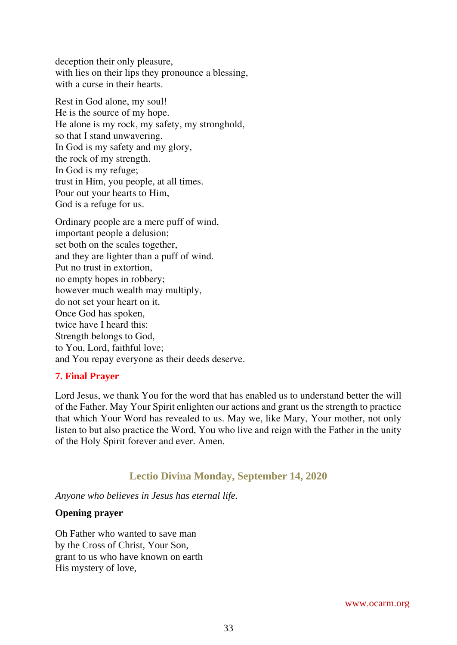deception their only pleasure, with lies on their lips they pronounce a blessing, with a curse in their hearts.

Rest in God alone, my soul! He is the source of my hope. He alone is my rock, my safety, my stronghold, so that I stand unwavering. In God is my safety and my glory, the rock of my strength. In God is my refuge; trust in Him, you people, at all times. Pour out your hearts to Him, God is a refuge for us.

Ordinary people are a mere puff of wind, important people a delusion; set both on the scales together, and they are lighter than a puff of wind. Put no trust in extortion, no empty hopes in robbery; however much wealth may multiply, do not set your heart on it. Once God has spoken, twice have I heard this: Strength belongs to God, to You, Lord, faithful love; and You repay everyone as their deeds deserve.

# **7. Final Prayer**

Lord Jesus, we thank You for the word that has enabled us to understand better the will of the Father. May Your Spirit enlighten our actions and grant us the strength to practice that which Your Word has revealed to us. May we, like Mary, Your mother, not only listen to but also practice the Word, You who live and reign with the Father in the unity of the Holy Spirit forever and ever. Amen.

# **Lectio Divina Monday, September 14, 2020**

<span id="page-32-0"></span>*Anyone who believes in Jesus has eternal life.*

# **Opening prayer**

Oh Father who wanted to save man by the Cross of Christ, Your Son, grant to us who have known on earth His mystery of love,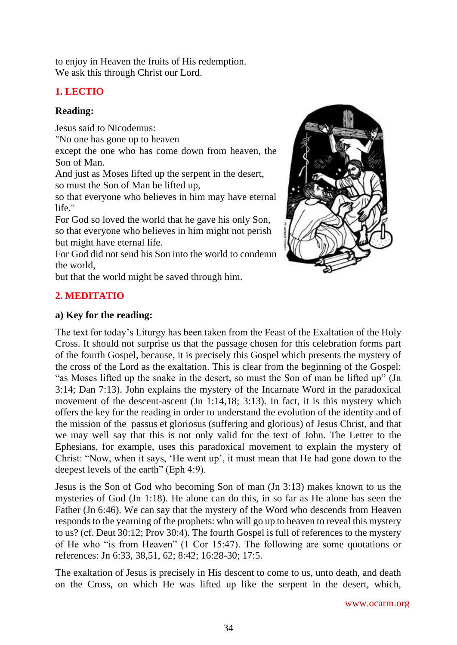to enjoy in Heaven the fruits of His redemption. We ask this through Christ our Lord.

# **1. LECTIO**

# **Reading:**

Jesus said to Nicodemus: "No one has gone up to heaven except the one who has come down from heaven, the Son of Man.

And just as Moses lifted up the serpent in the desert, so must the Son of Man be lifted up,

so that everyone who believes in him may have eternal life."

For God so loved the world that he gave his only Son, so that everyone who believes in him might not perish but might have eternal life.

For God did not send his Son into the world to condemn the world,

but that the world might be saved through him.

# **2. MEDITATIO**

# **a) Key for the reading:**



The text for today's Liturgy has been taken from the Feast of the Exaltation of the Holy Cross. It should not surprise us that the passage chosen for this celebration forms part of the fourth Gospel, because, it is precisely this Gospel which presents the mystery of the cross of the Lord as the exaltation. This is clear from the beginning of the Gospel: "as Moses lifted up the snake in the desert, so must the Son of man be lifted up" (Jn 3:14; Dan 7:13). John explains the mystery of the Incarnate Word in the paradoxical movement of the descent-ascent (Jn 1:14,18; 3:13). In fact, it is this mystery which offers the key for the reading in order to understand the evolution of the identity and of the mission of the passus et gloriosus (suffering and glorious) of Jesus Christ, and that we may well say that this is not only valid for the text of John. The Letter to the Ephesians, for example, uses this paradoxical movement to explain the mystery of Christ: "Now, when it says, 'He went up', it must mean that He had gone down to the deepest levels of the earth" (Eph 4:9).

Jesus is the Son of God who becoming Son of man (Jn 3:13) makes known to us the mysteries of God (Jn 1:18). He alone can do this, in so far as He alone has seen the Father (Jn 6:46). We can say that the mystery of the Word who descends from Heaven responds to the yearning of the prophets: who will go up to heaven to reveal this mystery to us? (cf. Deut 30:12; Prov 30:4). The fourth Gospel is full of references to the mystery of He who "is from Heaven" (1 Cor 15:47). The following are some quotations or references: Jn 6:33, 38,51, 62; 8:42; 16:28-30; 17:5.

The exaltation of Jesus is precisely in His descent to come to us, unto death, and death on the Cross, on which He was lifted up like the serpent in the desert, which,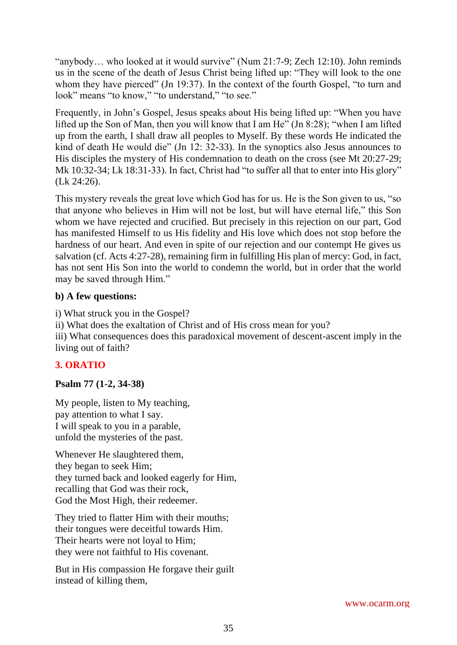"anybody… who looked at it would survive" (Num 21:7-9; Zech 12:10). John reminds us in the scene of the death of Jesus Christ being lifted up: "They will look to the one whom they have pierced" (Jn 19:37). In the context of the fourth Gospel, "to turn and look" means "to know," "to understand," "to see."

Frequently, in John's Gospel, Jesus speaks about His being lifted up: "When you have lifted up the Son of Man, then you will know that I am He" (Jn 8:28); "when I am lifted up from the earth, I shall draw all peoples to Myself. By these words He indicated the kind of death He would die" (Jn 12: 32-33). In the synoptics also Jesus announces to His disciples the mystery of His condemnation to death on the cross (see Mt 20:27-29; Mk 10:32-34; Lk 18:31-33). In fact, Christ had "to suffer all that to enter into His glory" (Lk 24:26).

This mystery reveals the great love which God has for us. He is the Son given to us, "so that anyone who believes in Him will not be lost, but will have eternal life," this Son whom we have rejected and crucified. But precisely in this rejection on our part, God has manifested Himself to us His fidelity and His love which does not stop before the hardness of our heart. And even in spite of our rejection and our contempt He gives us salvation (cf. Acts 4:27-28), remaining firm in fulfilling His plan of mercy: God, in fact, has not sent His Son into the world to condemn the world, but in order that the world may be saved through Him."

# **b) A few questions:**

i) What struck you in the Gospel?

ii) What does the exaltation of Christ and of His cross mean for you?

iii) What consequences does this paradoxical movement of descent-ascent imply in the living out of faith?

# **3. ORATIO**

# **Psalm 77 (1-2, 34-38)**

My people, listen to My teaching, pay attention to what I say. I will speak to you in a parable, unfold the mysteries of the past.

Whenever He slaughtered them, they began to seek Him; they turned back and looked eagerly for Him, recalling that God was their rock, God the Most High, their redeemer.

They tried to flatter Him with their mouths; their tongues were deceitful towards Him. Their hearts were not loyal to Him; they were not faithful to His covenant.

But in His compassion He forgave their guilt instead of killing them,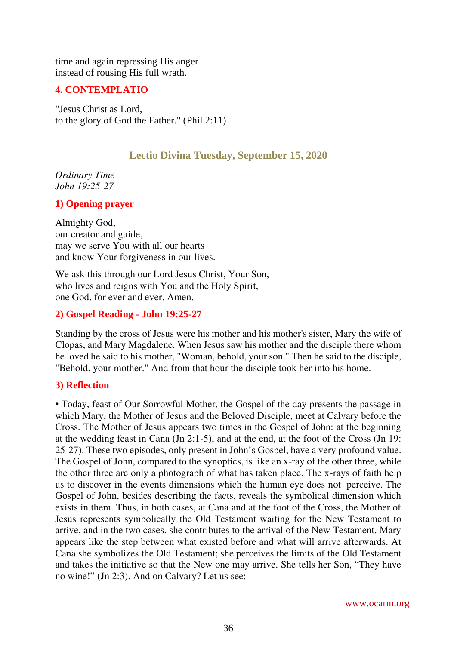time and again repressing His anger instead of rousing His full wrath.

#### **4. CONTEMPLATIO**

"Jesus Christ as Lord, to the glory of God the Father." (Phil 2:11)

# **Lectio Divina Tuesday, September 15, 2020**

<span id="page-35-0"></span>*Ordinary Time John 19:25-27*

### **1) Opening prayer**

Almighty God, our creator and guide, may we serve You with all our hearts and know Your forgiveness in our lives.

We ask this through our Lord Jesus Christ, Your Son, who lives and reigns with You and the Holy Spirit, one God, for ever and ever. Amen.

### **2) Gospel Reading - John 19:25-27**

Standing by the cross of Jesus were his mother and his mother's sister, Mary the wife of Clopas, and Mary Magdalene. When Jesus saw his mother and the disciple there whom he loved he said to his mother, "Woman, behold, your son." Then he said to the disciple, "Behold, your mother." And from that hour the disciple took her into his home.

#### **3) Reflection**

• Today, feast of Our Sorrowful Mother, the Gospel of the day presents the passage in which Mary, the Mother of Jesus and the Beloved Disciple, meet at Calvary before the Cross. The Mother of Jesus appears two times in the Gospel of John: at the beginning at the wedding feast in Cana (Jn 2:1-5), and at the end, at the foot of the Cross (Jn 19: 25-27). These two episodes, only present in John's Gospel, have a very profound value. The Gospel of John, compared to the synoptics, is like an x-ray of the other three, while the other three are only a photograph of what has taken place. The x-rays of faith help us to discover in the events dimensions which the human eye does not perceive. The Gospel of John, besides describing the facts, reveals the symbolical dimension which exists in them. Thus, in both cases, at Cana and at the foot of the Cross, the Mother of Jesus represents symbolically the Old Testament waiting for the New Testament to arrive, and in the two cases, she contributes to the arrival of the New Testament. Mary appears like the step between what existed before and what will arrive afterwards. At Cana she symbolizes the Old Testament; she perceives the limits of the Old Testament and takes the initiative so that the New one may arrive. She tells her Son, "They have no wine!" (Jn 2:3). And on Calvary? Let us see: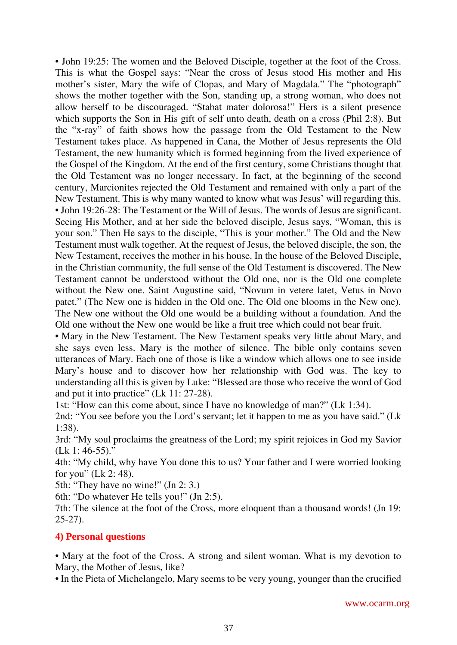• John 19:25: The women and the Beloved Disciple, together at the foot of the Cross. This is what the Gospel says: "Near the cross of Jesus stood His mother and His mother's sister, Mary the wife of Clopas, and Mary of Magdala." The "photograph" shows the mother together with the Son, standing up, a strong woman, who does not allow herself to be discouraged. "Stabat mater dolorosa!" Hers is a silent presence which supports the Son in His gift of self unto death, death on a cross (Phil 2:8). But the "x-ray" of faith shows how the passage from the Old Testament to the New Testament takes place. As happened in Cana, the Mother of Jesus represents the Old Testament, the new humanity which is formed beginning from the lived experience of the Gospel of the Kingdom. At the end of the first century, some Christians thought that the Old Testament was no longer necessary. In fact, at the beginning of the second century, Marcionites rejected the Old Testament and remained with only a part of the New Testament. This is why many wanted to know what was Jesus' will regarding this. • John 19:26-28: The Testament or the Will of Jesus. The words of Jesus are significant. Seeing His Mother, and at her side the beloved disciple, Jesus says, "Woman, this is your son." Then He says to the disciple, "This is your mother." The Old and the New Testament must walk together. At the request of Jesus, the beloved disciple, the son, the New Testament, receives the mother in his house. In the house of the Beloved Disciple, in the Christian community, the full sense of the Old Testament is discovered. The New Testament cannot be understood without the Old one, nor is the Old one complete without the New one. Saint Augustine said, "Novum in vetere latet, Vetus in Novo patet." (The New one is hidden in the Old one. The Old one blooms in the New one). The New one without the Old one would be a building without a foundation. And the Old one without the New one would be like a fruit tree which could not bear fruit.

• Mary in the New Testament. The New Testament speaks very little about Mary, and she says even less. Mary is the mother of silence. The bible only contains seven utterances of Mary. Each one of those is like a window which allows one to see inside Mary's house and to discover how her relationship with God was. The key to understanding all this is given by Luke: "Blessed are those who receive the word of God and put it into practice" (Lk 11: 27-28).

1st: "How can this come about, since I have no knowledge of man?" (Lk 1:34).

2nd: "You see before you the Lord's servant; let it happen to me as you have said." (Lk 1:38).

3rd: "My soul proclaims the greatness of the Lord; my spirit rejoices in God my Savior (Lk 1: 46-55)."

4th: "My child, why have You done this to us? Your father and I were worried looking for you" (Lk 2: 48).

5th: "They have no wine!" (Jn 2: 3.)

6th: "Do whatever He tells you!" (Jn 2:5).

7th: The silence at the foot of the Cross, more eloquent than a thousand words! (Jn 19: 25-27).

## **4) Personal questions**

• Mary at the foot of the Cross. A strong and silent woman. What is my devotion to Mary, the Mother of Jesus, like?

• In the Pieta of Michelangelo, Mary seems to be very young, younger than the crucified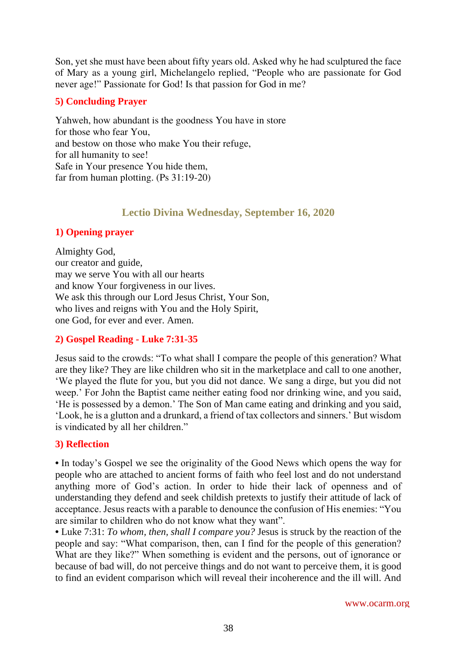Son, yet she must have been about fifty years old. Asked why he had sculptured the face of Mary as a young girl, Michelangelo replied, "People who are passionate for God never age!" Passionate for God! Is that passion for God in me?

### **5) Concluding Prayer**

Yahweh, how abundant is the goodness You have in store for those who fear You, and bestow on those who make You their refuge, for all humanity to see! Safe in Your presence You hide them, far from human plotting. (Ps 31:19-20)

## **Lectio Divina Wednesday, September 16, 2020**

#### **1) Opening prayer**

Almighty God, our creator and guide, may we serve You with all our hearts and know Your forgiveness in our lives. We ask this through our Lord Jesus Christ, Your Son, who lives and reigns with You and the Holy Spirit, one God, for ever and ever. Amen.

## **2) Gospel Reading - Luke 7:31-35**

Jesus said to the crowds: "To what shall I compare the people of this generation? What are they like? They are like children who sit in the marketplace and call to one another, 'We played the flute for you, but you did not dance. We sang a dirge, but you did not weep.' For John the Baptist came neither eating food nor drinking wine, and you said, 'He is possessed by a demon.' The Son of Man came eating and drinking and you said, 'Look, he is a glutton and a drunkard, a friend of tax collectors and sinners.' But wisdom is vindicated by all her children."

#### **3) Reflection**

**•** In today's Gospel we see the originality of the Good News which opens the way for people who are attached to ancient forms of faith who feel lost and do not understand anything more of God's action. In order to hide their lack of openness and of understanding they defend and seek childish pretexts to justify their attitude of lack of acceptance. Jesus reacts with a parable to denounce the confusion of His enemies: "You are similar to children who do not know what they want".

**•** Luke 7:31: *To whom, then, shall I compare you?* Jesus is struck by the reaction of the people and say: "What comparison, then, can I find for the people of this generation? What are they like?" When something is evident and the persons, out of ignorance or because of bad will, do not perceive things and do not want to perceive them, it is good to find an evident comparison which will reveal their incoherence and the ill will. And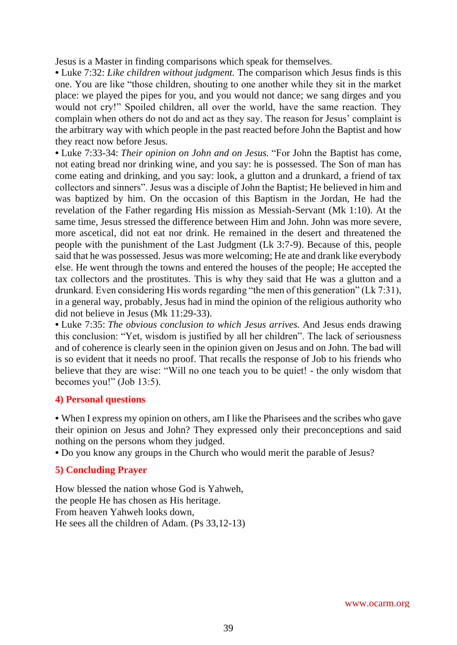Jesus is a Master in finding comparisons which speak for themselves.

**•** Luke 7:32: *Like children without judgment.* The comparison which Jesus finds is this one. You are like "those children, shouting to one another while they sit in the market place: we played the pipes for you, and you would not dance; we sang dirges and you would not cry!" Spoiled children, all over the world, have the same reaction. They complain when others do not do and act as they say. The reason for Jesus' complaint is the arbitrary way with which people in the past reacted before John the Baptist and how they react now before Jesus.

**•** Luke 7:33-34: *Their opinion on John and on Jesus.* "For John the Baptist has come, not eating bread nor drinking wine, and you say: he is possessed. The Son of man has come eating and drinking, and you say: look, a glutton and a drunkard, a friend of tax collectors and sinners". Jesus was a disciple of John the Baptist; He believed in him and was baptized by him. On the occasion of this Baptism in the Jordan, He had the revelation of the Father regarding His mission as Messiah-Servant (Mk 1:10). At the same time, Jesus stressed the difference between Him and John. John was more severe, more ascetical, did not eat nor drink. He remained in the desert and threatened the people with the punishment of the Last Judgment (Lk 3:7-9). Because of this, people said that he was possessed. Jesus was more welcoming; He ate and drank like everybody else. He went through the towns and entered the houses of the people; He accepted the tax collectors and the prostitutes. This is why they said that He was a glutton and a drunkard. Even considering His words regarding "the men of this generation" (Lk 7:31), in a general way, probably, Jesus had in mind the opinion of the religious authority who did not believe in Jesus (Mk 11:29-33).

**•** Luke 7:35: *The obvious conclusion to which Jesus arrives.* And Jesus ends drawing this conclusion: "Yet, wisdom is justified by all her children". The lack of seriousness and of coherence is clearly seen in the opinion given on Jesus and on John. The bad will is so evident that it needs no proof. That recalls the response of Job to his friends who believe that they are wise: "Will no one teach you to be quiet! - the only wisdom that becomes you!" (Job 13:5).

#### **4) Personal questions**

• When I express my opinion on others, am I like the Pharisees and the scribes who gave their opinion on Jesus and John? They expressed only their preconceptions and said nothing on the persons whom they judged.

**•** Do you know any groups in the Church who would merit the parable of Jesus?

## **5) Concluding Prayer**

How blessed the nation whose God is Yahweh, the people He has chosen as His heritage. From heaven Yahweh looks down, He sees all the children of Adam. (Ps 33,12-13)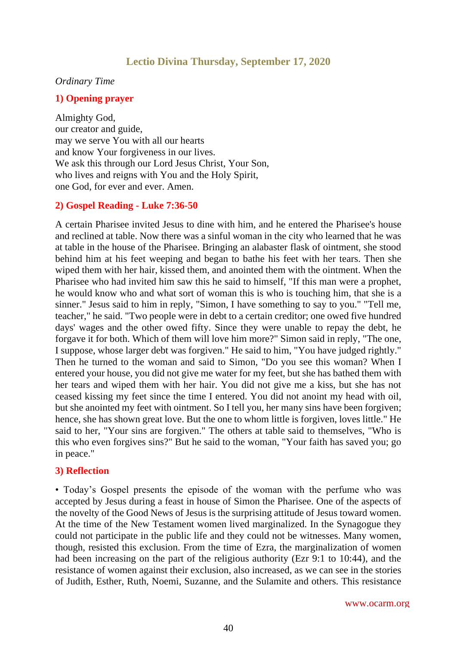# **Lectio Divina Thursday, September 17, 2020**

#### *Ordinary Time*

#### **1) Opening prayer**

Almighty God, our creator and guide, may we serve You with all our hearts and know Your forgiveness in our lives. We ask this through our Lord Jesus Christ, Your Son, who lives and reigns with You and the Holy Spirit, one God, for ever and ever. Amen.

#### **2) Gospel Reading - Luke 7:36-50**

A certain Pharisee invited Jesus to dine with him, and he entered the Pharisee's house and reclined at table. Now there was a sinful woman in the city who learned that he was at table in the house of the Pharisee. Bringing an alabaster flask of ointment, she stood behind him at his feet weeping and began to bathe his feet with her tears. Then she wiped them with her hair, kissed them, and anointed them with the ointment. When the Pharisee who had invited him saw this he said to himself, "If this man were a prophet, he would know who and what sort of woman this is who is touching him, that she is a sinner." Jesus said to him in reply, "Simon, I have something to say to you." "Tell me, teacher," he said. "Two people were in debt to a certain creditor; one owed five hundred days' wages and the other owed fifty. Since they were unable to repay the debt, he forgave it for both. Which of them will love him more?" Simon said in reply, "The one, I suppose, whose larger debt was forgiven." He said to him, "You have judged rightly." Then he turned to the woman and said to Simon, "Do you see this woman? When I entered your house, you did not give me water for my feet, but she has bathed them with her tears and wiped them with her hair. You did not give me a kiss, but she has not ceased kissing my feet since the time I entered. You did not anoint my head with oil, but she anointed my feet with ointment. So I tell you, her many sins have been forgiven; hence, she has shown great love. But the one to whom little is forgiven, loves little." He said to her, "Your sins are forgiven." The others at table said to themselves, "Who is this who even forgives sins?" But he said to the woman, "Your faith has saved you; go in peace."

#### **3) Reflection**

• Today's Gospel presents the episode of the woman with the perfume who was accepted by Jesus during a feast in house of Simon the Pharisee. One of the aspects of the novelty of the Good News of Jesus is the surprising attitude of Jesus toward women. At the time of the New Testament women lived marginalized. In the Synagogue they could not participate in the public life and they could not be witnesses. Many women, though, resisted this exclusion. From the time of Ezra, the marginalization of women had been increasing on the part of the religious authority (Ezr 9:1 to 10:44), and the resistance of women against their exclusion, also increased, as we can see in the stories of Judith, Esther, Ruth, Noemi, Suzanne, and the Sulamite and others. This resistance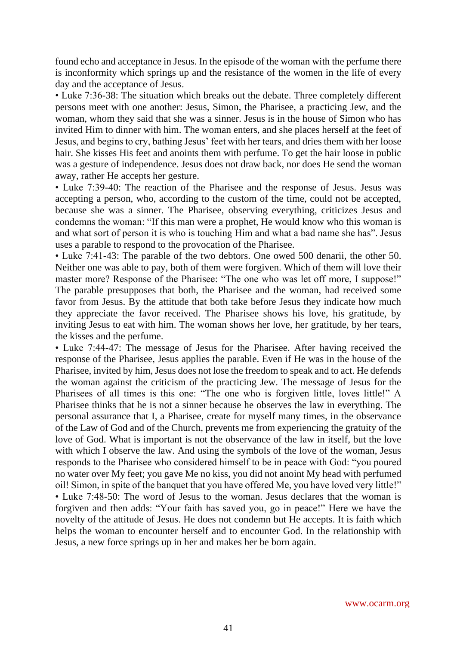found echo and acceptance in Jesus. In the episode of the woman with the perfume there is inconformity which springs up and the resistance of the women in the life of every day and the acceptance of Jesus.

• Luke 7:36-38: The situation which breaks out the debate. Three completely different persons meet with one another: Jesus, Simon, the Pharisee, a practicing Jew, and the woman, whom they said that she was a sinner. Jesus is in the house of Simon who has invited Him to dinner with him. The woman enters, and she places herself at the feet of Jesus, and begins to cry, bathing Jesus' feet with her tears, and dries them with her loose hair. She kisses His feet and anoints them with perfume. To get the hair loose in public was a gesture of independence. Jesus does not draw back, nor does He send the woman away, rather He accepts her gesture.

• Luke 7:39-40: The reaction of the Pharisee and the response of Jesus. Jesus was accepting a person, who, according to the custom of the time, could not be accepted, because she was a sinner. The Pharisee, observing everything, criticizes Jesus and condemns the woman: "If this man were a prophet, He would know who this woman is and what sort of person it is who is touching Him and what a bad name she has". Jesus uses a parable to respond to the provocation of the Pharisee.

• Luke 7:41-43: The parable of the two debtors. One owed 500 denarii, the other 50. Neither one was able to pay, both of them were forgiven. Which of them will love their master more? Response of the Pharisee: "The one who was let off more, I suppose!" The parable presupposes that both, the Pharisee and the woman, had received some favor from Jesus. By the attitude that both take before Jesus they indicate how much they appreciate the favor received. The Pharisee shows his love, his gratitude, by inviting Jesus to eat with him. The woman shows her love, her gratitude, by her tears, the kisses and the perfume.

• Luke 7:44-47: The message of Jesus for the Pharisee. After having received the response of the Pharisee, Jesus applies the parable. Even if He was in the house of the Pharisee, invited by him, Jesus does not lose the freedom to speak and to act. He defends the woman against the criticism of the practicing Jew. The message of Jesus for the Pharisees of all times is this one: "The one who is forgiven little, loves little!" A Pharisee thinks that he is not a sinner because he observes the law in everything. The personal assurance that I, a Pharisee, create for myself many times, in the observance of the Law of God and of the Church, prevents me from experiencing the gratuity of the love of God. What is important is not the observance of the law in itself, but the love with which I observe the law. And using the symbols of the love of the woman, Jesus responds to the Pharisee who considered himself to be in peace with God: "you poured no water over My feet; you gave Me no kiss, you did not anoint My head with perfumed oil! Simon, in spite of the banquet that you have offered Me, you have loved very little!" • Luke 7:48-50: The word of Jesus to the woman. Jesus declares that the woman is forgiven and then adds: "Your faith has saved you, go in peace!" Here we have the novelty of the attitude of Jesus. He does not condemn but He accepts. It is faith which helps the woman to encounter herself and to encounter God. In the relationship with Jesus, a new force springs up in her and makes her be born again.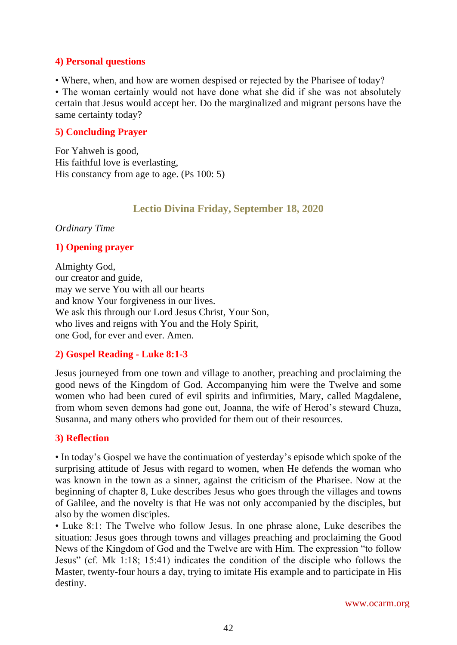## **4) Personal questions**

• Where, when, and how are women despised or rejected by the Pharisee of today? • The woman certainly would not have done what she did if she was not absolutely certain that Jesus would accept her. Do the marginalized and migrant persons have the same certainty today?

## **5) Concluding Prayer**

For Yahweh is good, His faithful love is everlasting, His constancy from age to age. (Ps 100: 5)

# **Lectio Divina Friday, September 18, 2020**

*Ordinary Time*

# **1) Opening prayer**

Almighty God, our creator and guide, may we serve You with all our hearts and know Your forgiveness in our lives. We ask this through our Lord Jesus Christ, Your Son, who lives and reigns with You and the Holy Spirit, one God, for ever and ever. Amen.

## **2) Gospel Reading - Luke 8:1-3**

Jesus journeyed from one town and village to another, preaching and proclaiming the good news of the Kingdom of God. Accompanying him were the Twelve and some women who had been cured of evil spirits and infirmities, Mary, called Magdalene, from whom seven demons had gone out, Joanna, the wife of Herod's steward Chuza, Susanna, and many others who provided for them out of their resources.

## **3) Reflection**

• In today's Gospel we have the continuation of yesterday's episode which spoke of the surprising attitude of Jesus with regard to women, when He defends the woman who was known in the town as a sinner, against the criticism of the Pharisee. Now at the beginning of chapter 8, Luke describes Jesus who goes through the villages and towns of Galilee, and the novelty is that He was not only accompanied by the disciples, but also by the women disciples.

• Luke 8:1: The Twelve who follow Jesus. In one phrase alone, Luke describes the situation: Jesus goes through towns and villages preaching and proclaiming the Good News of the Kingdom of God and the Twelve are with Him. The expression "to follow Jesus" (cf. Mk 1:18; 15:41) indicates the condition of the disciple who follows the Master, twenty-four hours a day, trying to imitate His example and to participate in His destiny.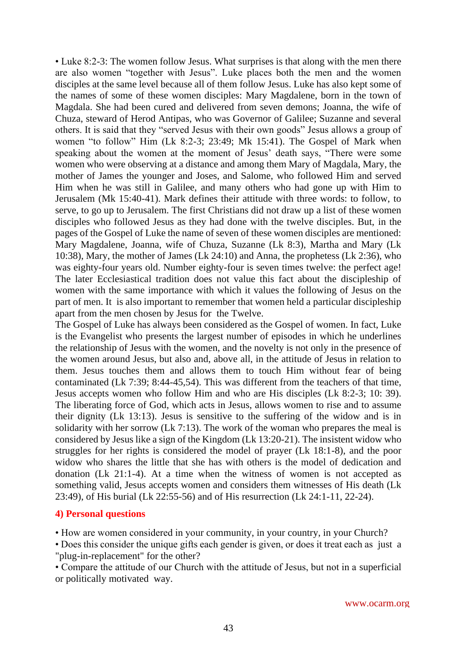• Luke 8:2-3: The women follow Jesus. What surprises is that along with the men there are also women "together with Jesus". Luke places both the men and the women disciples at the same level because all of them follow Jesus. Luke has also kept some of the names of some of these women disciples: Mary Magdalene, born in the town of Magdala. She had been cured and delivered from seven demons; Joanna, the wife of Chuza, steward of Herod Antipas, who was Governor of Galilee; Suzanne and several others. It is said that they "served Jesus with their own goods" Jesus allows a group of women "to follow" Him (Lk 8:2-3; 23:49; Mk 15:41). The Gospel of Mark when speaking about the women at the moment of Jesus' death says, "There were some women who were observing at a distance and among them Mary of Magdala, Mary, the mother of James the younger and Joses, and Salome, who followed Him and served Him when he was still in Galilee, and many others who had gone up with Him to Jerusalem (Mk 15:40-41). Mark defines their attitude with three words: to follow, to serve, to go up to Jerusalem. The first Christians did not draw up a list of these women disciples who followed Jesus as they had done with the twelve disciples. But, in the pages of the Gospel of Luke the name of seven of these women disciples are mentioned: Mary Magdalene, Joanna, wife of Chuza, Suzanne (Lk 8:3), Martha and Mary (Lk 10:38), Mary, the mother of James (Lk 24:10) and Anna, the prophetess (Lk 2:36), who was eighty-four years old. Number eighty-four is seven times twelve: the perfect age! The later Ecclesiastical tradition does not value this fact about the discipleship of women with the same importance with which it values the following of Jesus on the part of men. It is also important to remember that women held a particular discipleship apart from the men chosen by Jesus for the Twelve.

The Gospel of Luke has always been considered as the Gospel of women. In fact, Luke is the Evangelist who presents the largest number of episodes in which he underlines the relationship of Jesus with the women, and the novelty is not only in the presence of the women around Jesus, but also and, above all, in the attitude of Jesus in relation to them. Jesus touches them and allows them to touch Him without fear of being contaminated (Lk 7:39; 8:44-45,54). This was different from the teachers of that time, Jesus accepts women who follow Him and who are His disciples (Lk 8:2-3; 10: 39). The liberating force of God, which acts in Jesus, allows women to rise and to assume their dignity (Lk 13:13). Jesus is sensitive to the suffering of the widow and is in solidarity with her sorrow (Lk 7:13). The work of the woman who prepares the meal is considered by Jesus like a sign of the Kingdom (Lk 13:20-21). The insistent widow who struggles for her rights is considered the model of prayer (Lk 18:1-8), and the poor widow who shares the little that she has with others is the model of dedication and donation (Lk 21:1-4). At a time when the witness of women is not accepted as something valid, Jesus accepts women and considers them witnesses of His death (Lk 23:49), of His burial (Lk 22:55-56) and of His resurrection (Lk 24:1-11, 22-24).

#### **4) Personal questions**

• How are women considered in your community, in your country, in your Church?

• Does this consider the unique gifts each gender is given, or does it treat each as just a "plug-in-replacement" for the other?

• Compare the attitude of our Church with the attitude of Jesus, but not in a superficial or politically motivated way.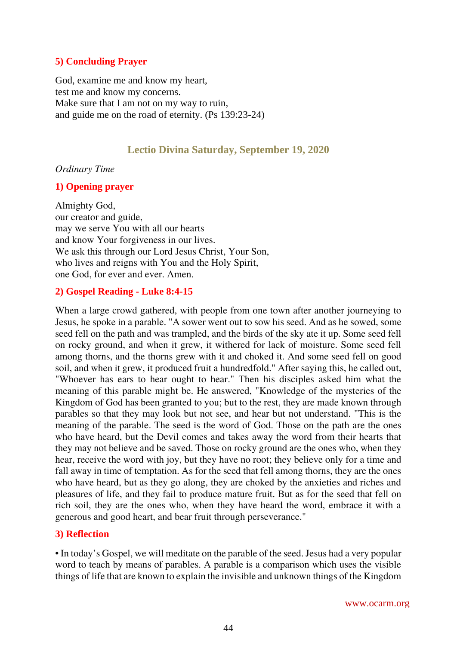# **5) Concluding Prayer**

God, examine me and know my heart, test me and know my concerns. Make sure that I am not on my way to ruin, and guide me on the road of eternity. (Ps 139:23-24)

# **Lectio Divina Saturday, September 19, 2020**

#### *Ordinary Time*

### **1) Opening prayer**

Almighty God, our creator and guide, may we serve You with all our hearts and know Your forgiveness in our lives. We ask this through our Lord Jesus Christ, Your Son, who lives and reigns with You and the Holy Spirit, one God, for ever and ever. Amen.

#### **2) Gospel Reading - Luke 8:4-15**

When a large crowd gathered, with people from one town after another journeying to Jesus, he spoke in a parable. "A sower went out to sow his seed. And as he sowed, some seed fell on the path and was trampled, and the birds of the sky ate it up. Some seed fell on rocky ground, and when it grew, it withered for lack of moisture. Some seed fell among thorns, and the thorns grew with it and choked it. And some seed fell on good soil, and when it grew, it produced fruit a hundredfold." After saying this, he called out, "Whoever has ears to hear ought to hear." Then his disciples asked him what the meaning of this parable might be. He answered, "Knowledge of the mysteries of the Kingdom of God has been granted to you; but to the rest, they are made known through parables so that they may look but not see, and hear but not understand. "This is the meaning of the parable. The seed is the word of God. Those on the path are the ones who have heard, but the Devil comes and takes away the word from their hearts that they may not believe and be saved. Those on rocky ground are the ones who, when they hear, receive the word with joy, but they have no root; they believe only for a time and fall away in time of temptation. As for the seed that fell among thorns, they are the ones who have heard, but as they go along, they are choked by the anxieties and riches and pleasures of life, and they fail to produce mature fruit. But as for the seed that fell on rich soil, they are the ones who, when they have heard the word, embrace it with a generous and good heart, and bear fruit through perseverance."

## **3) Reflection**

• In today's Gospel, we will meditate on the parable of the seed. Jesus had a very popular word to teach by means of parables. A parable is a comparison which uses the visible things of life that are known to explain the invisible and unknown things of the Kingdom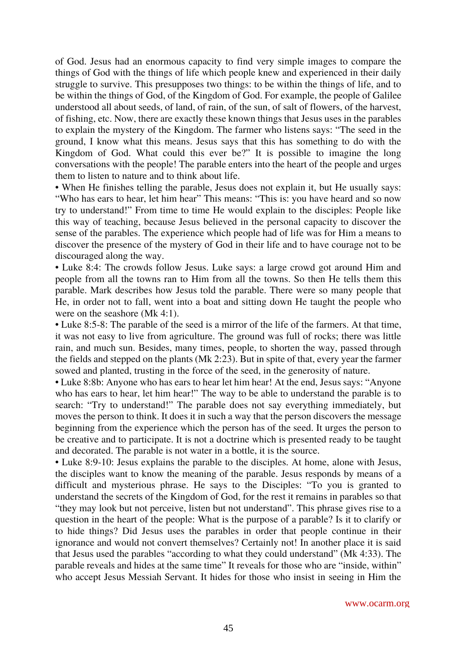of God. Jesus had an enormous capacity to find very simple images to compare the things of God with the things of life which people knew and experienced in their daily struggle to survive. This presupposes two things: to be within the things of life, and to be within the things of God, of the Kingdom of God. For example, the people of Galilee understood all about seeds, of land, of rain, of the sun, of salt of flowers, of the harvest, of fishing, etc. Now, there are exactly these known things that Jesus uses in the parables to explain the mystery of the Kingdom. The farmer who listens says: "The seed in the ground, I know what this means. Jesus says that this has something to do with the Kingdom of God. What could this ever be?" It is possible to imagine the long conversations with the people! The parable enters into the heart of the people and urges them to listen to nature and to think about life.

• When He finishes telling the parable, Jesus does not explain it, but He usually says: "Who has ears to hear, let him hear" This means: "This is: you have heard and so now try to understand!" From time to time He would explain to the disciples: People like this way of teaching, because Jesus believed in the personal capacity to discover the sense of the parables. The experience which people had of life was for Him a means to discover the presence of the mystery of God in their life and to have courage not to be discouraged along the way.

• Luke 8:4: The crowds follow Jesus. Luke says: a large crowd got around Him and people from all the towns ran to Him from all the towns. So then He tells them this parable. Mark describes how Jesus told the parable. There were so many people that He, in order not to fall, went into a boat and sitting down He taught the people who were on the seashore (Mk 4:1).

• Luke 8:5-8: The parable of the seed is a mirror of the life of the farmers. At that time, it was not easy to live from agriculture. The ground was full of rocks; there was little rain, and much sun. Besides, many times, people, to shorten the way, passed through the fields and stepped on the plants (Mk 2:23). But in spite of that, every year the farmer sowed and planted, trusting in the force of the seed, in the generosity of nature.

• Luke 8:8b: Anyone who has ears to hear let him hear! At the end, Jesus says: "Anyone who has ears to hear, let him hear!" The way to be able to understand the parable is to search: "Try to understand!" The parable does not say everything immediately, but moves the person to think. It does it in such a way that the person discovers the message beginning from the experience which the person has of the seed. It urges the person to be creative and to participate. It is not a doctrine which is presented ready to be taught and decorated. The parable is not water in a bottle, it is the source.

• Luke 8:9-10: Jesus explains the parable to the disciples. At home, alone with Jesus, the disciples want to know the meaning of the parable. Jesus responds by means of a difficult and mysterious phrase. He says to the Disciples: "To you is granted to understand the secrets of the Kingdom of God, for the rest it remains in parables so that "they may look but not perceive, listen but not understand". This phrase gives rise to a question in the heart of the people: What is the purpose of a parable? Is it to clarify or to hide things? Did Jesus uses the parables in order that people continue in their ignorance and would not convert themselves? Certainly not! In another place it is said that Jesus used the parables "according to what they could understand" (Mk 4:33). The parable reveals and hides at the same time" It reveals for those who are "inside, within" who accept Jesus Messiah Servant. It hides for those who insist in seeing in Him the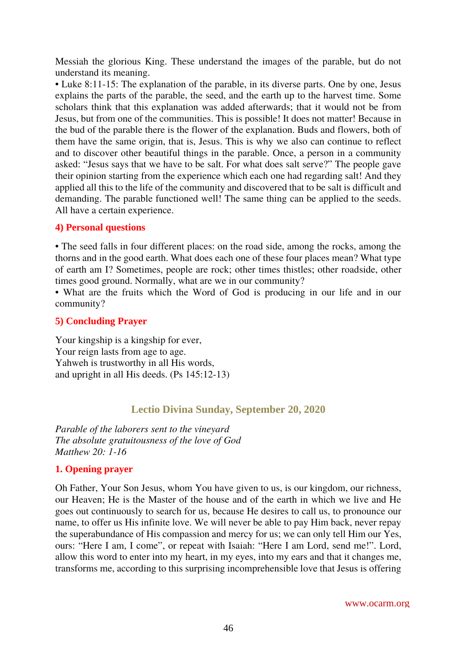Messiah the glorious King. These understand the images of the parable, but do not understand its meaning.

• Luke 8:11-15: The explanation of the parable, in its diverse parts. One by one, Jesus explains the parts of the parable, the seed, and the earth up to the harvest time. Some scholars think that this explanation was added afterwards; that it would not be from Jesus, but from one of the communities. This is possible! It does not matter! Because in the bud of the parable there is the flower of the explanation. Buds and flowers, both of them have the same origin, that is, Jesus. This is why we also can continue to reflect and to discover other beautiful things in the parable. Once, a person in a community asked: "Jesus says that we have to be salt. For what does salt serve?" The people gave their opinion starting from the experience which each one had regarding salt! And they applied all this to the life of the community and discovered that to be salt is difficult and demanding. The parable functioned well! The same thing can be applied to the seeds. All have a certain experience.

#### **4) Personal questions**

• The seed falls in four different places: on the road side, among the rocks, among the thorns and in the good earth. What does each one of these four places mean? What type of earth am I? Sometimes, people are rock; other times thistles; other roadside, other times good ground. Normally, what are we in our community?

• What are the fruits which the Word of God is producing in our life and in our community?

### **5) Concluding Prayer**

Your kingship is a kingship for ever, Your reign lasts from age to age. Yahweh is trustworthy in all His words, and upright in all His deeds. (Ps 145:12-13)

## **Lectio Divina Sunday, September 20, 2020**

*Parable of the laborers sent to the vineyard The absolute gratuitousness of the love of God Matthew 20: 1-16*

#### **1. Opening prayer**

Oh Father, Your Son Jesus, whom You have given to us, is our kingdom, our richness, our Heaven; He is the Master of the house and of the earth in which we live and He goes out continuously to search for us, because He desires to call us, to pronounce our name, to offer us His infinite love. We will never be able to pay Him back, never repay the superabundance of His compassion and mercy for us; we can only tell Him our Yes, ours: "Here I am, I come", or repeat with Isaiah: "Here I am Lord, send me!". Lord, allow this word to enter into my heart, in my eyes, into my ears and that it changes me, transforms me, according to this surprising incomprehensible love that Jesus is offering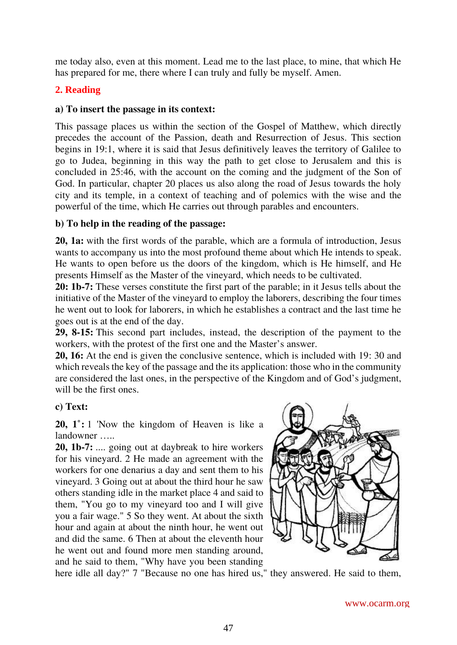me today also, even at this moment. Lead me to the last place, to mine, that which He has prepared for me, there where I can truly and fully be myself. Amen.

### **2. Reading**

#### **a) To insert the passage in its context:**

This passage places us within the section of the Gospel of Matthew, which directly precedes the account of the Passion, death and Resurrection of Jesus. This section begins in 19:1, where it is said that Jesus definitively leaves the territory of Galilee to go to Judea, beginning in this way the path to get close to Jerusalem and this is concluded in 25:46, with the account on the coming and the judgment of the Son of God. In particular, chapter 20 places us also along the road of Jesus towards the holy city and its temple, in a context of teaching and of polemics with the wise and the powerful of the time, which He carries out through parables and encounters.

### **b) To help in the reading of the passage:**

**20, 1a:** with the first words of the parable, which are a formula of introduction, Jesus wants to accompany us into the most profound theme about which He intends to speak. He wants to open before us the doors of the kingdom, which is He himself, and He presents Himself as the Master of the vineyard, which needs to be cultivated.

**20: 1b-7:** These verses constitute the first part of the parable; in it Jesus tells about the initiative of the Master of the vineyard to employ the laborers, describing the four times he went out to look for laborers, in which he establishes a contract and the last time he goes out is at the end of the day.

**29, 8-15:** This second part includes, instead, the description of the payment to the workers, with the protest of the first one and the Master's answer.

**20, 16:** At the end is given the conclusive sentence, which is included with 19: 30 and which reveals the key of the passage and the its application: those who in the community are considered the last ones, in the perspective of the Kingdom and of God's judgment, will be the first ones.

#### **c) Text:**

**20, 1°:** 1 'Now the kingdom of Heaven is like a landowner …..

**20, 1b-7:** .... going out at daybreak to hire workers for his vineyard. 2 He made an agreement with the workers for one denarius a day and sent them to his vineyard. 3 Going out at about the third hour he saw others standing idle in the market place 4 and said to them, "You go to my vineyard too and I will give you a fair wage." 5 So they went. At about the sixth hour and again at about the ninth hour, he went out and did the same. 6 Then at about the eleventh hour he went out and found more men standing around, and he said to them, "Why have you been standing



here idle all day?" 7 "Because no one has hired us," they answered. He said to them,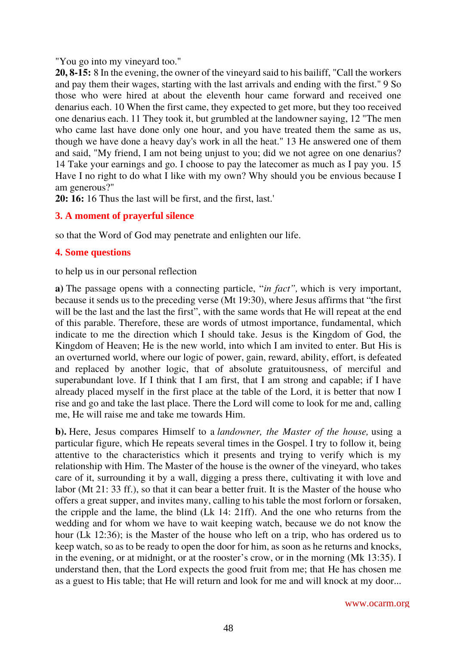"You go into my vineyard too."

**20, 8-15:** 8 In the evening, the owner of the vineyard said to his bailiff, "Call the workers and pay them their wages, starting with the last arrivals and ending with the first." 9 So those who were hired at about the eleventh hour came forward and received one denarius each. 10 When the first came, they expected to get more, but they too received one denarius each. 11 They took it, but grumbled at the landowner saying, 12 "The men who came last have done only one hour, and you have treated them the same as us, though we have done a heavy day's work in all the heat." 13 He answered one of them and said, "My friend, I am not being unjust to you; did we not agree on one denarius? 14 Take your earnings and go. I choose to pay the latecomer as much as I pay you. 15 Have I no right to do what I like with my own? Why should you be envious because I am generous?"

**20: 16:** 16 Thus the last will be first, and the first, last.'

## **3. A moment of prayerful silence**

so that the Word of God may penetrate and enlighten our life.

## **4. Some questions**

to help us in our personal reflection

**a)** The passage opens with a connecting particle, "*in fact",* which is very important, because it sends us to the preceding verse (Mt 19:30), where Jesus affirms that "the first will be the last and the last the first", with the same words that He will repeat at the end of this parable. Therefore, these are words of utmost importance, fundamental, which indicate to me the direction which I should take. Jesus is the Kingdom of God, the Kingdom of Heaven; He is the new world, into which I am invited to enter. But His is an overturned world, where our logic of power, gain, reward, ability, effort, is defeated and replaced by another logic, that of absolute gratuitousness, of merciful and superabundant love. If I think that I am first, that I am strong and capable; if I have already placed myself in the first place at the table of the Lord, it is better that now I rise and go and take the last place. There the Lord will come to look for me and, calling me, He will raise me and take me towards Him.

**b).** Here, Jesus compares Himself to a *landowner, the Master of the house,* using a particular figure, which He repeats several times in the Gospel. I try to follow it, being attentive to the characteristics which it presents and trying to verify which is my relationship with Him. The Master of the house is the owner of the vineyard, who takes care of it, surrounding it by a wall, digging a press there, cultivating it with love and labor (Mt 21: 33 ff.), so that it can bear a better fruit. It is the Master of the house who offers a great supper, and invites many, calling to his table the most forlorn or forsaken, the cripple and the lame, the blind (Lk 14: 21ff). And the one who returns from the wedding and for whom we have to wait keeping watch, because we do not know the hour (Lk 12:36); is the Master of the house who left on a trip, who has ordered us to keep watch, so as to be ready to open the door for him, as soon as he returns and knocks, in the evening, or at midnight, or at the rooster's crow, or in the morning (Mk 13:35). I understand then, that the Lord expects the good fruit from me; that He has chosen me as a guest to His table; that He will return and look for me and will knock at my door...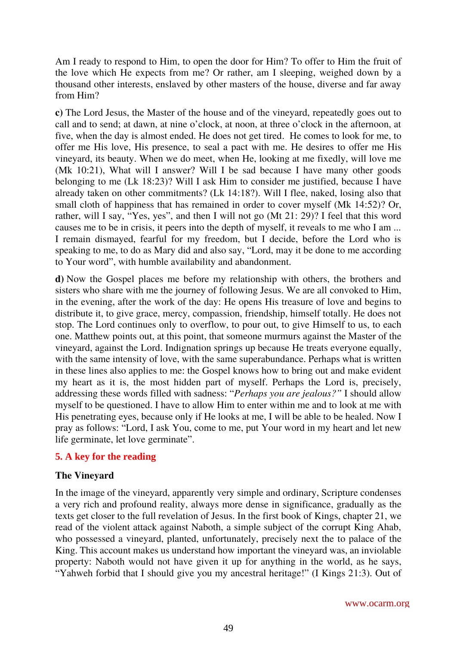Am I ready to respond to Him, to open the door for Him? To offer to Him the fruit of the love which He expects from me? Or rather, am I sleeping, weighed down by a thousand other interests, enslaved by other masters of the house, diverse and far away from Him?

**c)** The Lord Jesus, the Master of the house and of the vineyard, repeatedly goes out to call and to send; at dawn, at nine o'clock, at noon, at three o'clock in the afternoon, at five, when the day is almost ended. He does not get tired. He comes to look for me, to offer me His love, His presence, to seal a pact with me. He desires to offer me His vineyard, its beauty. When we do meet, when He, looking at me fixedly, will love me (Mk 10:21), What will I answer? Will I be sad because I have many other goods belonging to me (Lk 18:23)? Will I ask Him to consider me justified, because I have already taken on other commitments? (Lk 14:18?). Will I flee, naked, losing also that small cloth of happiness that has remained in order to cover myself (Mk 14:52)? Or, rather, will I say, "Yes, yes", and then I will not go (Mt 21: 29)? I feel that this word causes me to be in crisis, it peers into the depth of myself, it reveals to me who I am ... I remain dismayed, fearful for my freedom, but I decide, before the Lord who is speaking to me, to do as Mary did and also say, "Lord, may it be done to me according to Your word", with humble availability and abandonment.

**d)** Now the Gospel places me before my relationship with others, the brothers and sisters who share with me the journey of following Jesus. We are all convoked to Him, in the evening, after the work of the day: He opens His treasure of love and begins to distribute it, to give grace, mercy, compassion, friendship, himself totally. He does not stop. The Lord continues only to overflow, to pour out, to give Himself to us, to each one. Matthew points out, at this point, that someone murmurs against the Master of the vineyard, against the Lord. Indignation springs up because He treats everyone equally, with the same intensity of love, with the same superabundance. Perhaps what is written in these lines also applies to me: the Gospel knows how to bring out and make evident my heart as it is, the most hidden part of myself. Perhaps the Lord is, precisely, addressing these words filled with sadness: "*Perhaps you are jealous?"* I should allow myself to be questioned. I have to allow Him to enter within me and to look at me with His penetrating eyes, because only if He looks at me, I will be able to be healed. Now I pray as follows: "Lord, I ask You, come to me, put Your word in my heart and let new life germinate, let love germinate".

## **5. A key for the reading**

#### **The Vineyard**

In the image of the vineyard, apparently very simple and ordinary, Scripture condenses a very rich and profound reality, always more dense in significance, gradually as the texts get closer to the full revelation of Jesus. In the first book of Kings, chapter 21, we read of the violent attack against Naboth, a simple subject of the corrupt King Ahab, who possessed a vineyard, planted, unfortunately, precisely next the to palace of the King. This account makes us understand how important the vineyard was, an inviolable property: Naboth would not have given it up for anything in the world, as he says, "Yahweh forbid that I should give you my ancestral heritage!" (I Kings 21:3). Out of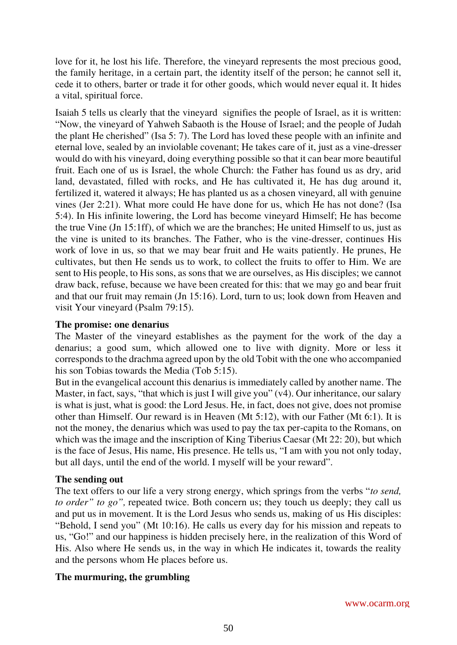love for it, he lost his life. Therefore, the vineyard represents the most precious good, the family heritage, in a certain part, the identity itself of the person; he cannot sell it, cede it to others, barter or trade it for other goods, which would never equal it. It hides a vital, spiritual force.

Isaiah 5 tells us clearly that the vineyard signifies the people of Israel, as it is written: "Now, the vineyard of Yahweh Sabaoth is the House of Israel; and the people of Judah the plant He cherished" (Isa 5: 7). The Lord has loved these people with an infinite and eternal love, sealed by an inviolable covenant; He takes care of it, just as a vine-dresser would do with his vineyard, doing everything possible so that it can bear more beautiful fruit. Each one of us is Israel, the whole Church: the Father has found us as dry, arid land, devastated, filled with rocks, and He has cultivated it, He has dug around it, fertilized it, watered it always; He has planted us as a chosen vineyard, all with genuine vines (Jer 2:21). What more could He have done for us, which He has not done? (Isa 5:4). In His infinite lowering, the Lord has become vineyard Himself; He has become the true Vine (Jn 15:1ff), of which we are the branches; He united Himself to us, just as the vine is united to its branches. The Father, who is the vine-dresser, continues His work of love in us, so that we may bear fruit and He waits patiently. He prunes, He cultivates, but then He sends us to work, to collect the fruits to offer to Him. We are sent to His people, to His sons, as sons that we are ourselves, as His disciples; we cannot draw back, refuse, because we have been created for this: that we may go and bear fruit and that our fruit may remain (Jn 15:16). Lord, turn to us; look down from Heaven and visit Your vineyard (Psalm 79:15).

#### **The promise: one denarius**

The Master of the vineyard establishes as the payment for the work of the day a denarius; a good sum, which allowed one to live with dignity. More or less it corresponds to the drachma agreed upon by the old Tobit with the one who accompanied his son Tobias towards the Media (Tob 5:15).

But in the evangelical account this denarius is immediately called by another name. The Master, in fact, says, "that which is just I will give you" (v4). Our inheritance, our salary is what is just, what is good: the Lord Jesus. He, in fact, does not give, does not promise other than Himself. Our reward is in Heaven (Mt 5:12), with our Father (Mt 6:1). It is not the money, the denarius which was used to pay the tax per-capita to the Romans, on which was the image and the inscription of King Tiberius Caesar (Mt 22: 20), but which is the face of Jesus, His name, His presence. He tells us, "I am with you not only today, but all days, until the end of the world. I myself will be your reward".

#### **The sending out**

The text offers to our life a very strong energy, which springs from the verbs "*to send, to order" to go",* repeated twice. Both concern us; they touch us deeply; they call us and put us in movement. It is the Lord Jesus who sends us, making of us His disciples: "Behold, I send you" (Mt 10:16). He calls us every day for his mission and repeats to us, "Go!" and our happiness is hidden precisely here, in the realization of this Word of His. Also where He sends us, in the way in which He indicates it, towards the reality and the persons whom He places before us.

#### **The murmuring, the grumbling**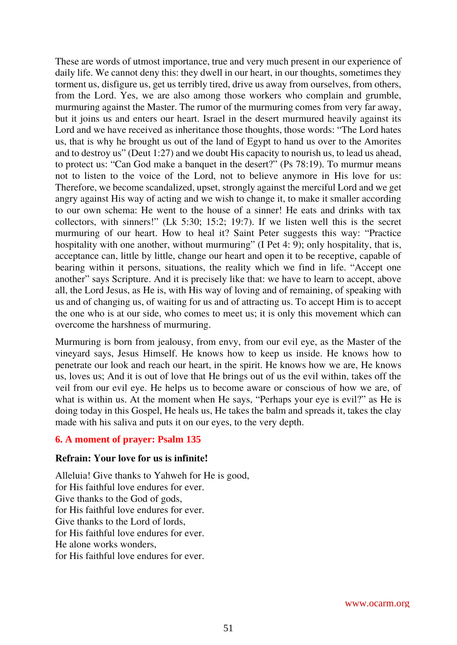These are words of utmost importance, true and very much present in our experience of daily life. We cannot deny this: they dwell in our heart, in our thoughts, sometimes they torment us, disfigure us, get us terribly tired, drive us away from ourselves, from others, from the Lord. Yes, we are also among those workers who complain and grumble, murmuring against the Master. The rumor of the murmuring comes from very far away, but it joins us and enters our heart. Israel in the desert murmured heavily against its Lord and we have received as inheritance those thoughts, those words: "The Lord hates us, that is why he brought us out of the land of Egypt to hand us over to the Amorites and to destroy us" (Deut 1:27) and we doubt His capacity to nourish us, to lead us ahead, to protect us: "Can God make a banquet in the desert?" (Ps 78:19). To murmur means not to listen to the voice of the Lord, not to believe anymore in His love for us: Therefore, we become scandalized, upset, strongly against the merciful Lord and we get angry against His way of acting and we wish to change it, to make it smaller according to our own schema: He went to the house of a sinner! He eats and drinks with tax collectors, with sinners!" (Lk 5:30; 15:2; 19:7). If we listen well this is the secret murmuring of our heart. How to heal it? Saint Peter suggests this way: "Practice hospitality with one another, without murmuring" (I Pet 4: 9); only hospitality, that is, acceptance can, little by little, change our heart and open it to be receptive, capable of bearing within it persons, situations, the reality which we find in life. "Accept one another" says Scripture. And it is precisely like that: we have to learn to accept, above all, the Lord Jesus, as He is, with His way of loving and of remaining, of speaking with us and of changing us, of waiting for us and of attracting us. To accept Him is to accept the one who is at our side, who comes to meet us; it is only this movement which can overcome the harshness of murmuring.

Murmuring is born from jealousy, from envy, from our evil eye, as the Master of the vineyard says, Jesus Himself. He knows how to keep us inside. He knows how to penetrate our look and reach our heart, in the spirit. He knows how we are, He knows us, loves us; And it is out of love that He brings out of us the evil within, takes off the veil from our evil eye. He helps us to become aware or conscious of how we are, of what is within us. At the moment when He says, "Perhaps your eye is evil?" as He is doing today in this Gospel, He heals us, He takes the balm and spreads it, takes the clay made with his saliva and puts it on our eyes, to the very depth.

## **6. A moment of prayer: Psalm 135**

#### **Refrain: Your love for us is infinite!**

Alleluia! Give thanks to Yahweh for He is good, for His faithful love endures for ever. Give thanks to the God of gods, for His faithful love endures for ever. Give thanks to the Lord of lords, for His faithful love endures for ever. He alone works wonders, for His faithful love endures for ever.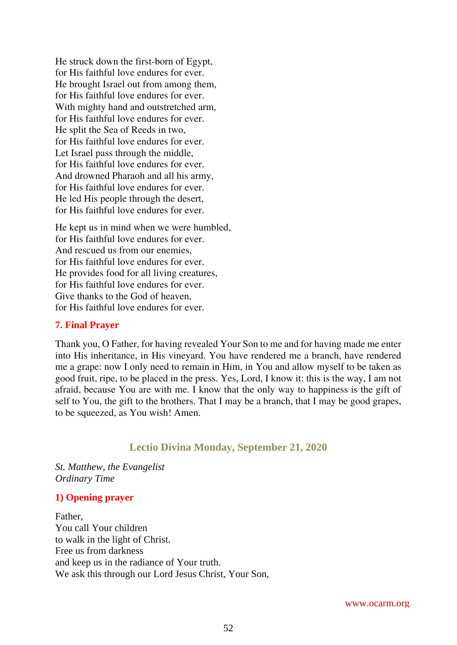He struck down the first-born of Egypt, for His faithful love endures for ever. He brought Israel out from among them, for His faithful love endures for ever. With mighty hand and outstretched arm, for His faithful love endures for ever. He split the Sea of Reeds in two, for His faithful love endures for ever. Let Israel pass through the middle, for His faithful love endures for ever. And drowned Pharaoh and all his army, for His faithful love endures for ever. He led His people through the desert, for His faithful love endures for ever.

He kept us in mind when we were humbled, for His faithful love endures for ever. And rescued us from our enemies, for His faithful love endures for ever. He provides food for all living creatures, for His faithful love endures for ever. Give thanks to the God of heaven, for His faithful love endures for ever.

#### **7. Final Prayer**

Thank you, O Father, for having revealed Your Son to me and for having made me enter into His inheritance, in His vineyard. You have rendered me a branch, have rendered me a grape: now I only need to remain in Him, in You and allow myself to be taken as good fruit, ripe, to be placed in the press. Yes, Lord, I know it: this is the way, I am not afraid, because You are with me. I know that the only way to happiness is the gift of self to You, the gift to the brothers. That I may be a branch, that I may be good grapes, to be squeezed, as You wish! Amen.

# **Lectio Divina Monday, September 21, 2020**

*St. Matthew, the Evangelist Ordinary Time*

#### **1) Opening prayer**

Father, You call Your children to walk in the light of Christ. Free us from darkness and keep us in the radiance of Your truth. We ask this through our Lord Jesus Christ, Your Son,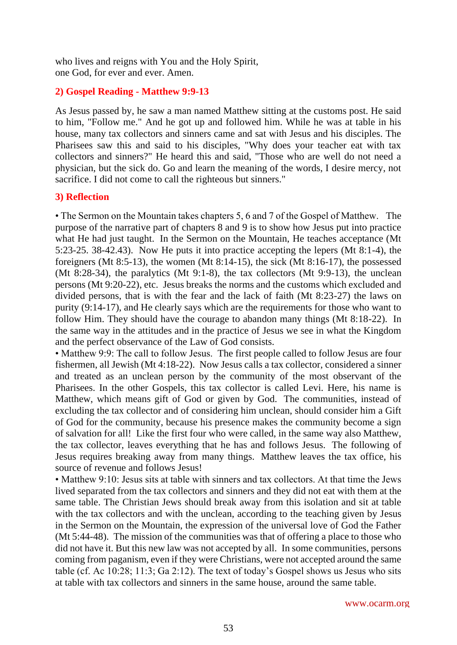who lives and reigns with You and the Holy Spirit, one God, for ever and ever. Amen.

## **2) Gospel Reading - Matthew 9:9-13**

As Jesus passed by, he saw a man named Matthew sitting at the customs post. He said to him, "Follow me." And he got up and followed him. While he was at table in his house, many tax collectors and sinners came and sat with Jesus and his disciples. The Pharisees saw this and said to his disciples, "Why does your teacher eat with tax collectors and sinners?" He heard this and said, "Those who are well do not need a physician, but the sick do. Go and learn the meaning of the words, I desire mercy, not sacrifice. I did not come to call the righteous but sinners."

## **3) Reflection**

• The Sermon on the Mountain takes chapters 5, 6 and 7 of the Gospel of Matthew. The purpose of the narrative part of chapters 8 and 9 is to show how Jesus put into practice what He had just taught. In the Sermon on the Mountain, He teaches acceptance (Mt 5:23-25. 38-42.43). Now He puts it into practice accepting the lepers (Mt 8:1-4), the foreigners (Mt 8:5-13), the women (Mt 8:14-15), the sick (Mt 8:16-17), the possessed (Mt 8:28-34), the paralytics (Mt 9:1-8), the tax collectors (Mt 9:9-13), the unclean persons (Mt 9:20-22), etc. Jesus breaks the norms and the customs which excluded and divided persons, that is with the fear and the lack of faith (Mt 8:23-27) the laws on purity (9:14-17), and He clearly says which are the requirements for those who want to follow Him. They should have the courage to abandon many things (Mt 8:18-22). In the same way in the attitudes and in the practice of Jesus we see in what the Kingdom and the perfect observance of the Law of God consists.

• Matthew 9:9: The call to follow Jesus. The first people called to follow Jesus are four fishermen, all Jewish (Mt 4:18-22). Now Jesus calls a tax collector, considered a sinner and treated as an unclean person by the community of the most observant of the Pharisees. In the other Gospels, this tax collector is called Levi. Here, his name is Matthew, which means gift of God or given by God. The communities, instead of excluding the tax collector and of considering him unclean, should consider him a Gift of God for the community, because his presence makes the community become a sign of salvation for all! Like the first four who were called, in the same way also Matthew, the tax collector, leaves everything that he has and follows Jesus. The following of Jesus requires breaking away from many things. Matthew leaves the tax office, his source of revenue and follows Jesus!

• Matthew 9:10: Jesus sits at table with sinners and tax collectors. At that time the Jews lived separated from the tax collectors and sinners and they did not eat with them at the same table. The Christian Jews should break away from this isolation and sit at table with the tax collectors and with the unclean, according to the teaching given by Jesus in the Sermon on the Mountain, the expression of the universal love of God the Father (Mt 5:44-48). The mission of the communities was that of offering a place to those who did not have it. But this new law was not accepted by all. In some communities, persons coming from paganism, even if they were Christians, were not accepted around the same table (cf. Ac 10:28; 11:3; Ga 2:12). The text of today's Gospel shows us Jesus who sits at table with tax collectors and sinners in the same house, around the same table.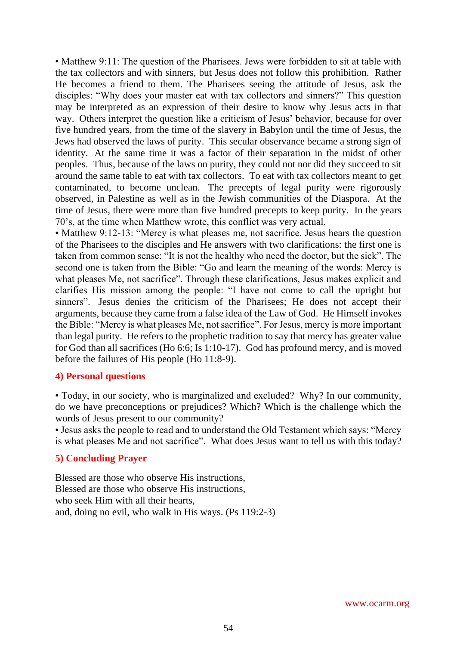• Matthew 9:11: The question of the Pharisees. Jews were forbidden to sit at table with the tax collectors and with sinners, but Jesus does not follow this prohibition. Rather He becomes a friend to them. The Pharisees seeing the attitude of Jesus, ask the disciples: "Why does your master eat with tax collectors and sinners?" This question may be interpreted as an expression of their desire to know why Jesus acts in that way. Others interpret the question like a criticism of Jesus' behavior, because for over five hundred years, from the time of the slavery in Babylon until the time of Jesus, the Jews had observed the laws of purity. This secular observance became a strong sign of identity. At the same time it was a factor of their separation in the midst of other peoples. Thus, because of the laws on purity, they could not nor did they succeed to sit around the same table to eat with tax collectors. To eat with tax collectors meant to get contaminated, to become unclean. The precepts of legal purity were rigorously observed, in Palestine as well as in the Jewish communities of the Diaspora. At the time of Jesus, there were more than five hundred precepts to keep purity. In the years 70's, at the time when Matthew wrote, this conflict was very actual.

• Matthew 9:12-13: "Mercy is what pleases me, not sacrifice. Jesus hears the question of the Pharisees to the disciples and He answers with two clarifications: the first one is taken from common sense: "It is not the healthy who need the doctor, but the sick". The second one is taken from the Bible: "Go and learn the meaning of the words: Mercy is what pleases Me, not sacrifice". Through these clarifications, Jesus makes explicit and clarifies His mission among the people: "I have not come to call the upright but sinners". Jesus denies the criticism of the Pharisees; He does not accept their arguments, because they came from a false idea of the Law of God. He Himself invokes the Bible: "Mercy is what pleases Me, not sacrifice". For Jesus, mercy is more important than legal purity. He refers to the prophetic tradition to say that mercy has greater value for God than all sacrifices (Ho 6:6; Is 1:10-17). God has profound mercy, and is moved before the failures of His people (Ho 11:8-9).

#### **4) Personal questions**

• Today, in our society, who is marginalized and excluded? Why? In our community, do we have preconceptions or prejudices? Which? Which is the challenge which the words of Jesus present to our community?

• Jesus asks the people to read and to understand the Old Testament which says: "Mercy is what pleases Me and not sacrifice". What does Jesus want to tell us with this today?

## **5) Concluding Prayer**

Blessed are those who observe His instructions, Blessed are those who observe His instructions, who seek Him with all their hearts, and, doing no evil, who walk in His ways. (Ps 119:2-3)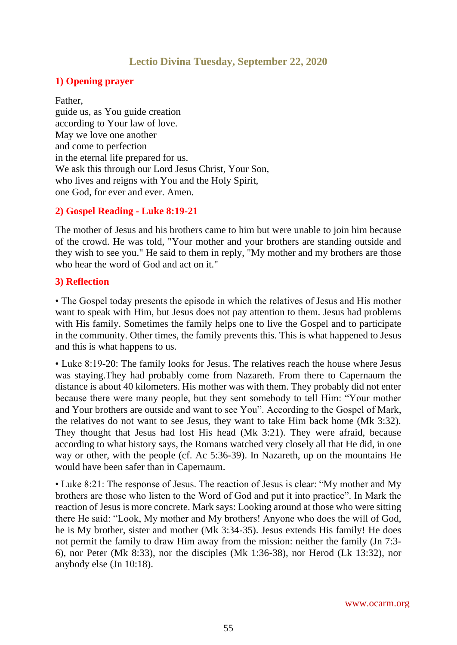# **Lectio Divina Tuesday, September 22, 2020**

### **1) Opening prayer**

Father, guide us, as You guide creation according to Your law of love. May we love one another and come to perfection in the eternal life prepared for us. We ask this through our Lord Jesus Christ, Your Son, who lives and reigns with You and the Holy Spirit, one God, for ever and ever. Amen.

#### **2) Gospel Reading - Luke 8:19-21**

The mother of Jesus and his brothers came to him but were unable to join him because of the crowd. He was told, "Your mother and your brothers are standing outside and they wish to see you." He said to them in reply, "My mother and my brothers are those who hear the word of God and act on it."

### **3) Reflection**

• The Gospel today presents the episode in which the relatives of Jesus and His mother want to speak with Him, but Jesus does not pay attention to them. Jesus had problems with His family. Sometimes the family helps one to live the Gospel and to participate in the community. Other times, the family prevents this. This is what happened to Jesus and this is what happens to us.

• Luke 8:19-20: The family looks for Jesus. The relatives reach the house where Jesus was staying.They had probably come from Nazareth. From there to Capernaum the distance is about 40 kilometers. His mother was with them. They probably did not enter because there were many people, but they sent somebody to tell Him: "Your mother and Your brothers are outside and want to see You". According to the Gospel of Mark, the relatives do not want to see Jesus, they want to take Him back home (Mk 3:32). They thought that Jesus had lost His head (Mk 3:21). They were afraid, because according to what history says, the Romans watched very closely all that He did, in one way or other, with the people (cf. Ac 5:36-39). In Nazareth, up on the mountains He would have been safer than in Capernaum.

• Luke 8:21: The response of Jesus. The reaction of Jesus is clear: "My mother and My brothers are those who listen to the Word of God and put it into practice". In Mark the reaction of Jesus is more concrete. Mark says: Looking around at those who were sitting there He said: "Look, My mother and My brothers! Anyone who does the will of God, he is My brother, sister and mother (Mk 3:34-35). Jesus extends His family! He does not permit the family to draw Him away from the mission: neither the family (Jn 7:3- 6), nor Peter (Mk 8:33), nor the disciples (Mk 1:36-38), nor Herod (Lk 13:32), nor anybody else (Jn 10:18).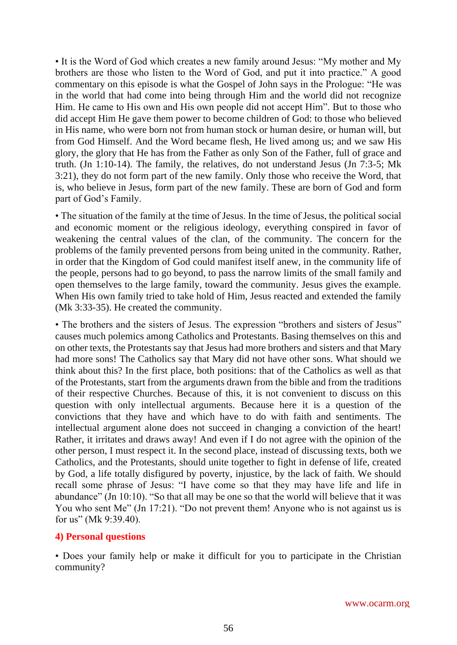• It is the Word of God which creates a new family around Jesus: "My mother and My brothers are those who listen to the Word of God, and put it into practice." A good commentary on this episode is what the Gospel of John says in the Prologue: "He was in the world that had come into being through Him and the world did not recognize Him. He came to His own and His own people did not accept Him". But to those who did accept Him He gave them power to become children of God: to those who believed in His name, who were born not from human stock or human desire, or human will, but from God Himself. And the Word became flesh, He lived among us; and we saw His glory, the glory that He has from the Father as only Son of the Father, full of grace and truth. (Jn 1:10-14). The family, the relatives, do not understand Jesus (Jn 7:3-5; Mk 3:21), they do not form part of the new family. Only those who receive the Word, that is, who believe in Jesus, form part of the new family. These are born of God and form part of God's Family.

• The situation of the family at the time of Jesus. In the time of Jesus, the political social and economic moment or the religious ideology, everything conspired in favor of weakening the central values of the clan, of the community. The concern for the problems of the family prevented persons from being united in the community. Rather, in order that the Kingdom of God could manifest itself anew, in the community life of the people, persons had to go beyond, to pass the narrow limits of the small family and open themselves to the large family, toward the community. Jesus gives the example. When His own family tried to take hold of Him, Jesus reacted and extended the family (Mk 3:33-35). He created the community.

• The brothers and the sisters of Jesus. The expression "brothers and sisters of Jesus" causes much polemics among Catholics and Protestants. Basing themselves on this and on other texts, the Protestants say that Jesus had more brothers and sisters and that Mary had more sons! The Catholics say that Mary did not have other sons. What should we think about this? In the first place, both positions: that of the Catholics as well as that of the Protestants, start from the arguments drawn from the bible and from the traditions of their respective Churches. Because of this, it is not convenient to discuss on this question with only intellectual arguments. Because here it is a question of the convictions that they have and which have to do with faith and sentiments. The intellectual argument alone does not succeed in changing a conviction of the heart! Rather, it irritates and draws away! And even if I do not agree with the opinion of the other person, I must respect it. In the second place, instead of discussing texts, both we Catholics, and the Protestants, should unite together to fight in defense of life, created by God, a life totally disfigured by poverty, injustice, by the lack of faith. We should recall some phrase of Jesus: "I have come so that they may have life and life in abundance" (Jn 10:10). "So that all may be one so that the world will believe that it was You who sent Me" (Jn 17:21). "Do not prevent them! Anyone who is not against us is for us" (Mk 9:39.40).

#### **4) Personal questions**

• Does your family help or make it difficult for you to participate in the Christian community?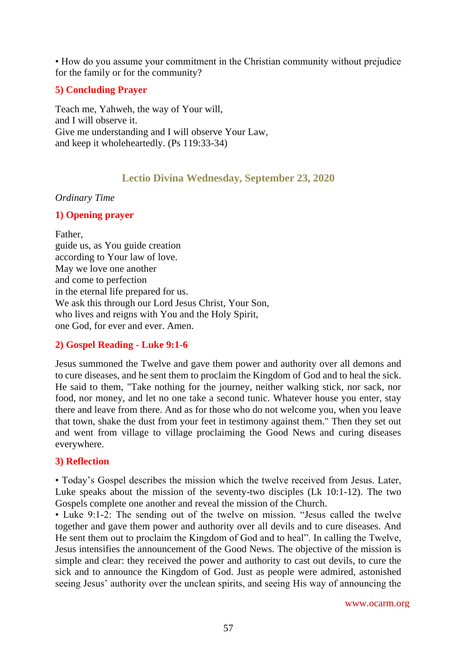• How do you assume your commitment in the Christian community without prejudice for the family or for the community?

### **5) Concluding Prayer**

Teach me, Yahweh, the way of Your will, and I will observe it. Give me understanding and I will observe Your Law, and keep it wholeheartedly. (Ps 119:33-34)

## **Lectio Divina Wednesday, September 23, 2020**

#### *Ordinary Time*

#### **1) Opening prayer**

Father, guide us, as You guide creation according to Your law of love. May we love one another and come to perfection in the eternal life prepared for us. We ask this through our Lord Jesus Christ, Your Son, who lives and reigns with You and the Holy Spirit, one God, for ever and ever. Amen.

#### **2) Gospel Reading - Luke 9:1-6**

Jesus summoned the Twelve and gave them power and authority over all demons and to cure diseases, and he sent them to proclaim the Kingdom of God and to heal the sick. He said to them, "Take nothing for the journey, neither walking stick, nor sack, nor food, nor money, and let no one take a second tunic. Whatever house you enter, stay there and leave from there. And as for those who do not welcome you, when you leave that town, shake the dust from your feet in testimony against them." Then they set out and went from village to village proclaiming the Good News and curing diseases everywhere.

#### **3) Reflection**

• Today's Gospel describes the mission which the twelve received from Jesus. Later, Luke speaks about the mission of the seventy-two disciples (Lk 10:1-12). The two Gospels complete one another and reveal the mission of the Church.

• Luke 9:1-2: The sending out of the twelve on mission. "Jesus called the twelve together and gave them power and authority over all devils and to cure diseases. And He sent them out to proclaim the Kingdom of God and to heal". In calling the Twelve, Jesus intensifies the announcement of the Good News. The objective of the mission is simple and clear: they received the power and authority to cast out devils, to cure the sick and to announce the Kingdom of God. Just as people were admired, astonished seeing Jesus' authority over the unclean spirits, and seeing His way of announcing the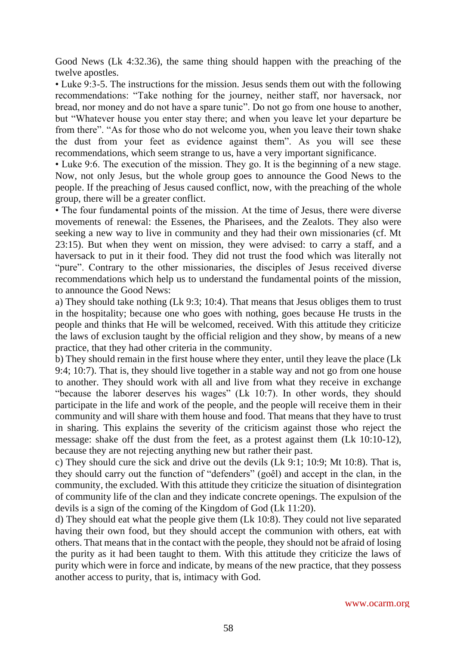Good News (Lk 4:32.36), the same thing should happen with the preaching of the twelve apostles.

• Luke 9:3-5. The instructions for the mission. Jesus sends them out with the following recommendations: "Take nothing for the journey, neither staff, nor haversack, nor bread, nor money and do not have a spare tunic". Do not go from one house to another, but "Whatever house you enter stay there; and when you leave let your departure be from there". "As for those who do not welcome you, when you leave their town shake the dust from your feet as evidence against them". As you will see these recommendations, which seem strange to us, have a very important significance.

• Luke 9:6. The execution of the mission. They go. It is the beginning of a new stage. Now, not only Jesus, but the whole group goes to announce the Good News to the people. If the preaching of Jesus caused conflict, now, with the preaching of the whole group, there will be a greater conflict.

• The four fundamental points of the mission. At the time of Jesus, there were diverse movements of renewal: the Essenes, the Pharisees, and the Zealots. They also were seeking a new way to live in community and they had their own missionaries (cf. Mt 23:15). But when they went on mission, they were advised: to carry a staff, and a haversack to put in it their food. They did not trust the food which was literally not "pure". Contrary to the other missionaries, the disciples of Jesus received diverse recommendations which help us to understand the fundamental points of the mission, to announce the Good News:

a) They should take nothing (Lk 9:3; 10:4). That means that Jesus obliges them to trust in the hospitality; because one who goes with nothing, goes because He trusts in the people and thinks that He will be welcomed, received. With this attitude they criticize the laws of exclusion taught by the official religion and they show, by means of a new practice, that they had other criteria in the community.

b) They should remain in the first house where they enter, until they leave the place (Lk 9:4; 10:7). That is, they should live together in a stable way and not go from one house to another. They should work with all and live from what they receive in exchange "because the laborer deserves his wages" (Lk 10:7). In other words, they should participate in the life and work of the people, and the people will receive them in their community and will share with them house and food. That means that they have to trust in sharing. This explains the severity of the criticism against those who reject the message: shake off the dust from the feet, as a protest against them (Lk 10:10-12), because they are not rejecting anything new but rather their past.

c) They should cure the sick and drive out the devils (Lk 9:1; 10:9; Mt 10:8). That is, they should carry out the function of "defenders" (goêl) and accept in the clan, in the community, the excluded. With this attitude they criticize the situation of disintegration of community life of the clan and they indicate concrete openings. The expulsion of the devils is a sign of the coming of the Kingdom of God (Lk 11:20).

d) They should eat what the people give them (Lk 10:8). They could not live separated having their own food, but they should accept the communion with others, eat with others. That means that in the contact with the people, they should not be afraid of losing the purity as it had been taught to them. With this attitude they criticize the laws of purity which were in force and indicate, by means of the new practice, that they possess another access to purity, that is, intimacy with God.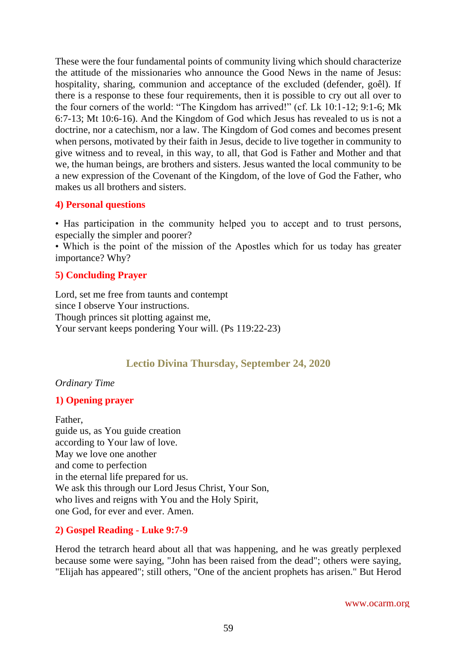These were the four fundamental points of community living which should characterize the attitude of the missionaries who announce the Good News in the name of Jesus: hospitality, sharing, communion and acceptance of the excluded (defender, goêl). If there is a response to these four requirements, then it is possible to cry out all over to the four corners of the world: "The Kingdom has arrived!" (cf. Lk 10:1-12; 9:1-6; Mk 6:7-13; Mt 10:6-16). And the Kingdom of God which Jesus has revealed to us is not a doctrine, nor a catechism, nor a law. The Kingdom of God comes and becomes present when persons, motivated by their faith in Jesus, decide to live together in community to give witness and to reveal, in this way, to all, that God is Father and Mother and that we, the human beings, are brothers and sisters. Jesus wanted the local community to be a new expression of the Covenant of the Kingdom, of the love of God the Father, who makes us all brothers and sisters.

### **4) Personal questions**

• Has participation in the community helped you to accept and to trust persons, especially the simpler and poorer?

• Which is the point of the mission of the Apostles which for us today has greater importance? Why?

# **5) Concluding Prayer**

Lord, set me free from taunts and contempt since I observe Your instructions. Though princes sit plotting against me, Your servant keeps pondering Your will. (Ps 119:22-23)

# **Lectio Divina Thursday, September 24, 2020**

#### *Ordinary Time*

#### **1) Opening prayer**

Father, guide us, as You guide creation according to Your law of love. May we love one another and come to perfection in the eternal life prepared for us. We ask this through our Lord Jesus Christ, Your Son, who lives and reigns with You and the Holy Spirit, one God, for ever and ever. Amen.

## **2) Gospel Reading - Luke 9:7-9**

Herod the tetrarch heard about all that was happening, and he was greatly perplexed because some were saying, "John has been raised from the dead"; others were saying, "Elijah has appeared"; still others, "One of the ancient prophets has arisen." But Herod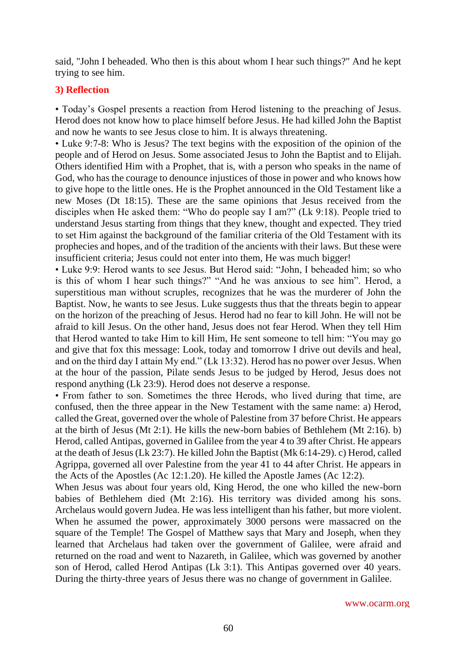said, "John I beheaded. Who then is this about whom I hear such things?" And he kept trying to see him.

### **3) Reflection**

• Today's Gospel presents a reaction from Herod listening to the preaching of Jesus. Herod does not know how to place himself before Jesus. He had killed John the Baptist and now he wants to see Jesus close to him. It is always threatening.

• Luke 9:7-8: Who is Jesus? The text begins with the exposition of the opinion of the people and of Herod on Jesus. Some associated Jesus to John the Baptist and to Elijah. Others identified Him with a Prophet, that is, with a person who speaks in the name of God, who has the courage to denounce injustices of those in power and who knows how to give hope to the little ones. He is the Prophet announced in the Old Testament like a new Moses (Dt 18:15). These are the same opinions that Jesus received from the disciples when He asked them: "Who do people say I am?" (Lk 9:18). People tried to understand Jesus starting from things that they knew, thought and expected. They tried to set Him against the background of the familiar criteria of the Old Testament with its prophecies and hopes, and of the tradition of the ancients with their laws. But these were insufficient criteria; Jesus could not enter into them, He was much bigger!

• Luke 9:9: Herod wants to see Jesus. But Herod said: "John, I beheaded him; so who is this of whom I hear such things?" "And he was anxious to see him". Herod, a superstitious man without scruples, recognizes that he was the murderer of John the Baptist. Now, he wants to see Jesus. Luke suggests thus that the threats begin to appear on the horizon of the preaching of Jesus. Herod had no fear to kill John. He will not be afraid to kill Jesus. On the other hand, Jesus does not fear Herod. When they tell Him that Herod wanted to take Him to kill Him, He sent someone to tell him: "You may go and give that fox this message: Look, today and tomorrow I drive out devils and heal, and on the third day I attain My end." (Lk 13:32). Herod has no power over Jesus. When at the hour of the passion, Pilate sends Jesus to be judged by Herod, Jesus does not respond anything (Lk 23:9). Herod does not deserve a response.

• From father to son. Sometimes the three Herods, who lived during that time, are confused, then the three appear in the New Testament with the same name: a) Herod, called the Great, governed over the whole of Palestine from 37 before Christ. He appears at the birth of Jesus (Mt 2:1). He kills the new-born babies of Bethlehem (Mt 2:16). b) Herod, called Antipas, governed in Galilee from the year 4 to 39 after Christ. He appears at the death of Jesus (Lk 23:7). He killed John the Baptist (Mk 6:14-29). c) Herod, called Agrippa, governed all over Palestine from the year 41 to 44 after Christ. He appears in the Acts of the Apostles (Ac 12:1.20). He killed the Apostle James (Ac 12:2).

When Jesus was about four years old, King Herod, the one who killed the new-born babies of Bethlehem died (Mt 2:16). His territory was divided among his sons. Archelaus would govern Judea. He was less intelligent than his father, but more violent. When he assumed the power, approximately 3000 persons were massacred on the square of the Temple! The Gospel of Matthew says that Mary and Joseph, when they learned that Archelaus had taken over the government of Galilee, were afraid and returned on the road and went to Nazareth, in Galilee, which was governed by another son of Herod, called Herod Antipas (Lk 3:1). This Antipas governed over 40 years. During the thirty-three years of Jesus there was no change of government in Galilee.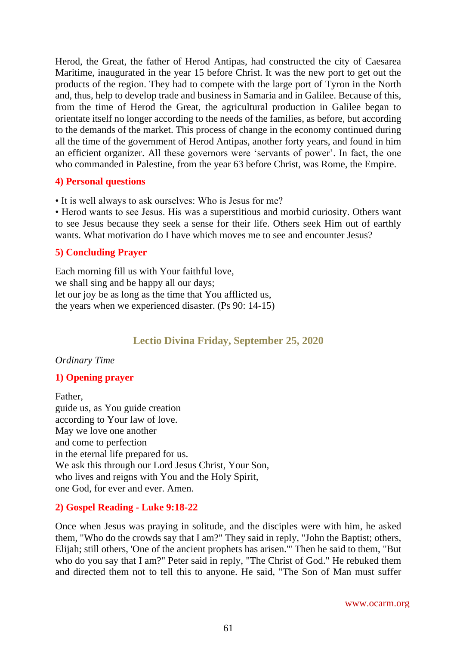Herod, the Great, the father of Herod Antipas, had constructed the city of Caesarea Maritime, inaugurated in the year 15 before Christ. It was the new port to get out the products of the region. They had to compete with the large port of Tyron in the North and, thus, help to develop trade and business in Samaria and in Galilee. Because of this, from the time of Herod the Great, the agricultural production in Galilee began to orientate itself no longer according to the needs of the families, as before, but according to the demands of the market. This process of change in the economy continued during all the time of the government of Herod Antipas, another forty years, and found in him an efficient organizer. All these governors were 'servants of power'. In fact, the one who commanded in Palestine, from the year 63 before Christ, was Rome, the Empire.

#### **4) Personal questions**

• It is well always to ask ourselves: Who is Jesus for me?

• Herod wants to see Jesus. His was a superstitious and morbid curiosity. Others want to see Jesus because they seek a sense for their life. Others seek Him out of earthly wants. What motivation do I have which moves me to see and encounter Jesus?

## **5) Concluding Prayer**

Each morning fill us with Your faithful love, we shall sing and be happy all our days; let our joy be as long as the time that You afflicted us, the years when we experienced disaster. (Ps 90: 14-15)

# **Lectio Divina Friday, September 25, 2020**

## *Ordinary Time*

## **1) Opening prayer**

Father, guide us, as You guide creation according to Your law of love. May we love one another and come to perfection in the eternal life prepared for us. We ask this through our Lord Jesus Christ, Your Son, who lives and reigns with You and the Holy Spirit, one God, for ever and ever. Amen.

## **2) Gospel Reading - Luke 9:18-22**

Once when Jesus was praying in solitude, and the disciples were with him, he asked them, "Who do the crowds say that I am?" They said in reply, "John the Baptist; others, Elijah; still others, 'One of the ancient prophets has arisen.'" Then he said to them, "But who do you say that I am?" Peter said in reply, "The Christ of God." He rebuked them and directed them not to tell this to anyone. He said, "The Son of Man must suffer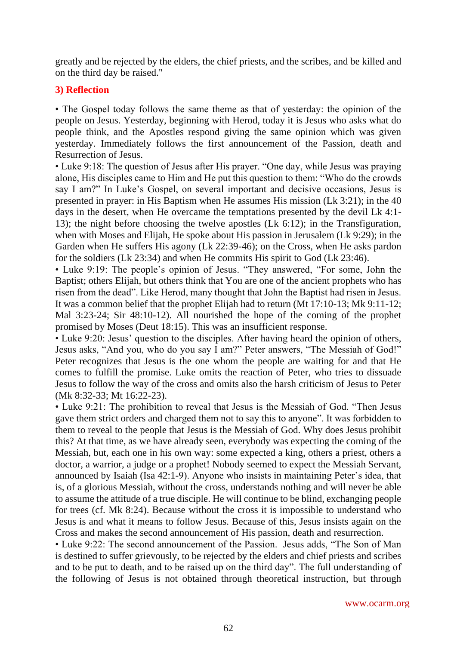greatly and be rejected by the elders, the chief priests, and the scribes, and be killed and on the third day be raised."

## **3) Reflection**

• The Gospel today follows the same theme as that of yesterday: the opinion of the people on Jesus. Yesterday, beginning with Herod, today it is Jesus who asks what do people think, and the Apostles respond giving the same opinion which was given yesterday. Immediately follows the first announcement of the Passion, death and Resurrection of Jesus.

• Luke 9:18: The question of Jesus after His prayer. "One day, while Jesus was praying alone, His disciples came to Him and He put this question to them: "Who do the crowds say I am?" In Luke's Gospel, on several important and decisive occasions, Jesus is presented in prayer: in His Baptism when He assumes His mission (Lk 3:21); in the 40 days in the desert, when He overcame the temptations presented by the devil Lk 4:1- 13); the night before choosing the twelve apostles (Lk 6:12); in the Transfiguration, when with Moses and Elijah, He spoke about His passion in Jerusalem (Lk 9:29); in the Garden when He suffers His agony (Lk 22:39-46); on the Cross, when He asks pardon for the soldiers (Lk 23:34) and when He commits His spirit to God (Lk 23:46).

• Luke 9:19: The people's opinion of Jesus. "They answered, "For some, John the Baptist; others Elijah, but others think that You are one of the ancient prophets who has risen from the dead". Like Herod, many thought that John the Baptist had risen in Jesus. It was a common belief that the prophet Elijah had to return (Mt 17:10-13; Mk 9:11-12; Mal 3:23-24; Sir 48:10-12). All nourished the hope of the coming of the prophet promised by Moses (Deut 18:15). This was an insufficient response.

• Luke 9:20: Jesus' question to the disciples. After having heard the opinion of others, Jesus asks, "And you, who do you say I am?" Peter answers, "The Messiah of God!" Peter recognizes that Jesus is the one whom the people are waiting for and that He comes to fulfill the promise. Luke omits the reaction of Peter, who tries to dissuade Jesus to follow the way of the cross and omits also the harsh criticism of Jesus to Peter (Mk 8:32-33; Mt 16:22-23).

• Luke 9:21: The prohibition to reveal that Jesus is the Messiah of God. "Then Jesus gave them strict orders and charged them not to say this to anyone". It was forbidden to them to reveal to the people that Jesus is the Messiah of God. Why does Jesus prohibit this? At that time, as we have already seen, everybody was expecting the coming of the Messiah, but, each one in his own way: some expected a king, others a priest, others a doctor, a warrior, a judge or a prophet! Nobody seemed to expect the Messiah Servant, announced by Isaiah (Isa 42:1-9). Anyone who insists in maintaining Peter's idea, that is, of a glorious Messiah, without the cross, understands nothing and will never be able to assume the attitude of a true disciple. He will continue to be blind, exchanging people for trees (cf. Mk 8:24). Because without the cross it is impossible to understand who Jesus is and what it means to follow Jesus. Because of this, Jesus insists again on the Cross and makes the second announcement of His passion, death and resurrection.

• Luke 9:22: The second announcement of the Passion. Jesus adds, "The Son of Man is destined to suffer grievously, to be rejected by the elders and chief priests and scribes and to be put to death, and to be raised up on the third day". The full understanding of the following of Jesus is not obtained through theoretical instruction, but through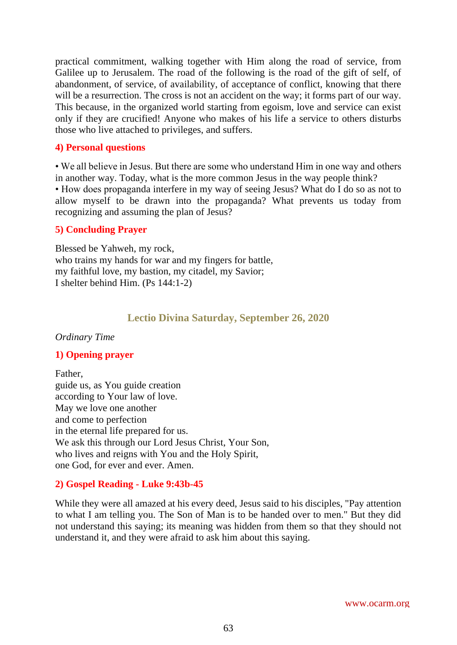practical commitment, walking together with Him along the road of service, from Galilee up to Jerusalem. The road of the following is the road of the gift of self, of abandonment, of service, of availability, of acceptance of conflict, knowing that there will be a resurrection. The cross is not an accident on the way; it forms part of our way. This because, in the organized world starting from egoism, love and service can exist only if they are crucified! Anyone who makes of his life a service to others disturbs those who live attached to privileges, and suffers.

#### **4) Personal questions**

• We all believe in Jesus. But there are some who understand Him in one way and others in another way. Today, what is the more common Jesus in the way people think? • How does propaganda interfere in my way of seeing Jesus? What do I do so as not to allow myself to be drawn into the propaganda? What prevents us today from recognizing and assuming the plan of Jesus?

## **5) Concluding Prayer**

Blessed be Yahweh, my rock, who trains my hands for war and my fingers for battle, my faithful love, my bastion, my citadel, my Savior; I shelter behind Him. (Ps 144:1-2)

## **Lectio Divina Saturday, September 26, 2020**

#### *Ordinary Time*

## **1) Opening prayer**

Father, guide us, as You guide creation according to Your law of love. May we love one another and come to perfection in the eternal life prepared for us. We ask this through our Lord Jesus Christ, Your Son, who lives and reigns with You and the Holy Spirit, one God, for ever and ever. Amen.

## **2) Gospel Reading - Luke 9:43b-45**

While they were all amazed at his every deed, Jesus said to his disciples, "Pay attention to what I am telling you. The Son of Man is to be handed over to men." But they did not understand this saying; its meaning was hidden from them so that they should not understand it, and they were afraid to ask him about this saying.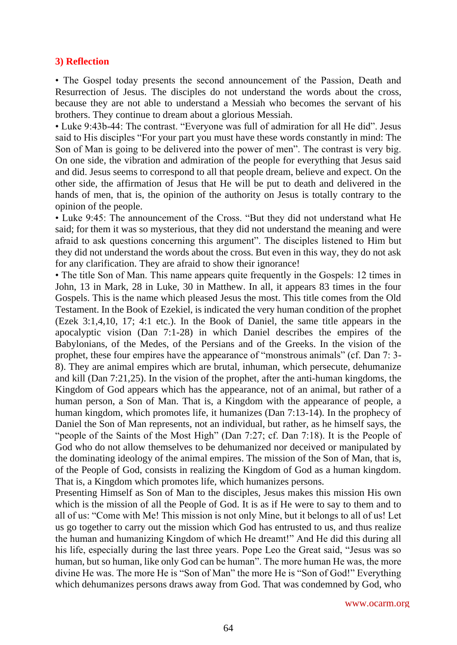#### **3) Reflection**

• The Gospel today presents the second announcement of the Passion, Death and Resurrection of Jesus. The disciples do not understand the words about the cross, because they are not able to understand a Messiah who becomes the servant of his brothers. They continue to dream about a glorious Messiah.

• Luke 9:43b-44: The contrast. "Everyone was full of admiration for all He did". Jesus said to His disciples "For your part you must have these words constantly in mind: The Son of Man is going to be delivered into the power of men". The contrast is very big. On one side, the vibration and admiration of the people for everything that Jesus said and did. Jesus seems to correspond to all that people dream, believe and expect. On the other side, the affirmation of Jesus that He will be put to death and delivered in the hands of men, that is, the opinion of the authority on Jesus is totally contrary to the opinion of the people.

• Luke 9:45: The announcement of the Cross. "But they did not understand what He said; for them it was so mysterious, that they did not understand the meaning and were afraid to ask questions concerning this argument". The disciples listened to Him but they did not understand the words about the cross. But even in this way, they do not ask for any clarification. They are afraid to show their ignorance!

• The title Son of Man. This name appears quite frequently in the Gospels: 12 times in John, 13 in Mark, 28 in Luke, 30 in Matthew. In all, it appears 83 times in the four Gospels. This is the name which pleased Jesus the most. This title comes from the Old Testament. In the Book of Ezekiel, is indicated the very human condition of the prophet (Ezek 3:1,4,10, 17; 4:1 etc.). In the Book of Daniel, the same title appears in the apocalyptic vision (Dan 7:1-28) in which Daniel describes the empires of the Babylonians, of the Medes, of the Persians and of the Greeks. In the vision of the prophet, these four empires have the appearance of "monstrous animals" (cf. Dan 7: 3- 8). They are animal empires which are brutal, inhuman, which persecute, dehumanize and kill (Dan 7:21,25). In the vision of the prophet, after the anti-human kingdoms, the Kingdom of God appears which has the appearance, not of an animal, but rather of a human person, a Son of Man. That is, a Kingdom with the appearance of people, a human kingdom, which promotes life, it humanizes (Dan 7:13-14). In the prophecy of Daniel the Son of Man represents, not an individual, but rather, as he himself says, the "people of the Saints of the Most High" (Dan 7:27; cf. Dan 7:18). It is the People of God who do not allow themselves to be dehumanized nor deceived or manipulated by the dominating ideology of the animal empires. The mission of the Son of Man, that is, of the People of God, consists in realizing the Kingdom of God as a human kingdom. That is, a Kingdom which promotes life, which humanizes persons.

Presenting Himself as Son of Man to the disciples, Jesus makes this mission His own which is the mission of all the People of God. It is as if He were to say to them and to all of us: "Come with Me! This mission is not only Mine, but it belongs to all of us! Let us go together to carry out the mission which God has entrusted to us, and thus realize the human and humanizing Kingdom of which He dreamt!" And He did this during all his life, especially during the last three years. Pope Leo the Great said, "Jesus was so human, but so human, like only God can be human". The more human He was, the more divine He was. The more He is "Son of Man" the more He is "Son of God!" Everything which dehumanizes persons draws away from God. That was condemned by God, who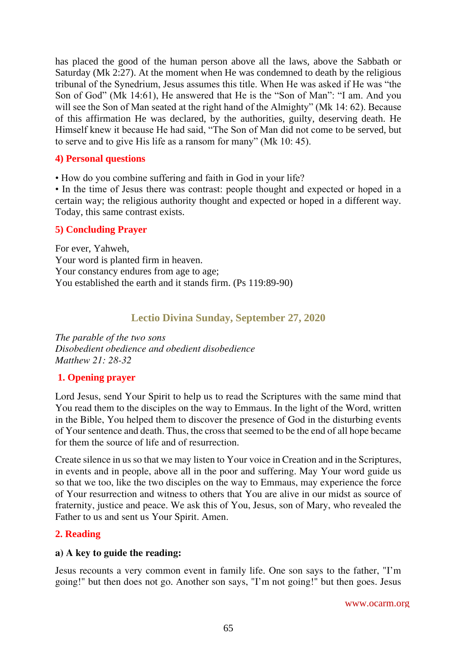has placed the good of the human person above all the laws, above the Sabbath or Saturday (Mk 2:27). At the moment when He was condemned to death by the religious tribunal of the Synedrium, Jesus assumes this title. When He was asked if He was "the Son of God" (Mk 14:61), He answered that He is the "Son of Man": "I am. And you will see the Son of Man seated at the right hand of the Almighty" (Mk 14: 62). Because of this affirmation He was declared, by the authorities, guilty, deserving death. He Himself knew it because He had said, "The Son of Man did not come to be served, but to serve and to give His life as a ransom for many" (Mk 10: 45).

#### **4) Personal questions**

• How do you combine suffering and faith in God in your life?

• In the time of Jesus there was contrast: people thought and expected or hoped in a certain way; the religious authority thought and expected or hoped in a different way. Today, this same contrast exists.

### **5) Concluding Prayer**

For ever, Yahweh, Your word is planted firm in heaven. Your constancy endures from age to age; You established the earth and it stands firm. (Ps 119:89-90)

# **Lectio Divina Sunday, September 27, 2020**

*The parable of the two sons Disobedient obedience and obedient disobedience Matthew 21: 28-32*

## **1. Opening prayer**

Lord Jesus, send Your Spirit to help us to read the Scriptures with the same mind that You read them to the disciples on the way to Emmaus. In the light of the Word, written in the Bible, You helped them to discover the presence of God in the disturbing events of Your sentence and death. Thus, the cross that seemed to be the end of all hope became for them the source of life and of resurrection.

Create silence in us so that we may listen to Your voice in Creation and in the Scriptures, in events and in people, above all in the poor and suffering. May Your word guide us so that we too, like the two disciples on the way to Emmaus, may experience the force of Your resurrection and witness to others that You are alive in our midst as source of fraternity, justice and peace. We ask this of You, Jesus, son of Mary, who revealed the Father to us and sent us Your Spirit. Amen.

## **2. Reading**

#### **a) A key to guide the reading:**

Jesus recounts a very common event in family life. One son says to the father, "I'm going!" but then does not go. Another son says, "I'm not going!" but then goes. Jesus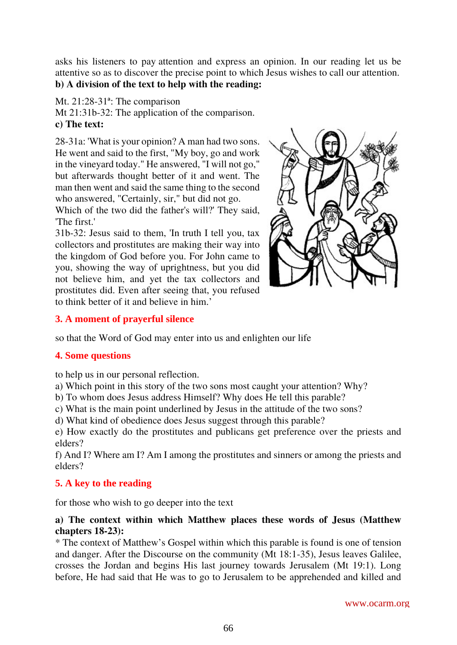asks his listeners to pay attention and express an opinion. In our reading let us be attentive so as to discover the precise point to which Jesus wishes to call our attention. **b) A division of the text to help with the reading:**

Mt. 21:28-31ª: The comparison

Mt 21:31b-32: The application of the comparison. **c) The text:**

28-31a: 'What is your opinion? A man had two sons. He went and said to the first, "My boy, go and work in the vineyard today." He answered, "I will not go," but afterwards thought better of it and went. The man then went and said the same thing to the second who answered, "Certainly, sir," but did not go.

Which of the two did the father's will?' They said, 'The first.'

31b-32: Jesus said to them, 'In truth I tell you, tax collectors and prostitutes are making their way into the kingdom of God before you. For John came to you, showing the way of uprightness, but you did not believe him, and yet the tax collectors and prostitutes did. Even after seeing that, you refused to think better of it and believe in him.'



# **3. A moment of prayerful silence**

so that the Word of God may enter into us and enlighten our life

## **4. Some questions**

to help us in our personal reflection.

a) Which point in this story of the two sons most caught your attention? Why?

b) To whom does Jesus address Himself? Why does He tell this parable?

c) What is the main point underlined by Jesus in the attitude of the two sons?

d) What kind of obedience does Jesus suggest through this parable?

e) How exactly do the prostitutes and publicans get preference over the priests and elders?

f) And I? Where am I? Am I among the prostitutes and sinners or among the priests and elders?

# **5. A key to the reading**

for those who wish to go deeper into the text

## **a) The context within which Matthew places these words of Jesus (Matthew chapters 18-23):**

\* The context of Matthew's Gospel within which this parable is found is one of tension and danger. After the Discourse on the community (Mt 18:1-35), Jesus leaves Galilee, crosses the Jordan and begins His last journey towards Jerusalem (Mt 19:1). Long before, He had said that He was to go to Jerusalem to be apprehended and killed and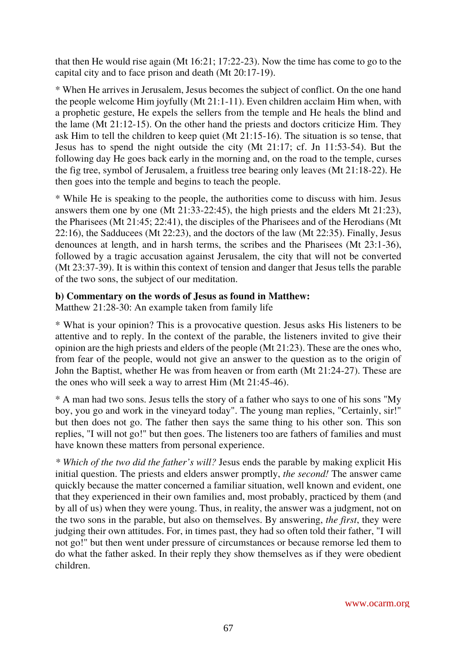that then He would rise again (Mt 16:21; 17:22-23). Now the time has come to go to the capital city and to face prison and death (Mt 20:17-19).

\* When He arrives in Jerusalem, Jesus becomes the subject of conflict. On the one hand the people welcome Him joyfully (Mt 21:1-11). Even children acclaim Him when, with a prophetic gesture, He expels the sellers from the temple and He heals the blind and the lame (Mt 21:12-15). On the other hand the priests and doctors criticize Him. They ask Him to tell the children to keep quiet (Mt 21:15-16). The situation is so tense, that Jesus has to spend the night outside the city (Mt 21:17; cf. Jn 11:53-54). But the following day He goes back early in the morning and, on the road to the temple, curses the fig tree, symbol of Jerusalem, a fruitless tree bearing only leaves (Mt 21:18-22). He then goes into the temple and begins to teach the people.

\* While He is speaking to the people, the authorities come to discuss with him. Jesus answers them one by one (Mt 21:33-22:45), the high priests and the elders Mt 21:23), the Pharisees (Mt 21:45; 22:41), the disciples of the Pharisees and of the Herodians (Mt 22:16), the Sadducees (Mt 22:23), and the doctors of the law (Mt 22:35). Finally, Jesus denounces at length, and in harsh terms, the scribes and the Pharisees (Mt 23:1-36), followed by a tragic accusation against Jerusalem, the city that will not be converted (Mt 23:37-39). It is within this context of tension and danger that Jesus tells the parable of the two sons, the subject of our meditation.

## **b) Commentary on the words of Jesus as found in Matthew:**

Matthew 21:28-30: An example taken from family life

\* What is your opinion? This is a provocative question. Jesus asks His listeners to be attentive and to reply. In the context of the parable, the listeners invited to give their opinion are the high priests and elders of the people (Mt 21:23). These are the ones who, from fear of the people, would not give an answer to the question as to the origin of John the Baptist, whether He was from heaven or from earth (Mt 21:24-27). These are the ones who will seek a way to arrest Him (Mt 21:45-46).

\* A man had two sons. Jesus tells the story of a father who says to one of his sons "My boy, you go and work in the vineyard today". The young man replies, "Certainly, sir!" but then does not go. The father then says the same thing to his other son. This son replies, "I will not go!" but then goes. The listeners too are fathers of families and must have known these matters from personal experience.

*\* Which of the two did the father's will?* Jesus ends the parable by making explicit His initial question. The priests and elders answer promptly, *the second!* The answer came quickly because the matter concerned a familiar situation, well known and evident, one that they experienced in their own families and, most probably, practiced by them (and by all of us) when they were young. Thus, in reality, the answer was a judgment, not on the two sons in the parable, but also on themselves. By answering, *the first*, they were judging their own attitudes. For, in times past, they had so often told their father, "I will not go!" but then went under pressure of circumstances or because remorse led them to do what the father asked. In their reply they show themselves as if they were obedient children.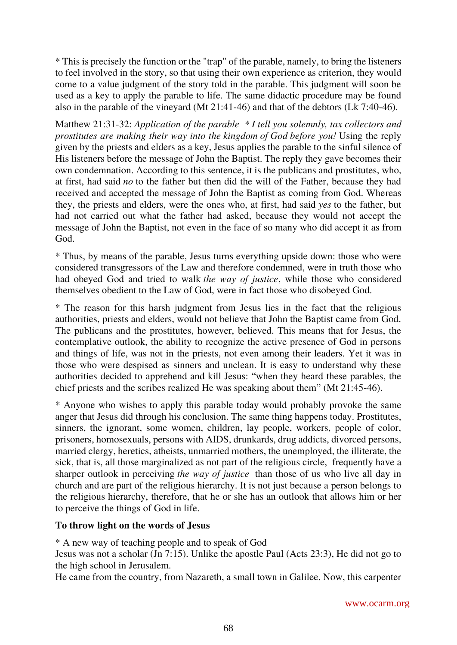\* This is precisely the function or the "trap" of the parable, namely, to bring the listeners to feel involved in the story, so that using their own experience as criterion, they would come to a value judgment of the story told in the parable. This judgment will soon be used as a key to apply the parable to life. The same didactic procedure may be found also in the parable of the vineyard (Mt 21:41-46) and that of the debtors (Lk 7:40-46).

Matthew 21:31-32: *Application of the parable \* I tell you solemnly, tax collectors and prostitutes are making their way into the kingdom of God before you!* Using the reply given by the priests and elders as a key, Jesus applies the parable to the sinful silence of His listeners before the message of John the Baptist. The reply they gave becomes their own condemnation. According to this sentence, it is the publicans and prostitutes, who, at first, had said *no* to the father but then did the will of the Father, because they had received and accepted the message of John the Baptist as coming from God. Whereas they, the priests and elders, were the ones who, at first, had said *yes* to the father, but had not carried out what the father had asked, because they would not accept the message of John the Baptist, not even in the face of so many who did accept it as from God.

\* Thus, by means of the parable, Jesus turns everything upside down: those who were considered transgressors of the Law and therefore condemned, were in truth those who had obeyed God and tried to walk *the way of justice*, while those who considered themselves obedient to the Law of God, were in fact those who disobeyed God.

\* The reason for this harsh judgment from Jesus lies in the fact that the religious authorities, priests and elders, would not believe that John the Baptist came from God. The publicans and the prostitutes, however, believed. This means that for Jesus, the contemplative outlook, the ability to recognize the active presence of God in persons and things of life, was not in the priests, not even among their leaders. Yet it was in those who were despised as sinners and unclean. It is easy to understand why these authorities decided to apprehend and kill Jesus: "when they heard these parables, the chief priests and the scribes realized He was speaking about them" (Mt 21:45-46).

\* Anyone who wishes to apply this parable today would probably provoke the same anger that Jesus did through his conclusion. The same thing happens today. Prostitutes, sinners, the ignorant, some women, children, lay people, workers, people of color, prisoners, homosexuals, persons with AIDS, drunkards, drug addicts, divorced persons, married clergy, heretics, atheists, unmarried mothers, the unemployed, the illiterate, the sick, that is, all those marginalized as not part of the religious circle, frequently have a sharper outlook in perceiving *the way of justice* than those of us who live all day in church and are part of the religious hierarchy. It is not just because a person belongs to the religious hierarchy, therefore, that he or she has an outlook that allows him or her to perceive the things of God in life.

## **To throw light on the words of Jesus**

\* A new way of teaching people and to speak of God

Jesus was not a scholar (Jn 7:15). Unlike the apostle Paul (Acts 23:3), He did not go to the high school in Jerusalem.

He came from the country, from Nazareth, a small town in Galilee. Now, this carpenter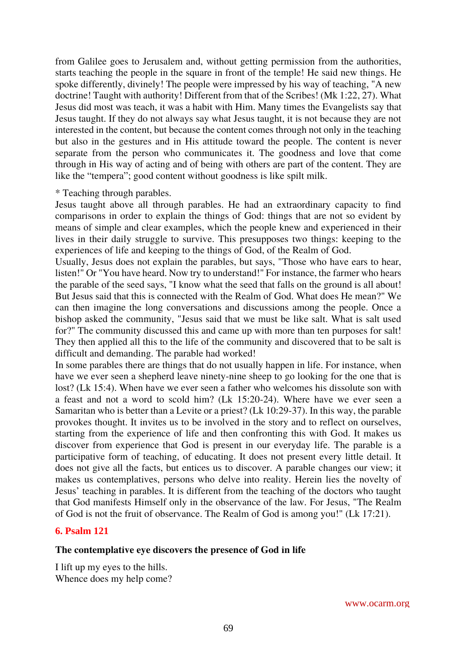from Galilee goes to Jerusalem and, without getting permission from the authorities, starts teaching the people in the square in front of the temple! He said new things. He spoke differently, divinely! The people were impressed by his way of teaching, "A new doctrine! Taught with authority! Different from that of the Scribes! (Mk 1:22, 27). What Jesus did most was teach, it was a habit with Him. Many times the Evangelists say that Jesus taught. If they do not always say what Jesus taught, it is not because they are not interested in the content, but because the content comes through not only in the teaching but also in the gestures and in His attitude toward the people. The content is never separate from the person who communicates it. The goodness and love that come through in His way of acting and of being with others are part of the content. They are like the "tempera"; good content without goodness is like spilt milk.

#### \* Teaching through parables.

Jesus taught above all through parables. He had an extraordinary capacity to find comparisons in order to explain the things of God: things that are not so evident by means of simple and clear examples, which the people knew and experienced in their lives in their daily struggle to survive. This presupposes two things: keeping to the experiences of life and keeping to the things of God, of the Realm of God.

Usually, Jesus does not explain the parables, but says, "Those who have ears to hear, listen!" Or "You have heard. Now try to understand!" For instance, the farmer who hears the parable of the seed says, "I know what the seed that falls on the ground is all about! But Jesus said that this is connected with the Realm of God. What does He mean?" We can then imagine the long conversations and discussions among the people. Once a bishop asked the community, "Jesus said that we must be like salt. What is salt used for?" The community discussed this and came up with more than ten purposes for salt! They then applied all this to the life of the community and discovered that to be salt is difficult and demanding. The parable had worked!

In some parables there are things that do not usually happen in life. For instance, when have we ever seen a shepherd leave ninety-nine sheep to go looking for the one that is lost? (Lk 15:4). When have we ever seen a father who welcomes his dissolute son with a feast and not a word to scold him? (Lk 15:20-24). Where have we ever seen a Samaritan who is better than a Levite or a priest? (Lk 10:29-37). In this way, the parable provokes thought. It invites us to be involved in the story and to reflect on ourselves, starting from the experience of life and then confronting this with God. It makes us discover from experience that God is present in our everyday life. The parable is a participative form of teaching, of educating. It does not present every little detail. It does not give all the facts, but entices us to discover. A parable changes our view; it makes us contemplatives, persons who delve into reality. Herein lies the novelty of Jesus' teaching in parables. It is different from the teaching of the doctors who taught that God manifests Himself only in the observance of the law. For Jesus, "The Realm of God is not the fruit of observance. The Realm of God is among you!" (Lk 17:21).

#### **6. Psalm 121**

#### **The contemplative eye discovers the presence of God in life**

I lift up my eyes to the hills. Whence does my help come?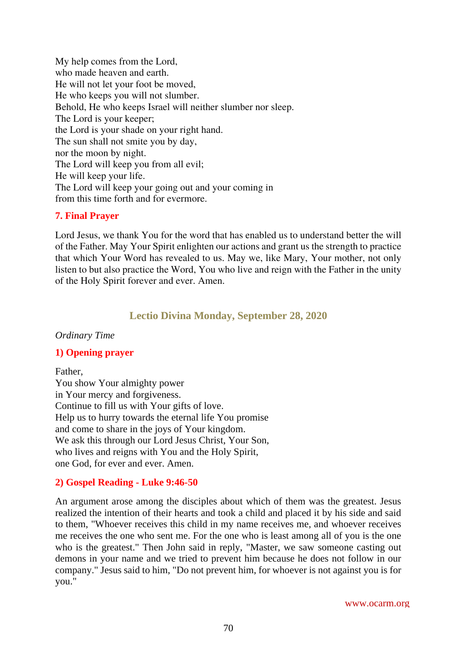My help comes from the Lord, who made heaven and earth. He will not let your foot be moved, He who keeps you will not slumber. Behold, He who keeps Israel will neither slumber nor sleep. The Lord is your keeper; the Lord is your shade on your right hand. The sun shall not smite you by day, nor the moon by night. The Lord will keep you from all evil; He will keep your life. The Lord will keep your going out and your coming in from this time forth and for evermore.

### **7. Final Prayer**

Lord Jesus, we thank You for the word that has enabled us to understand better the will of the Father. May Your Spirit enlighten our actions and grant us the strength to practice that which Your Word has revealed to us. May we, like Mary, Your mother, not only listen to but also practice the Word, You who live and reign with the Father in the unity of the Holy Spirit forever and ever. Amen.

# **Lectio Divina Monday, September 28, 2020**

## *Ordinary Time*

## **1) Opening prayer**

Father, You show Your almighty power in Your mercy and forgiveness. Continue to fill us with Your gifts of love. Help us to hurry towards the eternal life You promise and come to share in the joys of Your kingdom. We ask this through our Lord Jesus Christ, Your Son, who lives and reigns with You and the Holy Spirit, one God, for ever and ever. Amen.

## **2) Gospel Reading - Luke 9:46-50**

An argument arose among the disciples about which of them was the greatest. Jesus realized the intention of their hearts and took a child and placed it by his side and said to them, "Whoever receives this child in my name receives me, and whoever receives me receives the one who sent me. For the one who is least among all of you is the one who is the greatest." Then John said in reply, "Master, we saw someone casting out demons in your name and we tried to prevent him because he does not follow in our company." Jesus said to him, "Do not prevent him, for whoever is not against you is for you."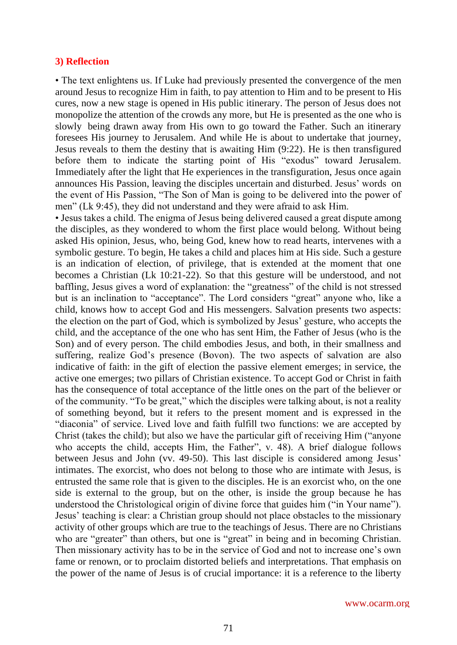#### **3) Reflection**

• The text enlightens us. If Luke had previously presented the convergence of the men around Jesus to recognize Him in faith, to pay attention to Him and to be present to His cures, now a new stage is opened in His public itinerary. The person of Jesus does not monopolize the attention of the crowds any more, but He is presented as the one who is slowly being drawn away from His own to go toward the Father. Such an itinerary foresees His journey to Jerusalem. And while He is about to undertake that journey, Jesus reveals to them the destiny that is awaiting Him (9:22). He is then transfigured before them to indicate the starting point of His "exodus" toward Jerusalem. Immediately after the light that He experiences in the transfiguration, Jesus once again announces His Passion, leaving the disciples uncertain and disturbed. Jesus' words on the event of His Passion, "The Son of Man is going to be delivered into the power of men" (Lk 9:45), they did not understand and they were afraid to ask Him.

• Jesus takes a child. The enigma of Jesus being delivered caused a great dispute among the disciples, as they wondered to whom the first place would belong. Without being asked His opinion, Jesus, who, being God, knew how to read hearts, intervenes with a symbolic gesture. To begin, He takes a child and places him at His side. Such a gesture is an indication of election, of privilege, that is extended at the moment that one becomes a Christian (Lk 10:21-22). So that this gesture will be understood, and not baffling, Jesus gives a word of explanation: the "greatness" of the child is not stressed but is an inclination to "acceptance". The Lord considers "great" anyone who, like a child, knows how to accept God and His messengers. Salvation presents two aspects: the election on the part of God, which is symbolized by Jesus' gesture, who accepts the child, and the acceptance of the one who has sent Him, the Father of Jesus (who is the Son) and of every person. The child embodies Jesus, and both, in their smallness and suffering, realize God's presence (Bovon). The two aspects of salvation are also indicative of faith: in the gift of election the passive element emerges; in service, the active one emerges; two pillars of Christian existence. To accept God or Christ in faith has the consequence of total acceptance of the little ones on the part of the believer or of the community. "To be great," which the disciples were talking about, is not a reality of something beyond, but it refers to the present moment and is expressed in the "diaconia" of service. Lived love and faith fulfill two functions: we are accepted by Christ (takes the child); but also we have the particular gift of receiving Him ("anyone who accepts the child, accepts Him, the Father", v. 48). A brief dialogue follows between Jesus and John (vv. 49-50). This last disciple is considered among Jesus' intimates. The exorcist, who does not belong to those who are intimate with Jesus, is entrusted the same role that is given to the disciples. He is an exorcist who, on the one side is external to the group, but on the other, is inside the group because he has understood the Christological origin of divine force that guides him ("in Your name"). Jesus' teaching is clear: a Christian group should not place obstacles to the missionary activity of other groups which are true to the teachings of Jesus. There are no Christians who are "greater" than others, but one is "great" in being and in becoming Christian. Then missionary activity has to be in the service of God and not to increase one's own fame or renown, or to proclaim distorted beliefs and interpretations. That emphasis on the power of the name of Jesus is of crucial importance: it is a reference to the liberty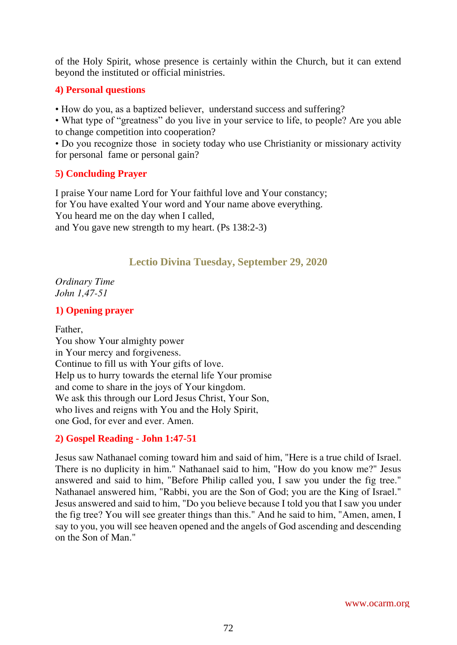of the Holy Spirit, whose presence is certainly within the Church, but it can extend beyond the instituted or official ministries.

### **4) Personal questions**

• How do you, as a baptized believer, understand success and suffering?

• What type of "greatness" do you live in your service to life, to people? Are you able to change competition into cooperation?

• Do you recognize those in society today who use Christianity or missionary activity for personal fame or personal gain?

# **5) Concluding Prayer**

I praise Your name Lord for Your faithful love and Your constancy; for You have exalted Your word and Your name above everything. You heard me on the day when I called, and You gave new strength to my heart. (Ps 138:2-3)

# **Lectio Divina Tuesday, September 29, 2020**

*Ordinary Time John 1,47-51*

## **1) Opening prayer**

#### Father,

You show Your almighty power in Your mercy and forgiveness. Continue to fill us with Your gifts of love. Help us to hurry towards the eternal life Your promise and come to share in the joys of Your kingdom. We ask this through our Lord Jesus Christ, Your Son, who lives and reigns with You and the Holy Spirit, one God, for ever and ever. Amen.

## **2) Gospel Reading - John 1:47-51**

Jesus saw Nathanael coming toward him and said of him, "Here is a true child of Israel. There is no duplicity in him." Nathanael said to him, "How do you know me?" Jesus answered and said to him, "Before Philip called you, I saw you under the fig tree." Nathanael answered him, "Rabbi, you are the Son of God; you are the King of Israel." Jesus answered and said to him, "Do you believe because I told you that I saw you under the fig tree? You will see greater things than this." And he said to him, "Amen, amen, I say to you, you will see heaven opened and the angels of God ascending and descending on the Son of Man."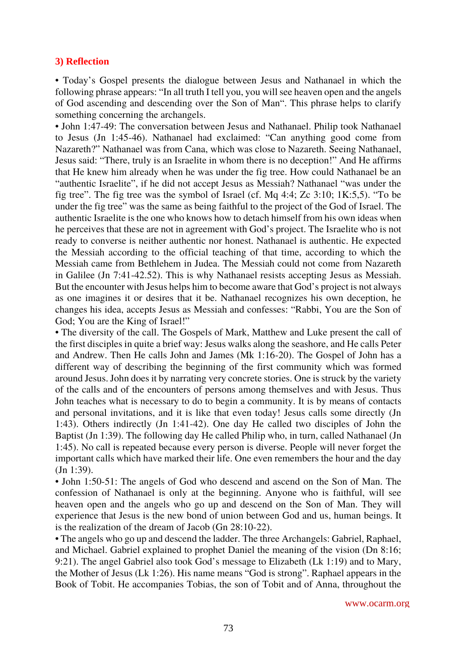## **3) Reflection**

• Today's Gospel presents the dialogue between Jesus and Nathanael in which the following phrase appears: "In all truth I tell you, you will see heaven open and the angels of God ascending and descending over the Son of Man". This phrase helps to clarify something concerning the archangels.

• John 1:47-49: The conversation between Jesus and Nathanael. Philip took Nathanael to Jesus (Jn 1:45-46). Nathanael had exclaimed: "Can anything good come from Nazareth?" Nathanael was from Cana, which was close to Nazareth. Seeing Nathanael, Jesus said: "There, truly is an Israelite in whom there is no deception!" And He affirms that He knew him already when he was under the fig tree. How could Nathanael be an "authentic Israelite", if he did not accept Jesus as Messiah? Nathanael "was under the fig tree". The fig tree was the symbol of Israel (cf. Mq 4:4; Zc 3:10; 1K:5,5). "To be under the fig tree" was the same as being faithful to the project of the God of Israel. The authentic Israelite is the one who knows how to detach himself from his own ideas when he perceives that these are not in agreement with God's project. The Israelite who is not ready to converse is neither authentic nor honest. Nathanael is authentic. He expected the Messiah according to the official teaching of that time, according to which the Messiah came from Bethlehem in Judea. The Messiah could not come from Nazareth in Galilee (Jn 7:41-42.52). This is why Nathanael resists accepting Jesus as Messiah. But the encounter with Jesus helps him to become aware that God's project is not always as one imagines it or desires that it be. Nathanael recognizes his own deception, he changes his idea, accepts Jesus as Messiah and confesses: "Rabbi, You are the Son of God; You are the King of Israel!"

• The diversity of the call. The Gospels of Mark, Matthew and Luke present the call of the first disciples in quite a brief way: Jesus walks along the seashore, and He calls Peter and Andrew. Then He calls John and James (Mk 1:16-20). The Gospel of John has a different way of describing the beginning of the first community which was formed around Jesus. John does it by narrating very concrete stories. One is struck by the variety of the calls and of the encounters of persons among themselves and with Jesus. Thus John teaches what is necessary to do to begin a community. It is by means of contacts and personal invitations, and it is like that even today! Jesus calls some directly (Jn 1:43). Others indirectly (Jn 1:41-42). One day He called two disciples of John the Baptist (Jn 1:39). The following day He called Philip who, in turn, called Nathanael (Jn 1:45). No call is repeated because every person is diverse. People will never forget the important calls which have marked their life. One even remembers the hour and the day (Jn 1:39).

• John 1:50-51: The angels of God who descend and ascend on the Son of Man. The confession of Nathanael is only at the beginning. Anyone who is faithful, will see heaven open and the angels who go up and descend on the Son of Man. They will experience that Jesus is the new bond of union between God and us, human beings. It is the realization of the dream of Jacob (Gn 28:10-22).

• The angels who go up and descend the ladder. The three Archangels: Gabriel, Raphael, and Michael. Gabriel explained to prophet Daniel the meaning of the vision (Dn 8:16; 9:21). The angel Gabriel also took God's message to Elizabeth (Lk 1:19) and to Mary, the Mother of Jesus (Lk 1:26). His name means "God is strong". Raphael appears in the Book of Tobit. He accompanies Tobias, the son of Tobit and of Anna, throughout the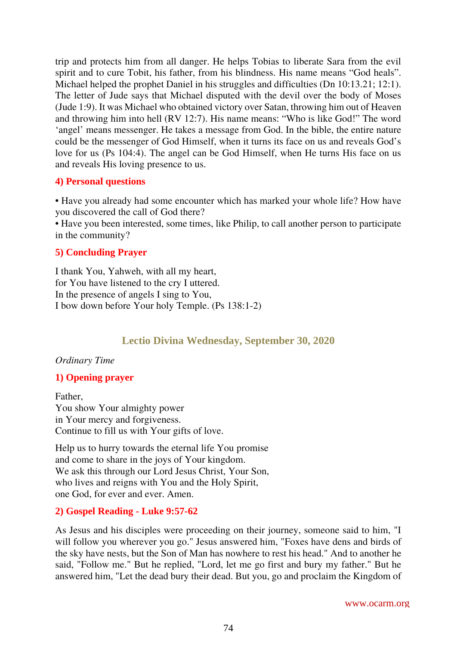trip and protects him from all danger. He helps Tobias to liberate Sara from the evil spirit and to cure Tobit, his father, from his blindness. His name means "God heals". Michael helped the prophet Daniel in his struggles and difficulties (Dn 10:13.21; 12:1). The letter of Jude says that Michael disputed with the devil over the body of Moses (Jude 1:9). It was Michael who obtained victory over Satan, throwing him out of Heaven and throwing him into hell (RV 12:7). His name means: "Who is like God!" The word 'angel' means messenger. He takes a message from God. In the bible, the entire nature could be the messenger of God Himself, when it turns its face on us and reveals God's love for us (Ps 104:4). The angel can be God Himself, when He turns His face on us and reveals His loving presence to us.

#### **4) Personal questions**

• Have you already had some encounter which has marked your whole life? How have you discovered the call of God there?

• Have you been interested, some times, like Philip, to call another person to participate in the community?

## **5) Concluding Prayer**

I thank You, Yahweh, with all my heart, for You have listened to the cry I uttered. In the presence of angels I sing to You, I bow down before Your holy Temple. (Ps 138:1-2)

# **Lectio Divina Wednesday, September 30, 2020**

## *Ordinary Time*

## **1) Opening prayer**

Father, You show Your almighty power in Your mercy and forgiveness. Continue to fill us with Your gifts of love.

Help us to hurry towards the eternal life You promise and come to share in the joys of Your kingdom. We ask this through our Lord Jesus Christ, Your Son, who lives and reigns with You and the Holy Spirit, one God, for ever and ever. Amen.

## **2) Gospel Reading - Luke 9:57-62**

As Jesus and his disciples were proceeding on their journey, someone said to him, "I will follow you wherever you go." Jesus answered him, "Foxes have dens and birds of the sky have nests, but the Son of Man has nowhere to rest his head." And to another he said, "Follow me." But he replied, "Lord, let me go first and bury my father." But he answered him, "Let the dead bury their dead. But you, go and proclaim the Kingdom of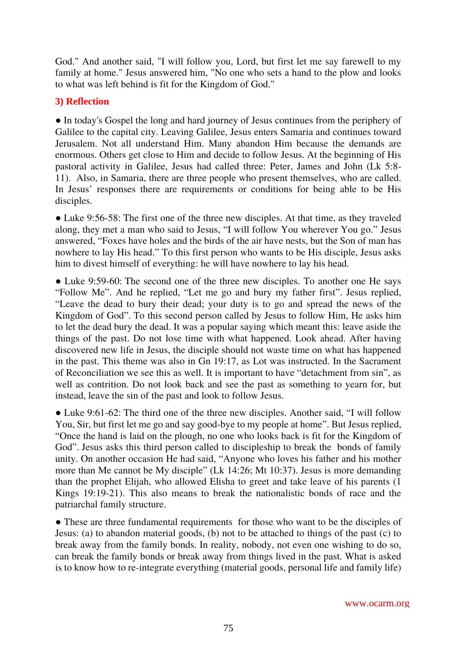God." And another said, "I will follow you, Lord, but first let me say farewell to my family at home." Jesus answered him, "No one who sets a hand to the plow and looks to what was left behind is fit for the Kingdom of God."

## **3) Reflection**

• In today's Gospel the long and hard journey of Jesus continues from the periphery of Galilee to the capital city. Leaving Galilee, Jesus enters Samaria and continues toward Jerusalem. Not all understand Him. Many abandon Him because the demands are enormous. Others get close to Him and decide to follow Jesus. At the beginning of His pastoral activity in Galilee, Jesus had called three: Peter, James and John (Lk 5:8- 11). Also, in Samaria, there are three people who present themselves, who are called. In Jesus' responses there are requirements or conditions for being able to be His disciples.

• Luke 9:56-58: The first one of the three new disciples. At that time, as they traveled along, they met a man who said to Jesus, "I will follow You wherever You go." Jesus answered, "Foxes have holes and the birds of the air have nests, but the Son of man has nowhere to lay His head." To this first person who wants to be His disciple, Jesus asks him to divest himself of everything: he will have nowhere to lay his head.

• Luke 9:59-60: The second one of the three new disciples. To another one He says "Follow Me". And he replied, "Let me go and bury my father first". Jesus replied, "Leave the dead to bury their dead; your duty is to go and spread the news of the Kingdom of God". To this second person called by Jesus to follow Him, He asks him to let the dead bury the dead. It was a popular saying which meant this: leave aside the things of the past. Do not lose time with what happened. Look ahead. After having discovered new life in Jesus, the disciple should not waste time on what has happened in the past. This theme was also in Gn 19:17, as Lot was instructed. In the Sacrament of Reconciliation we see this as well. It is important to have "detachment from sin", as well as contrition. Do not look back and see the past as something to yearn for, but instead, leave the sin of the past and look to follow Jesus.

• Luke 9:61-62: The third one of the three new disciples. Another said, "I will follow You, Sir, but first let me go and say good-bye to my people at home". But Jesus replied, "Once the hand is laid on the plough, no one who looks back is fit for the Kingdom of God". Jesus asks this third person called to discipleship to break the bonds of family unity. On another occasion He had said, "Anyone who loves his father and his mother more than Me cannot be My disciple" (Lk 14:26; Mt 10:37). Jesus is more demanding than the prophet Elijah, who allowed Elisha to greet and take leave of his parents (1 Kings 19:19-21). This also means to break the nationalistic bonds of race and the patriarchal family structure.

• These are three fundamental requirements for those who want to be the disciples of Jesus: (a) to abandon material goods, (b) not to be attached to things of the past (c) to break away from the family bonds. In reality, nobody, not even one wishing to do so, can break the family bonds or break away from things lived in the past. What is asked is to know how to re-integrate everything (material goods, personal life and family life)